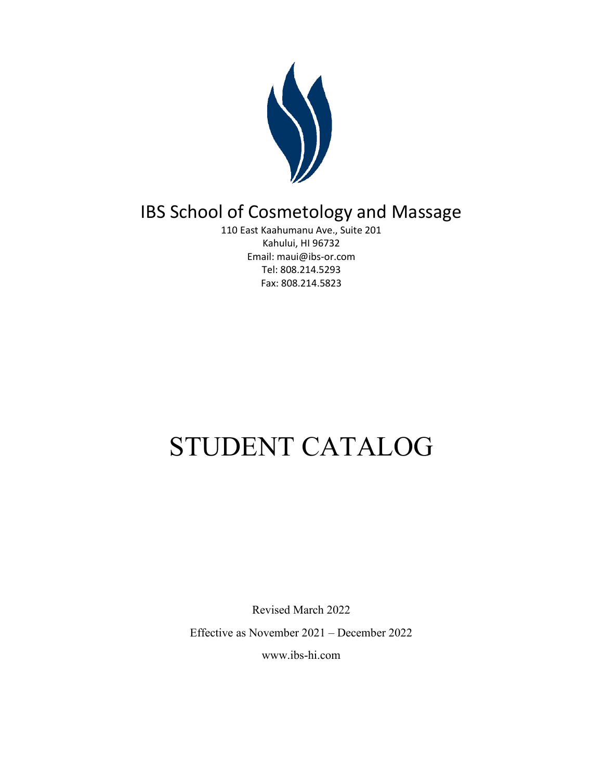

## IBS School of Cosmetology and Massage

110 East Kaahumanu Ave., Suite 201 Kahului, HI 96732 Email: maui@ibs-or.com Tel: 808.214.5293 Fax: 808.214.5823

# STUDENT CATALOG

Revised March 2022 Effective as November 2021 – December 2022 www.ibs-hi.com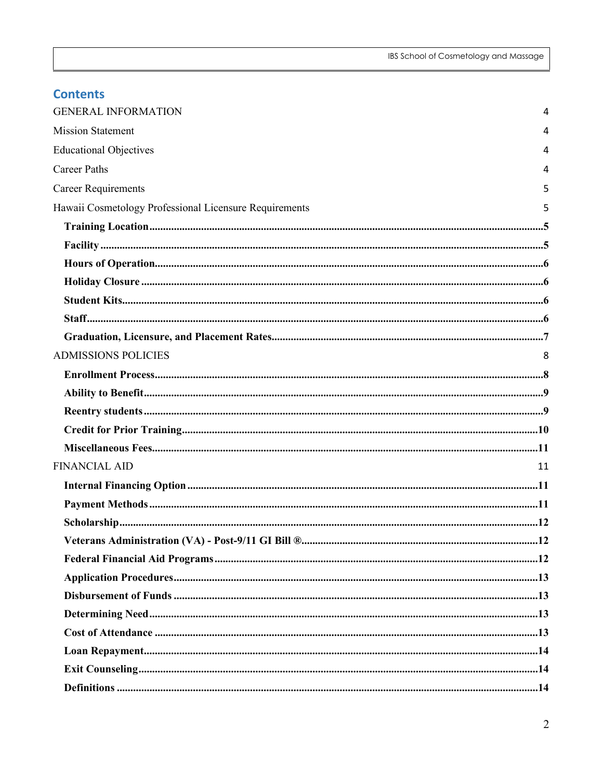| <b>Contents</b>                                        |    |
|--------------------------------------------------------|----|
| <b>GENERAL INFORMATION</b>                             | 4  |
| <b>Mission Statement</b>                               |    |
| <b>Educational Objectives</b>                          | 4  |
| <b>Career Paths</b>                                    |    |
| <b>Career Requirements</b>                             |    |
| Hawaii Cosmetology Professional Licensure Requirements |    |
|                                                        |    |
|                                                        |    |
|                                                        |    |
|                                                        |    |
|                                                        |    |
|                                                        |    |
|                                                        |    |
| <b>ADMISSIONS POLICIES</b>                             |    |
|                                                        |    |
|                                                        |    |
|                                                        |    |
|                                                        |    |
|                                                        |    |
| <b>FINANCIAL AID</b>                                   | 11 |
|                                                        |    |
|                                                        |    |
|                                                        |    |
|                                                        |    |
|                                                        |    |
|                                                        |    |
|                                                        |    |
|                                                        |    |
|                                                        |    |
|                                                        |    |
|                                                        |    |
|                                                        |    |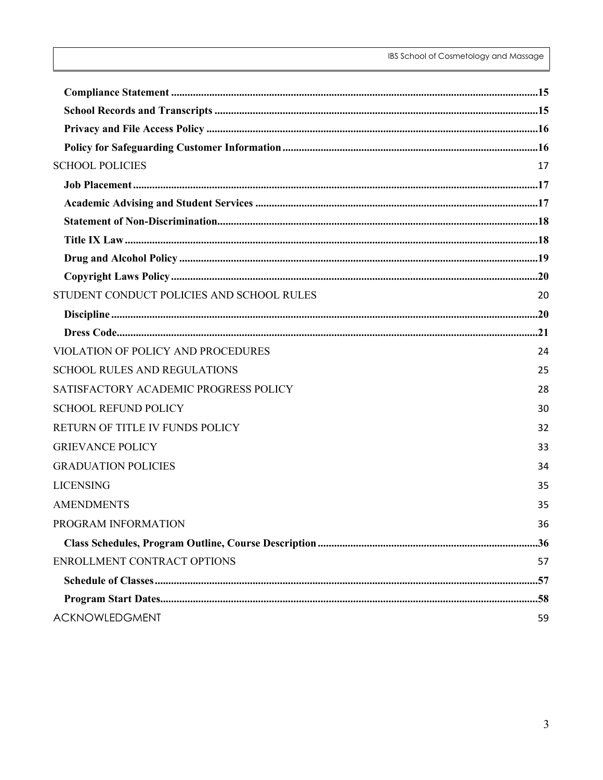| <b>SCHOOL POLICIES</b>                    | 17 |
|-------------------------------------------|----|
|                                           |    |
|                                           |    |
|                                           |    |
|                                           |    |
|                                           |    |
|                                           |    |
| STUDENT CONDUCT POLICIES AND SCHOOL RULES | 20 |
|                                           |    |
|                                           |    |
| VIOLATION OF POLICY AND PROCEDURES        | 24 |
| <b>SCHOOL RULES AND REGULATIONS</b>       | 25 |
| SATISFACTORY ACADEMIC PROGRESS POLICY     | 28 |
| <b>SCHOOL REFUND POLICY</b>               | 30 |
| RETURN OF TITLE IV FUNDS POLICY           | 32 |
| <b>GRIEVANCE POLICY</b>                   | 33 |
| <b>GRADUATION POLICIES</b>                | 34 |
| <b>LICENSING</b>                          | 35 |
| <b>AMENDMENTS</b>                         | 35 |
| PROGRAM INFORMATION                       | 36 |
|                                           |    |
| ENROLLMENT CONTRACT OPTIONS               | 57 |
|                                           |    |
|                                           |    |
| ACKNOWLEDGMENT                            | 59 |
|                                           |    |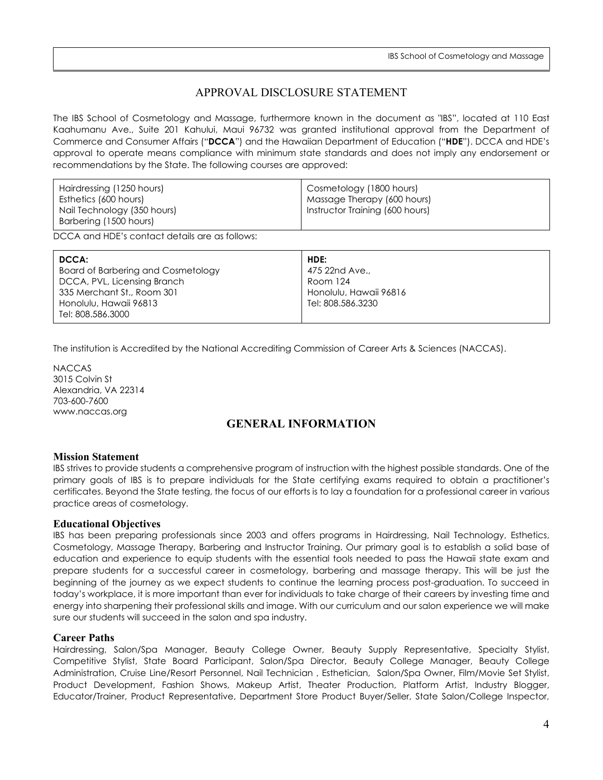## APPROVAL DISCLOSURE STATEMENT

The IBS School of Cosmetology and Massage, furthermore known in the document as "IBS", located at 110 East Kaahumanu Ave., Suite 201 Kahului, Maui 96732 was granted institutional approval from the Department of Commerce and Consumer Affairs ("**DCCA**") and the Hawaiian Department of Education ("**HDE**"). DCCA and HDE's approval to operate means compliance with minimum state standards and does not imply any endorsement or recommendations by the State. The following courses are approved:

| Hairdressing (1250 hours)   | Cosmetology (1800 hours)        |
|-----------------------------|---------------------------------|
| Esthetics (600 hours)       | Massage Therapy (600 hours)     |
| Nail Technology (350 hours) | Instructor Training (600 hours) |
| Barbering (1500 hours)      |                                 |

DCCA and HDE's contact details are as follows:

| DCCA:                              | HDE:                   |
|------------------------------------|------------------------|
| Board of Barbering and Cosmetology | 475 22nd Ave.,         |
| DCCA, PVL, Licensing Branch        | Room 124               |
| 335 Merchant St., Room 301         | Honolulu, Hawaii 96816 |
| Honolulu, Hawaii 96813             | Tel: 808.586.3230      |
| Tel: 808.586.3000                  |                        |

The institution is Accredited by the National Accrediting Commission of Career Arts & Sciences (NACCAS).

NACCAS 3015 Colvin St Alexandria, VA 22314 703-600-7600 www.naccas.org

## **GENERAL INFORMATION**

#### <span id="page-3-1"></span><span id="page-3-0"></span>**Mission Statement**

IBS strives to provide students a comprehensive program of instruction with the highest possible standards. One of the primary goals of IBS is to prepare individuals for the State certifying exams required to obtain a practitioner's certificates. Beyond the State testing, the focus of our efforts is to lay a foundation for a professional career in various practice areas of cosmetology.

#### <span id="page-3-2"></span>**Educational Objectives**

IBS has been preparing professionals since 2003 and offers programs in Hairdressing, Nail Technology, Esthetics, Cosmetology, Massage Therapy, Barbering and Instructor Training. Our primary goal is to establish a solid base of education and experience to equip students with the essential tools needed to pass the Hawaii state exam and prepare students for a successful career in cosmetology, barbering and massage therapy. This will be just the beginning of the journey as we expect students to continue the learning process post-graduation. To succeed in today's workplace, it is more important than ever for individuals to take charge of their careers by investing time and energy into sharpening their professional skills and image. With our curriculum and our salon experience we will make sure our students will succeed in the salon and spa industry.

#### <span id="page-3-3"></span>**Career Paths**

Hairdressing, Salon/Spa Manager, Beauty College Owner, Beauty Supply Representative, Specialty Stylist, Competitive Stylist, State Board Participant, Salon/Spa Director, Beauty College Manager, Beauty College Administration, Cruise Line/Resort Personnel, Nail Technician , Esthetician, Salon/Spa Owner, Film/Movie Set Stylist, Product Development, Fashion Shows, Makeup Artist, Theater Production, Platform Artist, Industry Blogger, Educator/Trainer, Product Representative, Department Store Product Buyer/Seller, State Salon/College Inspector,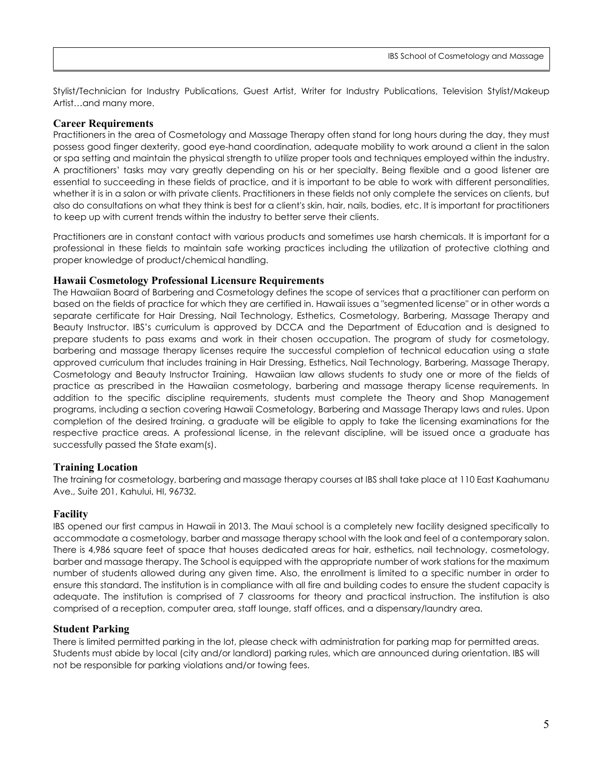Stylist/Technician for Industry Publications, Guest Artist, Writer for Industry Publications, Television Stylist/Makeup Artist…and many more.

#### <span id="page-4-0"></span>**Career Requirements**

Practitioners in the area of Cosmetology and Massage Therapy often stand for long hours during the day, they must possess good finger dexterity, good eye-hand coordination, adequate mobility to work around a client in the salon or spa setting and maintain the physical strength to utilize proper tools and techniques employed within the industry. A practitioners' tasks may vary greatly depending on his or her specialty. Being flexible and a good listener are essential to succeeding in these fields of practice, and it is important to be able to work with different personalities, whether it is in a salon or with private clients. Practitioners in these fields not only complete the services on clients, but also do consultations on what they think is best for a client's skin, hair, nails, bodies, etc. It is important for practitioners to keep up with current trends within the industry to better serve their clients.

Practitioners are in constant contact with various products and sometimes use harsh chemicals. It is important for a professional in these fields to maintain safe working practices including the utilization of protective clothing and proper knowledge of product/chemical handling.

#### <span id="page-4-1"></span>**Hawaii Cosmetology Professional Licensure Requirements**

The Hawaiian Board of Barbering and Cosmetology defines the scope of services that a practitioner can perform on based on the fields of practice for which they are certified in. Hawaii issues a "segmented license" or in other words a separate certificate for Hair Dressing, Nail Technology, Esthetics, Cosmetology, Barbering, Massage Therapy and Beauty Instructor. IBS's curriculum is approved by DCCA and the Department of Education and is designed to prepare students to pass exams and work in their chosen occupation. The program of study for cosmetology, barbering and massage therapy licenses require the successful completion of technical education using a state approved curriculum that includes training in Hair Dressing, Esthetics, Nail Technology, Barbering, Massage Therapy, Cosmetology and Beauty Instructor Training. Hawaiian law allows students to study one or more of the fields of practice as prescribed in the Hawaiian cosmetology, barbering and massage therapy license requirements. In addition to the specific discipline requirements, students must complete the Theory and Shop Management programs, including a section covering Hawaii Cosmetology, Barbering and Massage Therapy laws and rules. Upon completion of the desired training, a graduate will be eligible to apply to take the licensing examinations for the respective practice areas. A professional license, in the relevant discipline, will be issued once a graduate has successfully passed the State exam(s).

## <span id="page-4-2"></span>**Training Location**

The training for cosmetology, barbering and massage therapy courses at IBS shall take place at 110 East Kaahumanu Ave., Suite 201, Kahului, HI, 96732.

## <span id="page-4-3"></span>**Facility**

IBS opened our first campus in Hawaii in 2013. The Maui school is a completely new facility designed specifically to accommodate a cosmetology, barber and massage therapy school with the look and feel of a contemporary salon. There is 4,986 square feet of space that houses dedicated areas for hair, esthetics, nail technology, cosmetology, barber and massage therapy. The School is equipped with the appropriate number of work stations for the maximum number of students allowed during any given time. Also, the enrollment is limited to a specific number in order to ensure this standard. The institution is in compliance with all fire and building codes to ensure the student capacity is adequate. The institution is comprised of 7 classrooms for theory and practical instruction. The institution is also comprised of a reception, computer area, staff lounge, staff offices, and a dispensary/laundry area.

#### **Student Parking**

There is limited permitted parking in the lot, please check with administration for parking map for permitted areas. Students must abide by local (city and/or landlord) parking rules, which are announced during orientation. IBS will not be responsible for parking violations and/or towing fees.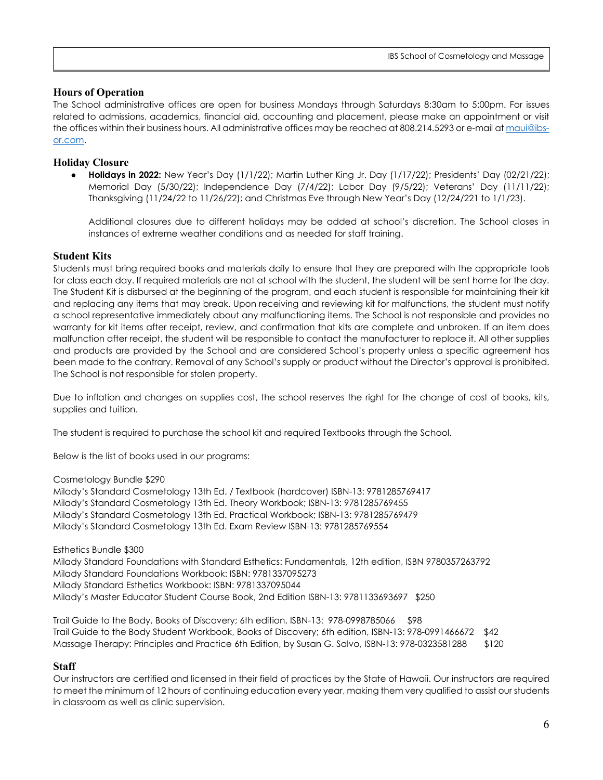## <span id="page-5-0"></span>**Hours of Operation**

The School administrative offices are open for business Mondays through Saturdays 8:30am to 5:00pm. For issues related to admissions, academics, financial aid, accounting and placement, please make an appointment or visit the offices within their business hours. All administrative offices may be reached at 808.214.5293 or e-mail at [maui@ibs](mailto:maui@ibs-or.com)[or.com.](mailto:maui@ibs-or.com)

## <span id="page-5-1"></span>**Holiday Closure**

● **Holidays in 2022:** New Year's Day (1/1/22); Martin Luther King Jr. Day (1/17/22); Presidents' Day (02/21/22); Memorial Day (5/30/22); Independence Day (7/4/22); Labor Day (9/5/22); Veterans' Day (11/11/22); Thanksgiving (11/24/22 to 11/26/22); and Christmas Eve through New Year's Day (12/24/221 to 1/1/23).

Additional closures due to different holidays may be added at school's discretion. The School closes in instances of extreme weather conditions and as needed for staff training.

## <span id="page-5-2"></span>**Student Kits**

Students must bring required books and materials daily to ensure that they are prepared with the appropriate tools for class each day. If required materials are not at school with the student, the student will be sent home for the day. The Student Kit is disbursed at the beginning of the program, and each student is responsible for maintaining their kit and replacing any items that may break. Upon receiving and reviewing kit for malfunctions, the student must notify a school representative immediately about any malfunctioning items. The School is not responsible and provides no warranty for kit items after receipt, review, and confirmation that kits are complete and unbroken. If an item does malfunction after receipt, the student will be responsible to contact the manufacturer to replace it. All other supplies and products are provided by the School and are considered School's property unless a specific agreement has been made to the contrary. Removal of any School's supply or product without the Director's approval is prohibited. The School is not responsible for stolen property.

Due to inflation and changes on supplies cost, the school reserves the right for the change of cost of books, kits, supplies and tuition.

The student is required to purchase the school kit and required Textbooks through the School.

Below is the list of books used in our programs:

Cosmetology Bundle \$290

Milady's Standard Cosmetology 13th Ed. / Textbook (hardcover) ISBN-13: 9781285769417 Milady's Standard Cosmetology 13th Ed. Theory Workbook; ISBN-13: 9781285769455 Milady's Standard Cosmetology 13th Ed. Practical Workbook; ISBN-13: 9781285769479 Milady's Standard Cosmetology 13th Ed. Exam Review ISBN-13: 9781285769554

Esthetics Bundle \$300

Milady Standard Foundations with Standard Esthetics: Fundamentals, 12th edition, ISBN 9780357263792 Milady Standard Foundations Workbook: ISBN: 9781337095273 Milady Standard Esthetics Workbook: ISBN: 9781337095044 Milady's Master Educator Student Course Book, 2nd Edition ISBN-13: 9781133693697 \$250

Trail Guide to the Body, Books of Discovery; 6th edition, ISBN-13: 978-0998785066 \$98 Trail Guide to the Body Student Workbook, Books of Discovery; 6th edition, ISBN-13: 978-0991466672 \$42 Massage Therapy: Principles and Practice 6th Edition, by Susan G. Salvo, ISBN-13: 978-0323581288 \$120

## <span id="page-5-3"></span>**Staff**

Our instructors are certified and licensed in their field of practices by the State of Hawaii. Our instructors are required to meet the minimum of 12 hours of continuing education every year, making them very qualified to assist our students in classroom as well as clinic supervision.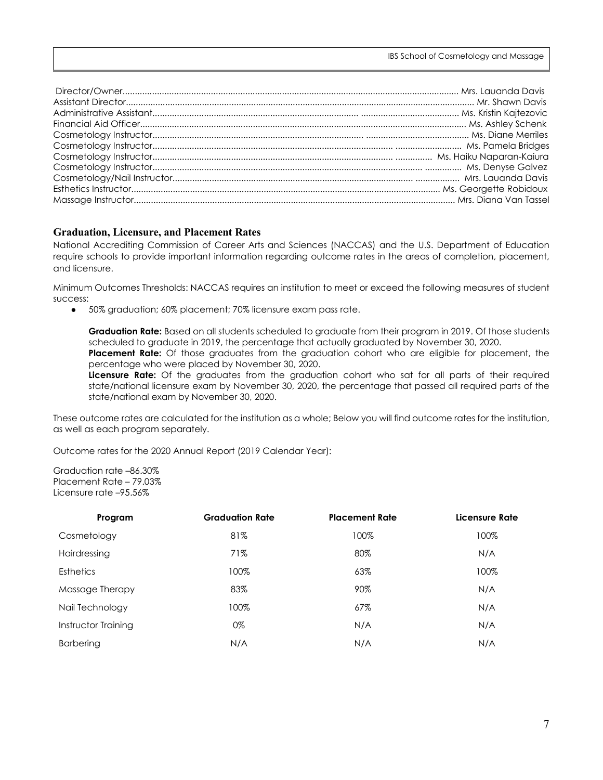#### <span id="page-6-0"></span>**Graduation, Licensure, and Placement Rates**

National Accrediting Commission of Career Arts and Sciences (NACCAS) and the U.S. Department of Education require schools to provide important information regarding outcome rates in the areas of completion, placement, and licensure.

Minimum Outcomes Thresholds: NACCAS requires an institution to meet or exceed the following measures of student success:

● 50% graduation; 60% placement; 70% licensure exam pass rate.

**Graduation Rate:** Based on all students scheduled to graduate from their program in 2019. Of those students scheduled to graduate in 2019, the percentage that actually graduated by November 30, 2020.

**Placement Rate:** Of those graduates from the graduation cohort who are eligible for placement, the percentage who were placed by November 30, 2020.

**Licensure Rate:** Of the graduates from the graduation cohort who sat for all parts of their required state/national licensure exam by November 30, 2020, the percentage that passed all required parts of the state/national exam by November 30, 2020.

These outcome rates are calculated for the institution as a whole; Below you will find outcome rates for the institution, as well as each program separately.

Outcome rates for the 2020 Annual Report (2019 Calendar Year):

Graduation rate –86.30% Placement Rate – 79.03% Licensure rate –95.56%

| Program             | <b>Graduation Rate</b> | <b>Placement Rate</b> | Licensure Rate |
|---------------------|------------------------|-----------------------|----------------|
| Cosmetology         | 81%                    | 100%                  | 100%           |
| Hairdressing        | 71%                    | 80%                   | N/A            |
| <b>Esthetics</b>    | 100%                   | 63%                   | 100%           |
| Massage Therapy     | 83%                    | 90%                   | N/A            |
| Nail Technology     | 100%                   | 67%                   | N/A            |
| Instructor Training | 0%                     | N/A                   | N/A            |
| <b>Barbering</b>    | N/A                    | N/A                   | N/A            |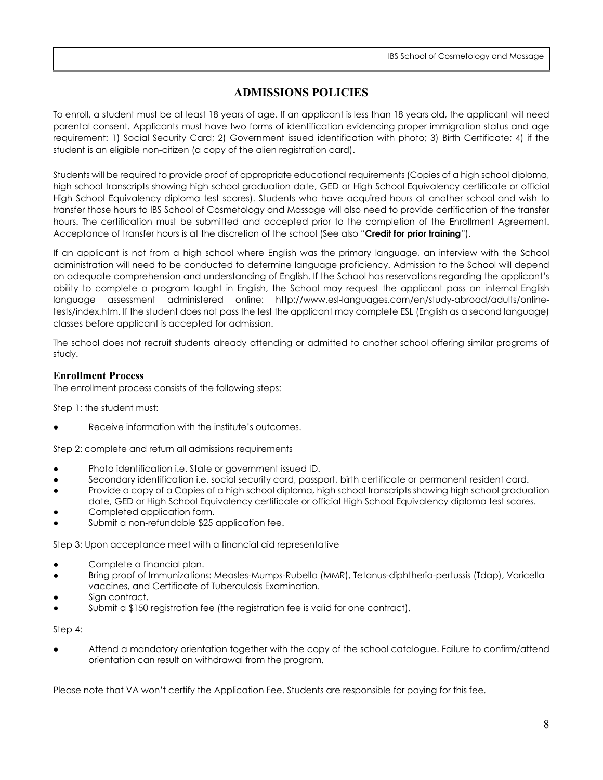## **ADMISSIONS POLICIES**

<span id="page-7-0"></span>To enroll, a student must be at least 18 years of age. If an applicant is less than 18 years old, the applicant will need parental consent. Applicants must have two forms of identification evidencing proper immigration status and age requirement: 1) Social Security Card; 2) Government issued identification with photo; 3) Birth Certificate; 4) if the student is an eligible non-citizen (a copy of the alien registration card).

Students will be required to provide proof of appropriate educational requirements (Copies of a high school diploma, high school transcripts showing high school graduation date, GED or High School Equivalency certificate or official High School Equivalency diploma test scores). Students who have acquired hours at another school and wish to transfer those hours to IBS School of Cosmetology and Massage will also need to provide certification of the transfer hours. The certification must be submitted and accepted prior to the completion of the Enrollment Agreement. Acceptance of transfer hours is at the discretion of the school (See also "**Credit for prior training**").

If an applicant is not from a high school where English was the primary language, an interview with the School administration will need to be conducted to determine language proficiency. Admission to the School will depend on adequate comprehension and understanding of English. If the School has reservations regarding the applicant's ability to complete a program taught in English, the School may request the applicant pass an internal English language assessment administered online: http://www.esl-languages.com/en/study-abroad/adults/onlinetests/index.htm. If the student does not pass the test the applicant may complete ESL (English as a second language) classes before applicant is accepted for admission.

The school does not recruit students already attending or admitted to another school offering similar programs of study.

## <span id="page-7-1"></span>**Enrollment Process**

The enrollment process consists of the following steps:

Step 1: the student must:

Receive information with the institute's outcomes.

Step 2: complete and return all admissions requirements

- Photo identification i.e. State or government issued ID.
- Secondary identification i.e. social security card, passport, birth certificate or permanent resident card.
- Provide a copy of a Copies of a high school diploma, high school transcripts showing high school graduation date, GED or High School Equivalency certificate or official High School Equivalency diploma test scores.
- Completed application form.
- Submit a non-refundable \$25 application fee.

Step 3: Upon acceptance meet with a financial aid representative

- Complete a financial plan.
- Bring proof of Immunizations: Measles-Mumps-Rubella (MMR), Tetanus-diphtheria-pertussis (Tdap), Varicella vaccines, and Certificate of Tuberculosis Examination.
- Sign contract.
- Submit a  $$150$  registration fee (the registration fee is valid for one contract).

Step 4:

Attend a mandatory orientation together with the copy of the school catalogue. Failure to confirm/attend orientation can result on withdrawal from the program.

Please note that VA won't certify the Application Fee. Students are responsible for paying for this fee.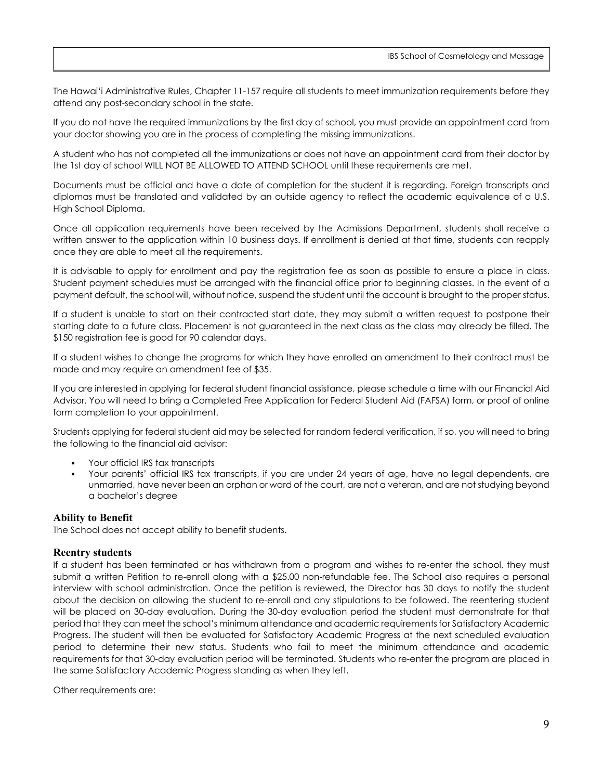The Hawai'i Administrative Rules, Chapter 11-157 require all students to meet immunization requirements before they attend any post-secondary school in the state.

If you do not have the required immunizations by the first day of school, you must provide an appointment card from your doctor showing you are in the process of completing the missing immunizations.

A student who has not completed all the immunizations or does not have an appointment card from their doctor by the 1st day of school WILL NOT BE ALLOWED TO ATTEND SCHOOL until these requirements are met.

Documents must be official and have a date of completion for the student it is regarding. Foreign transcripts and diplomas must be translated and validated by an outside agency to reflect the academic equivalence of a U.S. High School Diploma.

Once all application requirements have been received by the Admissions Department, students shall receive a written answer to the application within 10 business days. If enrollment is denied at that time, students can reapply once they are able to meet all the requirements.

It is advisable to apply for enrollment and pay the registration fee as soon as possible to ensure a place in class. Student payment schedules must be arranged with the financial office prior to beginning classes. In the event of a payment default, the school will, without notice, suspend the student until the account is brought to the proper status.

If a student is unable to start on their contracted start date, they may submit a written request to postpone their starting date to a future class. Placement is not guaranteed in the next class as the class may already be filled. The \$150 registration fee is good for 90 calendar days.

If a student wishes to change the programs for which they have enrolled an amendment to their contract must be made and may require an amendment fee of \$35.

If you are interested in applying for federal student financial assistance, please schedule a time with our Financial Aid Advisor. You will need to bring a Completed Free Application for Federal Student Aid (FAFSA) form, or proof of online form completion to your appointment.

Students applying for federal student aid may be selected for random federal verification, if so, you will need to bring the following to the financial aid advisor:

- Your official IRS tax transcripts
- Your parents' official IRS tax transcripts, if you are under 24 years of age, have no legal dependents, are unmarried, have never been an orphan or ward of the court, are not a veteran, and are not studying beyond a bachelor's degree

## <span id="page-8-0"></span>**Ability to Benefit**

The School does not accept ability to benefit students.

#### <span id="page-8-1"></span>**Reentry students**

If a student has been terminated or has withdrawn from a program and wishes to re-enter the school, they must submit a written Petition to re-enroll along with a \$25.00 non-refundable fee. The School also requires a personal interview with school administration. Once the petition is reviewed, the Director has 30 days to notify the student about the decision on allowing the student to re-enroll and any stipulations to be followed. The reentering student will be placed on 30-day evaluation. During the 30-day evaluation period the student must demonstrate for that period that they can meet the school's minimum attendance and academic requirements for Satisfactory Academic Progress. The student will then be evaluated for Satisfactory Academic Progress at the next scheduled evaluation period to determine their new status. Students who fail to meet the minimum attendance and academic requirements for that 30-day evaluation period will be terminated. Students who re-enter the program are placed in the same Satisfactory Academic Progress standing as when they left.

Other requirements are: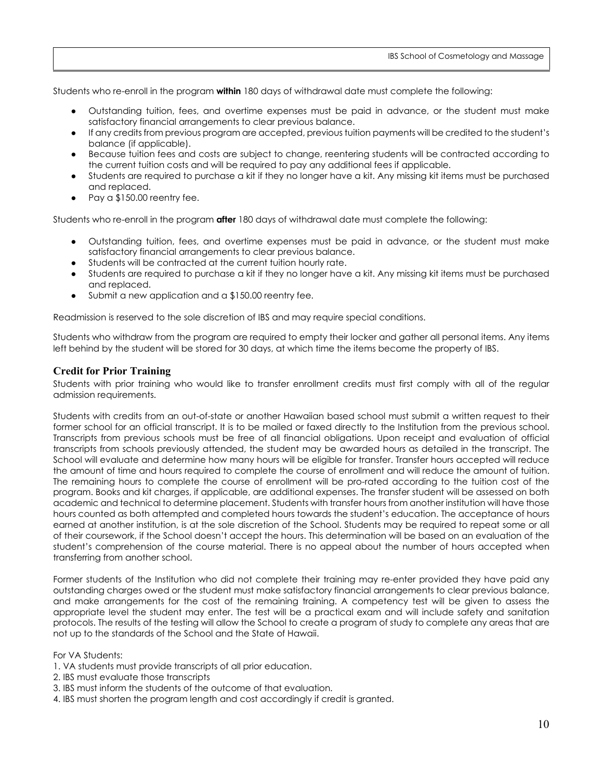Students who re-enroll in the program **within** 180 days of withdrawal date must complete the following:

- Outstanding tuition, fees, and overtime expenses must be paid in advance, or the student must make satisfactory financial arrangements to clear previous balance.
- If any credits from previous program are accepted, previous tuition payments will be credited to the student's balance (if applicable).
- Because tuition fees and costs are subject to change, reentering students will be contracted according to the current tuition costs and will be required to pay any additional fees if applicable.
- Students are required to purchase a kit if they no longer have a kit. Any missing kit items must be purchased and replaced.
- Pay a  $$150.00$  reentry fee.

Students who re-enroll in the program **after** 180 days of withdrawal date must complete the following:

- Outstanding tuition, fees, and overtime expenses must be paid in advance, or the student must make satisfactory financial arrangements to clear previous balance.
- Students will be contracted at the current tuition hourly rate.
- Students are required to purchase a kit if they no longer have a kit. Any missing kit items must be purchased and replaced.
- Submit a new application and a  $$150.00$  reentry fee.

Readmission is reserved to the sole discretion of IBS and may require special conditions.

Students who withdraw from the program are required to empty their locker and gather all personal items. Any items left behind by the student will be stored for 30 days, at which time the items become the property of IBS.

#### <span id="page-9-0"></span>**Credit for Prior Training**

Students with prior training who would like to transfer enrollment credits must first comply with all of the regular admission requirements.

Students with credits from an out-of-state or another Hawaiian based school must submit a written request to their former school for an official transcript. It is to be mailed or faxed directly to the Institution from the previous school. Transcripts from previous schools must be free of all financial obligations. Upon receipt and evaluation of official transcripts from schools previously attended, the student may be awarded hours as detailed in the transcript. The School will evaluate and determine how many hours will be eligible for transfer. Transfer hours accepted will reduce the amount of time and hours required to complete the course of enrollment and will reduce the amount of tuition. The remaining hours to complete the course of enrollment will be pro-rated according to the tuition cost of the program. Books and kit charges, if applicable, are additional expenses. The transfer student will be assessed on both academic and technical to determine placement. Students with transfer hours from another institution will have those hours counted as both attempted and completed hours towards the student's education. The acceptance of hours earned at another institution, is at the sole discretion of the School. Students may be required to repeat some or all of their coursework, if the School doesn't accept the hours. This determination will be based on an evaluation of the student's comprehension of the course material. There is no appeal about the number of hours accepted when transferring from another school.

Former students of the Institution who did not complete their training may re-enter provided they have paid any outstanding charges owed or the student must make satisfactory financial arrangements to clear previous balance, and make arrangements for the cost of the remaining training. A competency test will be given to assess the appropriate level the student may enter. The test will be a practical exam and will include safety and sanitation protocols. The results of the testing will allow the School to create a program of study to complete any areas that are not up to the standards of the School and the State of Hawaii.

For VA Students:

- 1. VA students must provide transcripts of all prior education.
- 2. IBS must evaluate those transcripts
- 3. IBS must inform the students of the outcome of that evaluation.
- 4. IBS must shorten the program length and cost accordingly if credit is granted.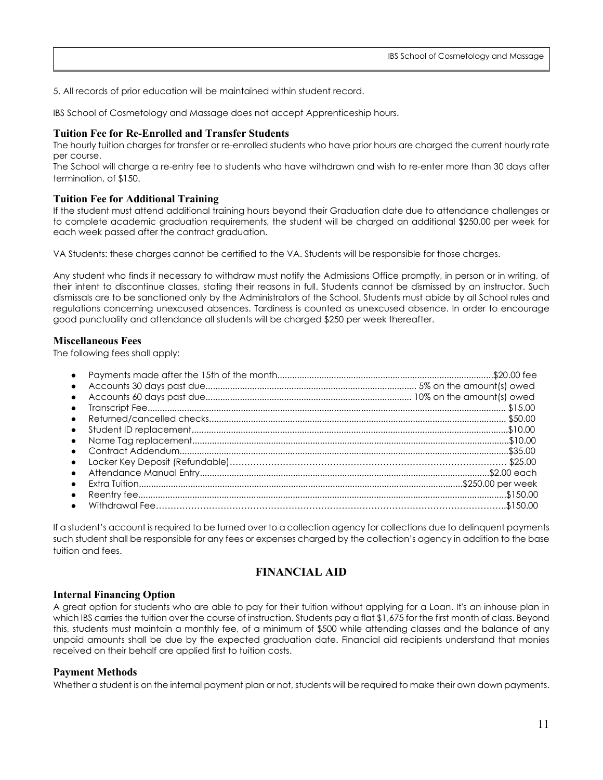5. All records of prior education will be maintained within student record.

IBS School of Cosmetology and Massage does not accept Apprenticeship hours.

### **Tuition Fee for Re-Enrolled and Transfer Students**

The hourly tuition charges for transfer or re-enrolled students who have prior hours are charged the current hourly rate per course.

The School will charge a re-entry fee to students who have withdrawn and wish to re-enter more than 30 days after termination, of \$150.

#### **Tuition Fee for Additional Training**

If the student must attend additional training hours beyond their Graduation date due to attendance challenges or to complete academic graduation requirements, the student will be charged an additional \$250.00 per week for each week passed after the contract graduation.

VA Students: these charges cannot be certified to the VA. Students will be responsible for those charges.

Any student who finds it necessary to withdraw must notify the Admissions Office promptly, in person or in writing, of their intent to discontinue classes, stating their reasons in full. Students cannot be dismissed by an instructor. Such dismissals are to be sanctioned only by the Administrators of the School. Students must abide by all School rules and regulations concerning unexcused absences. Tardiness is counted as unexcused absence. In order to encourage good punctuality and attendance all students will be charged \$250 per week thereafter.

#### <span id="page-10-0"></span>**Miscellaneous Fees**

The following fees shall apply:

| $\bullet$ |  |
|-----------|--|
| $\bullet$ |  |
| $\bullet$ |  |
| $\bullet$ |  |
|           |  |
| $\bullet$ |  |
| $\bullet$ |  |
|           |  |
| $\bullet$ |  |
|           |  |
|           |  |

If a student's account is required to be turned over to a collection agency for collections due to delinquent payments such student shall be responsible for any fees or expenses charged by the collection's agency in addition to the base tuition and fees.

## **FINANCIAL AID**

#### <span id="page-10-2"></span><span id="page-10-1"></span>**Internal Financing Option**

A great option for students who are able to pay for their tuition without applying for a Loan. It's an inhouse plan in which IBS carries the tuition over the course of instruction. Students pay a flat \$1,675 for the first month of class. Beyond this, students must maintain a monthly fee, of a minimum of \$500 while attending classes and the balance of any unpaid amounts shall be due by the expected graduation date. Financial aid recipients understand that monies received on their behalf are applied first to tuition costs.

#### <span id="page-10-3"></span>**Payment Methods**

Whether a student is on the internal payment plan or not, students will be required to make their own down payments.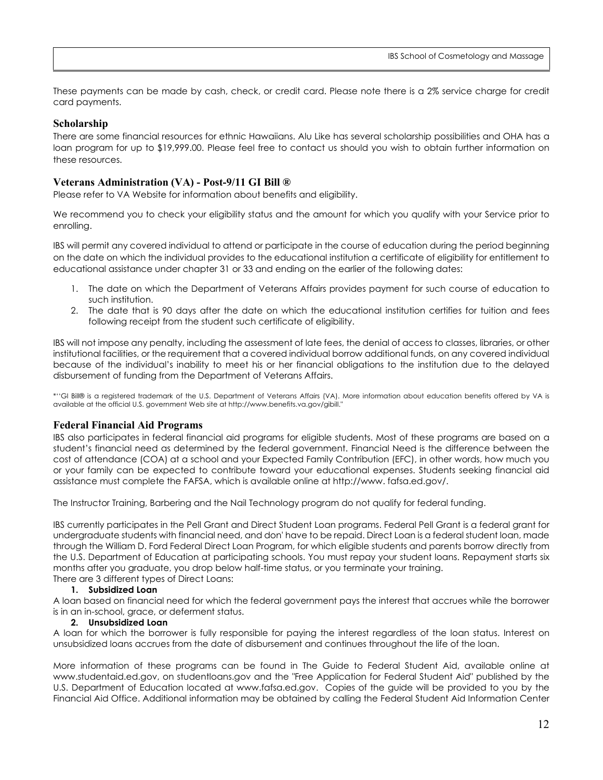These payments can be made by cash, check, or credit card. Please note there is a 2% service charge for credit card payments.

#### <span id="page-11-0"></span>**Scholarship**

There are some financial resources for ethnic Hawaiians. Alu Like has several scholarship possibilities and OHA has a loan program for up to \$19,999.00. Please feel free to contact us should you wish to obtain further information on these resources.

#### <span id="page-11-1"></span>**Veterans Administration (VA) - Post-9/11 GI Bill ®**

Please refer to VA Website for information about benefits and eligibility.

We recommend you to check your eligibility status and the amount for which you qualify with your Service prior to enrolling.

IBS will permit any covered individual to attend or participate in the course of education during the period beginning on the date on which the individual provides to the educational institution a certificate of eligibility for entitlement to educational assistance under chapter 31 or 33 and ending on the earlier of the following dates:

- 1. The date on which the Department of Veterans Affairs provides payment for such course of education to such institution.
- 2. The date that is 90 days after the date on which the educational institution certifies for tuition and fees following receipt from the student such certificate of eligibility.

IBS will not impose any penalty, including the assessment of late fees, the denial of access to classes, libraries, or other institutional facilities, or the requirement that a covered individual borrow additional funds, on any covered individual because of the individual's inability to meet his or her financial obligations to the institution due to the delayed disbursement of funding from the Department of Veterans Affairs.

\*''GI Bill® is a registered trademark of the U.S. Department of Veterans Affairs (VA). More information about education benefits offered by VA is available at the official U.S. government Web site at http://www.benefits.va.gov/gibill."

#### <span id="page-11-2"></span>**Federal Financial Aid Programs**

IBS also participates in federal financial aid programs for eligible students. Most of these programs are based on a student's financial need as determined by the federal government. Financial Need is the difference between the cost of attendance (COA) at a school and your Expected Family Contribution (EFC), in other words, how much you or your family can be expected to contribute toward your educational expenses. Students seeking financial aid assistance must complete the FAFSA, which is available online at http://www. fafsa.ed.gov/.

The Instructor Training, Barbering and the Nail Technology program do not qualify for federal funding.

IBS currently participates in the Pell Grant and Direct Student Loan programs. Federal Pell Grant is a federal grant for undergraduate students with financial need, and don' have to be repaid. Direct Loan is a federal student loan, made through the William D. Ford Federal Direct Loan Program, for which eligible students and parents borrow directly from the U.S. Department of Education at participating schools. You must repay your student loans. Repayment starts six months after you graduate, you drop below half-time status, or you terminate your training.

There are 3 different types of Direct Loans:

## **1. Subsidized Loan**

A loan based on financial need for which the federal government pays the interest that accrues while the borrower is in an in-school, grace, or deferment status.

#### **2. Unsubsidized Loan**

A loan for which the borrower is fully responsible for paying the interest regardless of the loan status. Interest on unsubsidized loans accrues from the date of disbursement and continues throughout the life of the loan.

More information of these programs can be found in The Guide to Federal Student Aid, available online at www.studentaid.ed.gov, on studentloans.gov and the "Free Application for Federal Student Aid" published by the U.S. Department of Education located at www.fafsa.ed.gov. Copies of the guide will be provided to you by the Financial Aid Office. Additional information may be obtained by calling the Federal Student Aid Information Center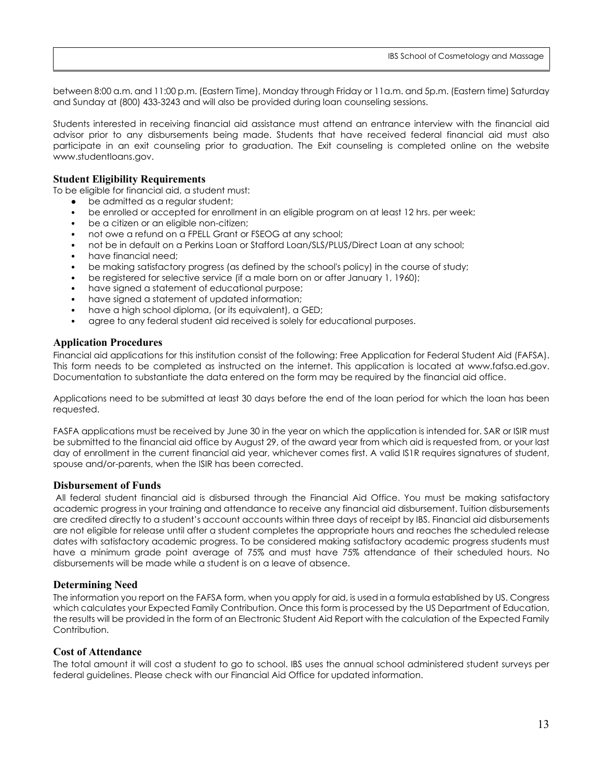between 8:00 a.m. and 11:00 p.m. (Eastern Time), Monday through Friday or 11a.m. and 5p.m. (Eastern time) Saturday and Sunday at (800) 433-3243 and will also be provided during loan counseling sessions.

Students interested in receiving financial aid assistance must attend an entrance interview with the financial aid advisor prior to any disbursements being made. Students that have received federal financial aid must also participate in an exit counseling prior to graduation. The Exit counseling is completed online on the website www.studentloans.gov.

#### **Student Eligibility Requirements**

To be eligible for financial aid, a student must:

- be admitted as a regular student;
- be enrolled or accepted for enrollment in an eligible program on at least 12 hrs. per week;
- be a citizen or an eligible non-citizen;
- not owe a refund on a FPELL Grant or FSEOG at any school;
- not be in default on a Perkins Loan or Stafford Loan/SLS/PLUS/Direct Loan at any school;
- have financial need;
- be making satisfactory progress (as defined by the school's policy) in the course of study;
- be registered for selective service (if a male born on or after January 1, 1960);
- have signed a statement of educational purpose;
- have signed a statement of updated information;
- have a high school diploma, (or its equivalent), a GED;
- agree to any federal student aid received is solely for educational purposes.

#### <span id="page-12-0"></span>**Application Procedures**

Financial aid applications for this institution consist of the following: Free Application for Federal Student Aid (FAFSA). This form needs to be completed as instructed on the internet. This application is located at www.fafsa.ed.gov. Documentation to substantiate the data entered on the form may be required by the financial aid office.

Applications need to be submitted at least 30 days before the end of the loan period for which the loan has been requested.

FASFA applications must be received by June 30 in the year on which the application is intended for. SAR or ISIR must be submitted to the financial aid office by August 29, of the award year from which aid is requested from, or your last day of enrollment in the current financial aid year, whichever comes first. A valid IS1R requires signatures of student, spouse and/or-parents, when the ISIR has been corrected.

#### <span id="page-12-1"></span>**Disbursement of Funds**

All federal student financial aid is disbursed through the Financial Aid Office. You must be making satisfactory academic progress in your training and attendance to receive any financial aid disbursement. Tuition disbursements are credited directly to a student's account accounts within three days of receipt by IBS. Financial aid disbursements are not eligible for release until after a student completes the appropriate hours and reaches the scheduled release dates with satisfactory academic progress. To be considered making satisfactory academic progress students must have a minimum grade point average of 75% and must have 75% attendance of their scheduled hours. No disbursements will be made while a student is on a leave of absence.

#### <span id="page-12-2"></span>**Determining Need**

The information you report on the FAFSA form, when you apply for aid, is used in a formula established by US. Congress which calculates your Expected Family Contribution. Once this form is processed by the US Department of Education, the results will be provided in the form of an Electronic Student Aid Report with the calculation of the Expected Family Contribution.

#### <span id="page-12-3"></span>**Cost of Attendance**

The total amount it will cost a student to go to school. IBS uses the annual school administered student surveys per federal guidelines. Please check with our Financial Aid Office for updated information.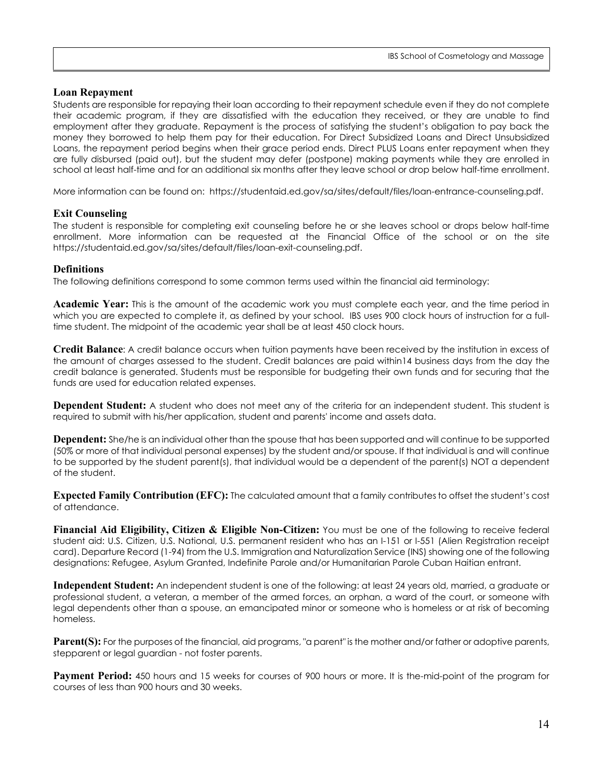#### <span id="page-13-0"></span>**Loan Repayment**

Students are responsible for repaying their loan according to their repayment schedule even if they do not complete their academic program, if they are dissatisfied with the education they received, or they are unable to find employment after they graduate. Repayment is the process of satisfying the student's obligation to pay back the money they borrowed to help them pay for their education. For Direct Subsidized Loans and Direct Unsubsidized Loans, the repayment period begins when their grace period ends. Direct PLUS Loans enter repayment when they are fully disbursed (paid out), but the student may defer (postpone) making payments while they are enrolled in school at least half-time and for an additional six months after they leave school or drop below half-time enrollment.

<span id="page-13-1"></span>More information can be found on: https://studentaid.ed.gov/sa/sites/default/files/loan-entrance-counseling.pdf.

#### **Exit Counseling**

The student is responsible for completing exit counseling before he or she leaves school or drops below half-time enrollment. More information can be requested at the Financial Office of the school or on the site https://studentaid.ed.gov/sa/sites/default/files/loan-exit-counseling.pdf.

#### <span id="page-13-2"></span>**Definitions**

The following definitions correspond to some common terms used within the financial aid terminology:

**Academic Year:** This is the amount of the academic work you must complete each year, and the time period in which you are expected to complete it, as defined by your school. IBS uses 900 clock hours of instruction for a fulltime student. The midpoint of the academic year shall be at least 450 clock hours.

**Credit Balance**: A credit balance occurs when tuition payments have been received by the institution in excess of the amount of charges assessed to the student. Credit balances are paid within14 business days from the day the credit balance is generated. Students must be responsible for budgeting their own funds and for securing that the funds are used for education related expenses.

**Dependent Student:** A student who does not meet any of the criteria for an independent student. This student is required to submit with his/her application, student and parents' income and assets data.

**Dependent:** She/he is an individual other than the spouse that has been supported and will continue to be supported (50% or more of that individual personal expenses) by the student and/or spouse. If that individual is and will continue to be supported by the student parent(s), that individual would be a dependent of the parent(s) NOT a dependent of the student.

**Expected Family Contribution (EFC):** The calculated amount that a family contributes to offset the student's cost of attendance.

**Financial Aid Eligibility, Citizen & Eligible Non-Citizen:** You must be one of the following to receive federal student aid: U.S. Citizen, U.S. National, U.S. permanent resident who has an I-151 or I-551 (Alien Registration receipt card). Departure Record (1-94) from the U.S. Immigration and Naturalization Service (INS) showing one of the following designations: Refugee, Asylum Granted, Indefinite Parole and/or Humanitarian Parole Cuban Haitian entrant.

**Independent Student:** An independent student is one of the following: at least 24 years old, married, a graduate or professional student, a veteran, a member of the armed forces, an orphan, a ward of the court, or someone with legal dependents other than a spouse, an emancipated minor or someone who is homeless or at risk of becoming homeless.

**Parent(S):** For the purposes of the financial, aid programs, "a parent" is the mother and/or father or adoptive parents, stepparent or legal guardian - not foster parents.

**Payment Period:** 450 hours and 15 weeks for courses of 900 hours or more. It is the-mid-point of the program for courses of less than 900 hours and 30 weeks.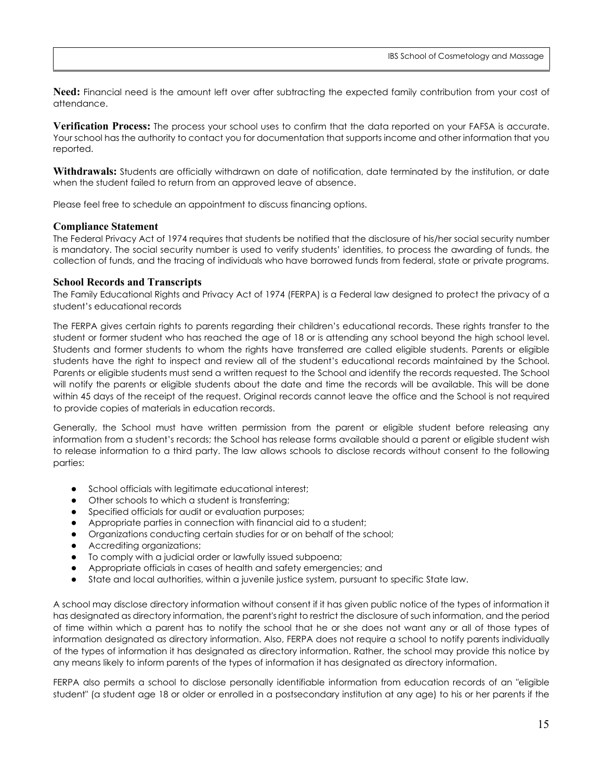**Need:** Financial need is the amount left over after subtracting the expected family contribution from your cost of attendance.

**Verification Process:** The process your school uses to confirm that the data reported on your FAFSA is accurate. Your school has the authority to contact you for documentation that supports income and other information that you reported.

**Withdrawals:** Students are officially withdrawn on date of notification, date terminated by the institution, or date when the student failed to return from an approved leave of absence.

<span id="page-14-0"></span>Please feel free to schedule an appointment to discuss financing options.

#### **Compliance Statement**

The Federal Privacy Act of 1974 requires that students be notified that the disclosure of his/her social security number is mandatory. The social security number is used to verify students' identities, to process the awarding of funds, the collection of funds, and the tracing of individuals who have borrowed funds from federal, state or private programs.

#### <span id="page-14-1"></span>**School Records and Transcripts**

The Family Educational Rights and Privacy Act of 1974 (FERPA) is a Federal law designed to protect the privacy of a student's educational records

The FERPA gives certain rights to parents regarding their children's educational records. These rights transfer to the student or former student who has reached the age of 18 or is attending any school beyond the high school level. Students and former students to whom the rights have transferred are called eligible students. Parents or eligible students have the right to inspect and review all of the student's educational records maintained by the School. Parents or eligible students must send a written request to the School and identify the records requested. The School will notify the parents or eligible students about the date and time the records will be available. This will be done within 45 days of the receipt of the request. Original records cannot leave the office and the School is not required to provide copies of materials in education records.

Generally, the School must have written permission from the parent or eligible student before releasing any information from a student's records; the School has release forms available should a parent or eligible student wish to release information to a third party. The law allows schools to disclose records without consent to the following parties:

- School officials with legitimate educational interest;
- Other schools to which a student is transferring;
- Specified officials for audit or evaluation purposes;
- Appropriate parties in connection with financial aid to a student;
- Organizations conducting certain studies for or on behalf of the school;
- Accrediting organizations;
- To comply with a judicial order or lawfully issued subpoena;
- Appropriate officials in cases of health and safety emergencies; and
- State and local authorities, within a juvenile justice system, pursuant to specific State law.

A school may disclose directory information without consent if it has given public notice of the types of information it has designated as directory information, the parent's right to restrict the disclosure of such information, and the period of time within which a parent has to notify the school that he or she does not want any or all of those types of information designated as directory information. Also, FERPA does not require a school to notify parents individually of the types of information it has designated as directory information. Rather, the school may provide this notice by any means likely to inform parents of the types of information it has designated as directory information.

FERPA also permits a school to disclose personally identifiable information from education records of an "eligible student" (a student age 18 or older or enrolled in a postsecondary institution at any age) to his or her parents if the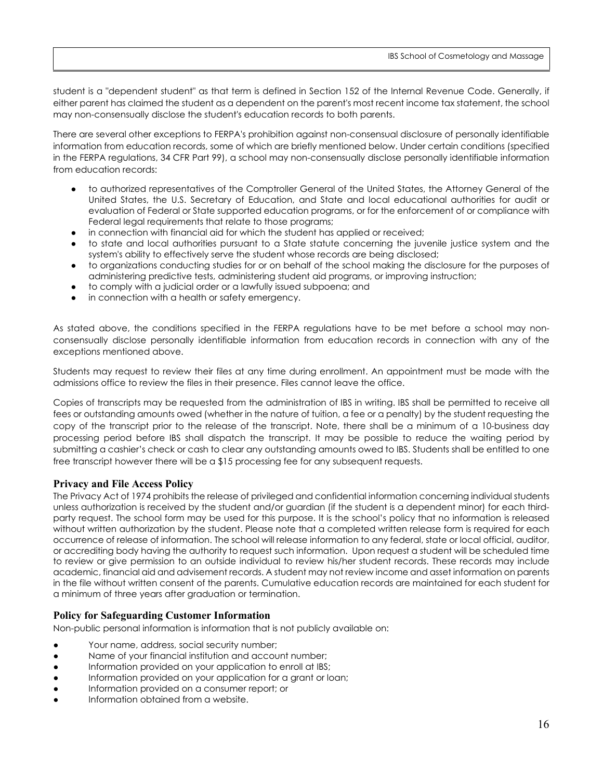student is a "dependent student" as that term is defined in Section 152 of the Internal Revenue Code. Generally, if either parent has claimed the student as a dependent on the parent's most recent income tax statement, the school may non-consensually disclose the student's education records to both parents.

There are several other exceptions to FERPA's prohibition against non-consensual disclosure of personally identifiable information from education records, some of which are briefly mentioned below. Under certain conditions (specified in the FERPA regulations, 34 CFR Part 99), a school may non-consensually disclose personally identifiable information from education records:

- to authorized representatives of the Comptroller General of the United States, the Attorney General of the United States, the U.S. Secretary of Education, and State and local educational authorities for audit or evaluation of Federal or State supported education programs, or for the enforcement of or compliance with Federal legal requirements that relate to those programs;
- in connection with financial aid for which the student has applied or received;
- to state and local authorities pursuant to a State statute concerning the juvenile justice system and the system's ability to effectively serve the student whose records are being disclosed;
- to organizations conducting studies for or on behalf of the school making the disclosure for the purposes of administering predictive tests, administering student aid programs, or improving instruction;
- to comply with a judicial order or a lawfully issued subpoena; and
- in connection with a health or safety emergency.

As stated above, the conditions specified in the FERPA regulations have to be met before a school may nonconsensually disclose personally identifiable information from education records in connection with any of the exceptions mentioned above.

Students may request to review their files at any time during enrollment. An appointment must be made with the admissions office to review the files in their presence. Files cannot leave the office.

Copies of transcripts may be requested from the administration of IBS in writing. IBS shall be permitted to receive all fees or outstanding amounts owed (whether in the nature of tuition, a fee or a penalty) by the student requesting the copy of the transcript prior to the release of the transcript. Note, there shall be a minimum of a 10-business day processing period before IBS shall dispatch the transcript. It may be possible to reduce the waiting period by submitting a cashier's check or cash to clear any outstanding amounts owed to IBS. Students shall be entitled to one free transcript however there will be a \$15 processing fee for any subsequent requests.

## <span id="page-15-0"></span>**Privacy and File Access Policy**

The Privacy Act of 1974 prohibits the release of privileged and confidential information concerning individual students unless authorization is received by the student and/or guardian (if the student is a dependent minor) for each thirdparty request. The school form may be used for this purpose. It is the school's policy that no information is released without written authorization by the student. Please note that a completed written release form is required for each occurrence of release of information. The school will release information to any federal, state or local official, auditor, or accrediting body having the authority to request such information. Upon request a student will be scheduled time to review or give permission to an outside individual to review his/her student records. These records may include academic, financial aid and advisement records. A student may not review income and asset information on parents in the file without written consent of the parents. Cumulative education records are maintained for each student for a minimum of three years after graduation or termination.

## <span id="page-15-1"></span>**Policy for Safeguarding Customer Information**

Non-public personal information is information that is not publicly available on:

- Your name, address, social security number;
- Name of your financial institution and account number;
- Information provided on your application to enroll at IBS;
- Information provided on your application for a grant or loan;
- Information provided on a consumer report; or
- Information obtained from a website.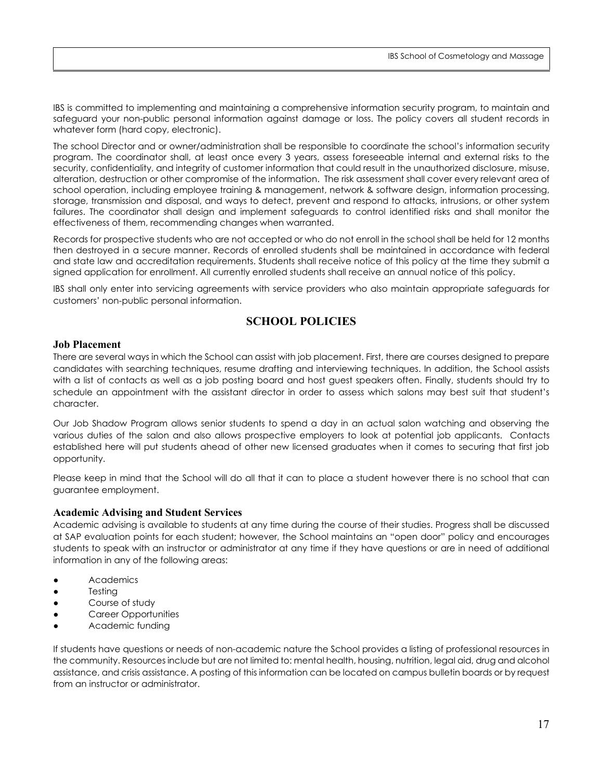IBS is committed to implementing and maintaining a comprehensive information security program, to maintain and safeguard your non-public personal information against damage or loss. The policy covers all student records in whatever form (hard copy, electronic).

The school Director and or owner/administration shall be responsible to coordinate the school's information security program. The coordinator shall, at least once every 3 years, assess foreseeable internal and external risks to the security, confidentiality, and integrity of customer information that could result in the unauthorized disclosure, misuse, alteration, destruction or other compromise of the information. The risk assessment shall cover every relevant area of school operation, including employee training & management, network & software design, information processing, storage, transmission and disposal, and ways to detect, prevent and respond to attacks, intrusions, or other system failures. The coordinator shall design and implement safeguards to control identified risks and shall monitor the effectiveness of them, recommending changes when warranted.

Records for prospective students who are not accepted or who do not enroll in the school shall be held for 12 months then destroyed in a secure manner. Records of enrolled students shall be maintained in accordance with federal and state law and accreditation requirements. Students shall receive notice of this policy at the time they submit a signed application for enrollment. All currently enrolled students shall receive an annual notice of this policy.

IBS shall only enter into servicing agreements with service providers who also maintain appropriate safeguards for customers' non-public personal information.

## **SCHOOL POLICIES**

#### <span id="page-16-1"></span><span id="page-16-0"></span>**Job Placement**

There are several ways in which the School can assist with job placement. First, there are courses designed to prepare candidates with searching techniques, resume drafting and interviewing techniques. In addition, the School assists with a list of contacts as well as a job posting board and host guest speakers often. Finally, students should try to schedule an appointment with the assistant director in order to assess which salons may best suit that student's character.

Our Job Shadow Program allows senior students to spend a day in an actual salon watching and observing the various duties of the salon and also allows prospective employers to look at potential job applicants. Contacts established here will put students ahead of other new licensed graduates when it comes to securing that first job opportunity.

Please keep in mind that the School will do all that it can to place a student however there is no school that can guarantee employment.

#### <span id="page-16-2"></span>**Academic Advising and Student Services**

Academic advising is available to students at any time during the course of their studies. Progress shall be discussed at SAP evaluation points for each student; however, the School maintains an "open door" policy and encourages students to speak with an instructor or administrator at any time if they have questions or are in need of additional information in any of the following areas:

- **Academics**
- **Testing**
- Course of study
- **Career Opportunities**
- Academic funding

If students have questions or needs of non-academic nature the School provides a listing of professional resources in the community. Resources include but are not limited to: mental health, housing, nutrition, legal aid, drug and alcohol assistance, and crisis assistance. A posting of this information can be located on campus bulletin boards or by request from an instructor or administrator.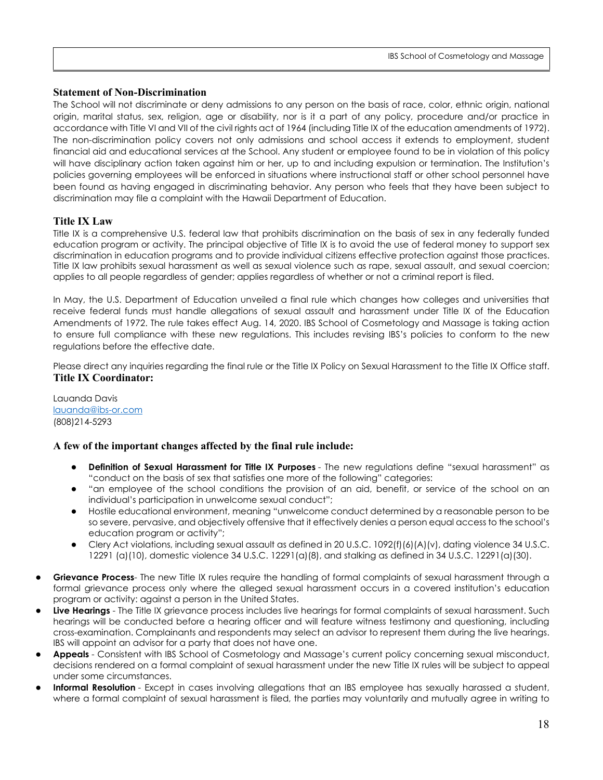## <span id="page-17-0"></span>**Statement of Non-Discrimination**

The School will not discriminate or deny admissions to any person on the basis of race, color, ethnic origin, national origin, marital status, sex, religion, age or disability, nor is it a part of any policy, procedure and/or practice in accordance with Title VI and VII of the civil rights act of 1964 (including Title IX of the education amendments of 1972). The non-discrimination policy covers not only admissions and school access it extends to employment, student financial aid and educational services at the School. Any student or employee found to be in violation of this policy will have disciplinary action taken against him or her, up to and including expulsion or termination. The Institution's policies governing employees will be enforced in situations where instructional staff or other school personnel have been found as having engaged in discriminating behavior. Any person who feels that they have been subject to discrimination may file a complaint with the Hawaii Department of Education.

## <span id="page-17-1"></span>**Title IX Law**

Title IX is a comprehensive U.S. federal law that prohibits discrimination on the basis of sex in any federally funded education program or activity. The principal objective of Title IX is to avoid the use of federal money to support sex discrimination in education programs and to provide individual citizens effective protection against those practices. Title IX law prohibits sexual harassment as well as sexual violence such as rape, sexual assault, and sexual coercion; applies to all people regardless of gender; applies regardless of whether or not a criminal report is filed.

In May, the U.S. Department of Education unveiled a final rule which changes how colleges and universities that receive federal funds must handle allegations of sexual assault and harassment under Title IX of the Education Amendments of 1972. The rule takes effect Aug. 14, 2020. IBS School of Cosmetology and Massage is taking action to ensure full compliance with these new regulations. This includes revising IBS's policies to conform to the new regulations before the effective date.

Please direct any inquiries regarding the final rule or the Title IX Policy on Sexual Harassment to the Title IX Office staff. **Title IX Coordinator:** 

Lauanda Davis [lauanda@ibs-or.com](mailto:lauanda@ibs-or.com) (808)214-5293

## **A few of the important changes affected by the final rule include:**

- **Definition of Sexual Harassment for Title IX Purposes** The new regulations define "sexual harassment" as "conduct on the basis of sex that satisfies one more of the following" categories:
- "an employee of the school conditions the provision of an aid, benefit, or service of the school on an individual's participation in unwelcome sexual conduct";
- Hostile educational environment, meaning "unwelcome conduct determined by a reasonable person to be so severe, pervasive, and objectively offensive that it effectively denies a person equal access to the school's education program or activity";
- Clery Act violations, including sexual assault as defined in 20 U.S.C. 1092(f)(6)(A)(v), dating violence 34 U.S.C. 12291 (a)(10), domestic violence 34 U.S.C. 12291(a)(8), and stalking as defined in 34 U.S.C. 12291(a)(30).
- **Grievance Process** The new Title IX rules require the handling of formal complaints of sexual harassment through a formal grievance process only where the alleged sexual harassment occurs in a covered institution's education program or activity: against a person in the United States.
- **Live Hearings** The Title IX grievance process includes live hearings for formal complaints of sexual harassment. Such hearings will be conducted before a hearing officer and will feature witness testimony and questioning, including cross-examination. Complainants and respondents may select an advisor to represent them during the live hearings. IBS will appoint an advisor for a party that does not have one.
- **Appeals** Consistent with IBS School of Cosmetology and Massage's current policy concerning sexual misconduct, decisions rendered on a formal complaint of sexual harassment under the new Title IX rules will be subject to appeal under some circumstances.
- **Informal Resolution** Except in cases involving allegations that an IBS employee has sexually harassed a student, where a formal complaint of sexual harassment is filed, the parties may voluntarily and mutually agree in writing to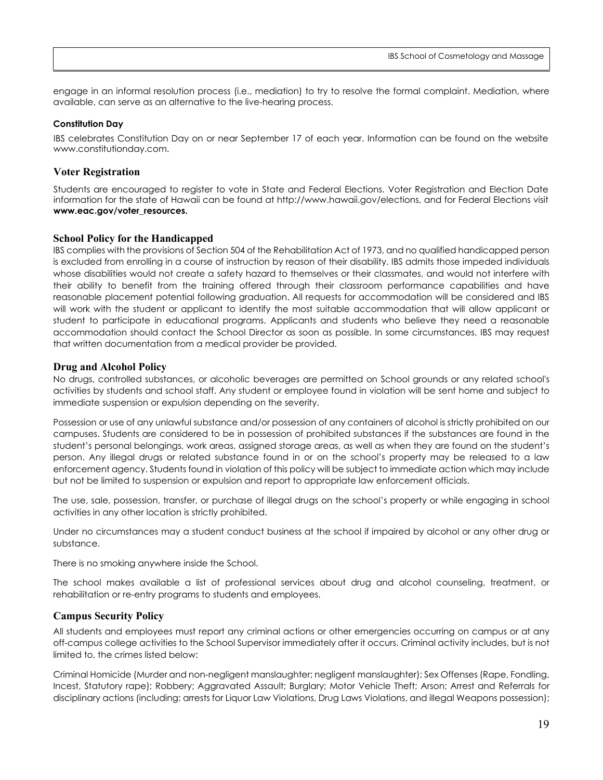engage in an informal resolution process (i.e., mediation) to try to resolve the formal complaint. Mediation, where available, can serve as an alternative to the live-hearing process.

#### **Constitution Day**

IBS celebrates Constitution Day on or near September 17 of each year. Information can be found on the website [www.constitutionday.com.](http://www.constitutionday.com/) 

## **Voter Registration**

Students are encouraged to register to vote in State and Federal Elections. Voter Registration and Election Date information for the state of Hawaii can be found at [http://www.hawaii.gov/elections,](http://www.hawaii.gov/elections) and for Federal Elections visit **www.eac.gov/voter\_resources.**

## **School Policy for the Handicapped**

IBS complies with the provisions of Section 504 of the Rehabilitation Act of 1973, and no qualified handicapped person is excluded from enrolling in a course of instruction by reason of their disability. IBS admits those impeded individuals whose disabilities would not create a safety hazard to themselves or their classmates, and would not interfere with their ability to benefit from the training offered through their classroom performance capabilities and have reasonable placement potential following graduation. All requests for accommodation will be considered and IBS will work with the student or applicant to identify the most suitable accommodation that will allow applicant or student to participate in educational programs. Applicants and students who believe they need a reasonable accommodation should contact the School Director as soon as possible. In some circumstances, IBS may request that written documentation from a medical provider be provided.

## <span id="page-18-0"></span>**Drug and Alcohol Policy**

No drugs, controlled substances, or alcoholic beverages are permitted on School grounds or any related school's activities by students and school staff. Any student or employee found in violation will be sent home and subject to immediate suspension or expulsion depending on the severity.

Possession or use of any unlawful substance and/or possession of any containers of alcohol is strictly prohibited on our campuses. Students are considered to be in possession of prohibited substances if the substances are found in the student's personal belongings, work areas, assigned storage areas, as well as when they are found on the student's person. Any illegal drugs or related substance found in or on the school's property may be released to a law enforcement agency. Students found in violation of this policy will be subject to immediate action which may include but not be limited to suspension or expulsion and report to appropriate law enforcement officials.

The use, sale, possession, transfer, or purchase of illegal drugs on the school's property or while engaging in school activities in any other location is strictly prohibited.

Under no circumstances may a student conduct business at the school if impaired by alcohol or any other drug or substance.

There is no smoking anywhere inside the School.

The school makes available a list of professional services about drug and alcohol counseling, treatment, or rehabilitation or re-entry programs to students and employees.

## **Campus Security Policy**

All students and employees must report any criminal actions or other emergencies occurring on campus or at any off-campus college activities to the School Supervisor immediately after it occurs. Criminal activity includes, but is not limited to, the crimes listed below:

Criminal Homicide (Murder and non-negligent manslaughter; negligent manslaughter); Sex Offenses (Rape, Fondling, Incest, Statutory rape); Robbery; Aggravated Assault; Burglary; Motor Vehicle Theft; Arson; Arrest and Referrals for disciplinary actions (including: arrests for Liquor Law Violations, Drug Laws Violations, and illegal Weapons possession);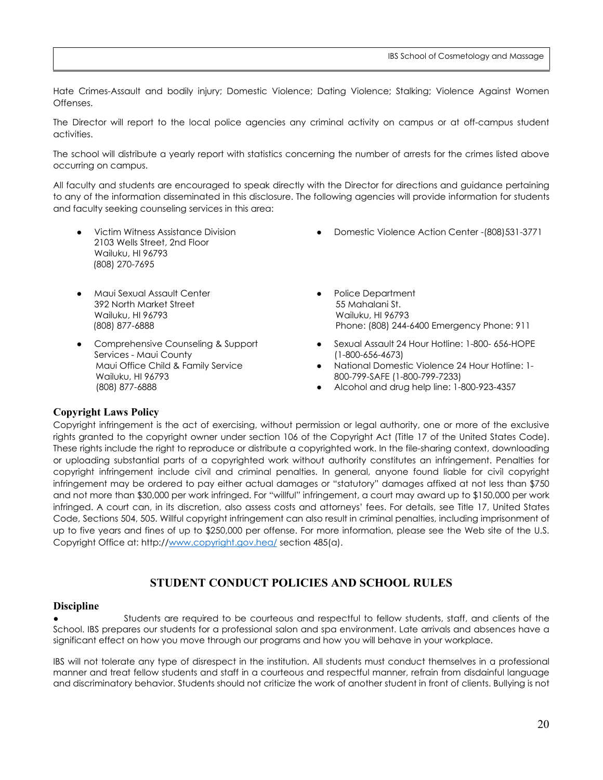Hate Crimes-Assault and bodily injury; Domestic Violence; Dating Violence; Stalking; Violence Against Women Offenses.

The Director will report to the local police agencies any criminal activity on campus or at off-campus student activities.

The school will distribute a yearly report with statistics concerning the number of arrests for the crimes listed above occurring on campus.

All faculty and students are encouraged to speak directly with the Director for directions and guidance pertaining to any of the information disseminated in this disclosure. The following agencies will provide information for students and faculty seeking counseling services in this area:

- Victim Witness Assistance Division 2103 Wells Street, 2nd Floor Wailuku, HI 96793 (808) 270-7695
- [Maui Sexual Assault Center](https://808youth.com/content/maui-sexual-assault-center) 392 North Market Street Wailuku, HI 96793 (808) 877-6888
- Comprehensive Counseling & Support [Services - Maui County](https://808youth.com/content/comprehensive-counseling-support-services-maui-county) Maui Office Child & Family Service Wailuku, HI 96793 (808) 877-6888
- [Domestic Violence Action Center](https://808youth.com/content/domestic-violence-action-center) -(808)531-3771
- Police Department 55 Mahalani St. Wailuku, HI 96793 Phone: (808) 244-6400 Emergency Phone: 911
- Sexual Assault 24 Hour Hotline: 1-800- 656-HOPE (1-800-656-4673)
- National Domestic Violence 24 Hour Hotline: 1- 800-799-SAFE (1-800-799-7233)
- Alcohol and drug help line: 1-800-923-4357

#### <span id="page-19-0"></span>**Copyright Laws Policy**

Copyright infringement is the act of exercising, without permission or legal authority, one or more of the exclusive rights granted to the copyright owner under section 106 of the Copyright Act (Title 17 of the United States Code). These rights include the right to reproduce or distribute a copyrighted work. In the file-sharing context, downloading or uploading substantial parts of a copyrighted work without authority constitutes an infringement. Penalties for copyright infringement include civil and criminal penalties. In general, anyone found liable for civil copyright infringement may be ordered to pay either actual damages or "statutory" damages affixed at not less than \$750 and not more than \$30,000 per work infringed. For "willful" infringement, a court may award up to \$150,000 per work infringed. A court can, in its discretion, also assess costs and attorneys' fees. For details, see Title 17, United States Code, Sections 504, 505. Willful copyright infringement can also result in criminal penalties, including imprisonment of up to five years and fines of up to \$250,000 per offense. For more information, please see the Web site of the U.S. Copyright Office at: http:/[/www.copyright.gov.hea/](http://www.copyright.gov.hea/) section 485(a).

## **STUDENT CONDUCT POLICIES AND SCHOOL RULES**

#### <span id="page-19-2"></span><span id="page-19-1"></span>**Discipline**

Students are required to be courteous and respectful to fellow students, staff, and clients of the School. IBS prepares our students for a professional salon and spa environment. Late arrivals and absences have a significant effect on how you move through our programs and how you will behave in your workplace.

IBS will not tolerate any type of disrespect in the institution. All students must conduct themselves in a professional manner and treat fellow students and staff in a courteous and respectful manner, refrain from disdainful language and discriminatory behavior. Students should not criticize the work of another student in front of clients. Bullying is not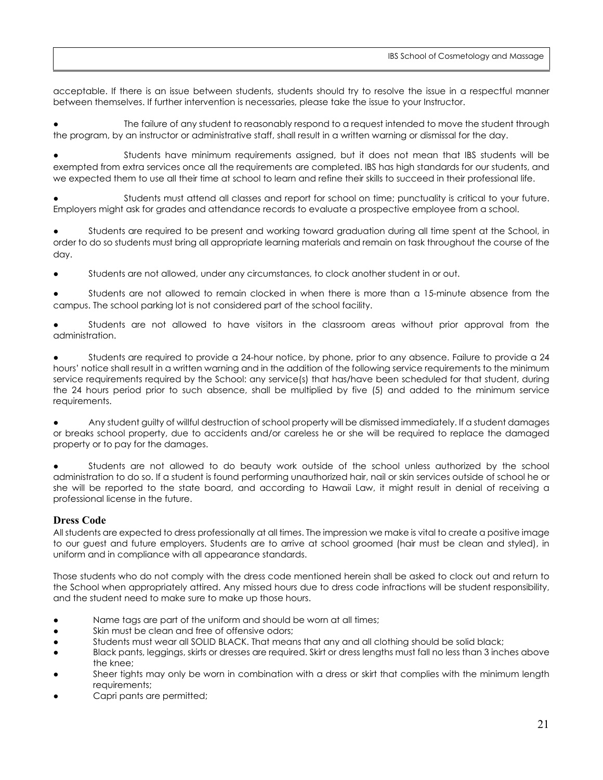acceptable. If there is an issue between students, students should try to resolve the issue in a respectful manner between themselves. If further intervention is necessaries, please take the issue to your Instructor.

The failure of any student to reasonably respond to a request intended to move the student through the program, by an instructor or administrative staff, shall result in a written warning or dismissal for the day.

Students have minimum requirements assigned, but it does not mean that IBS students will be exempted from extra services once all the requirements are completed. IBS has high standards for our students, and we expected them to use all their time at school to learn and refine their skills to succeed in their professional life.

Students must attend all classes and report for school on time; punctuality is critical to your future. Employers might ask for grades and attendance records to evaluate a prospective employee from a school.

Students are required to be present and working toward graduation during all time spent at the School, in order to do so students must bring all appropriate learning materials and remain on task throughout the course of the day.

Students are not allowed, under any circumstances, to clock another student in or out.

Students are not allowed to remain clocked in when there is more than a 15-minute absence from the campus. The school parking lot is not considered part of the school facility.

Students are not allowed to have visitors in the classroom areas without prior approval from the administration.

Students are required to provide a 24-hour notice, by phone, prior to any absence. Failure to provide a 24 hours' notice shall result in a written warning and in the addition of the following service requirements to the minimum service requirements required by the School: any service(s) that has/have been scheduled for that student, during the 24 hours period prior to such absence, shall be multiplied by five (5) and added to the minimum service requirements.

Any student guilty of willful destruction of school property will be dismissed immediately. If a student damages or breaks school property, due to accidents and/or careless he or she will be required to replace the damaged property or to pay for the damages.

Students are not allowed to do beauty work outside of the school unless authorized by the school administration to do so. If a student is found performing unauthorized hair, nail or skin services outside of school he or she will be reported to the state board, and according to Hawaii Law, it might result in denial of receiving a professional license in the future.

## <span id="page-20-0"></span>**Dress Code**

All students are expected to dress professionally at all times. The impression we make is vital to create a positive image to our guest and future employers. Students are to arrive at school groomed (hair must be clean and styled), in uniform and in compliance with all appearance standards.

Those students who do not comply with the dress code mentioned herein shall be asked to clock out and return to the School when appropriately attired. Any missed hours due to dress code infractions will be student responsibility, and the student need to make sure to make up those hours.

- Name tags are part of the uniform and should be worn at all times;
- Skin must be clean and free of offensive odors;
- Students must wear all SOLID BLACK. That means that any and all clothing should be solid black;
- Black pants, leggings, skirts or dresses are required. Skirt or dress lengths must fall no less than 3 inches above the knee;
- Sheer tights may only be worn in combination with a dress or skirt that complies with the minimum length requirements;
- Capri pants are permitted;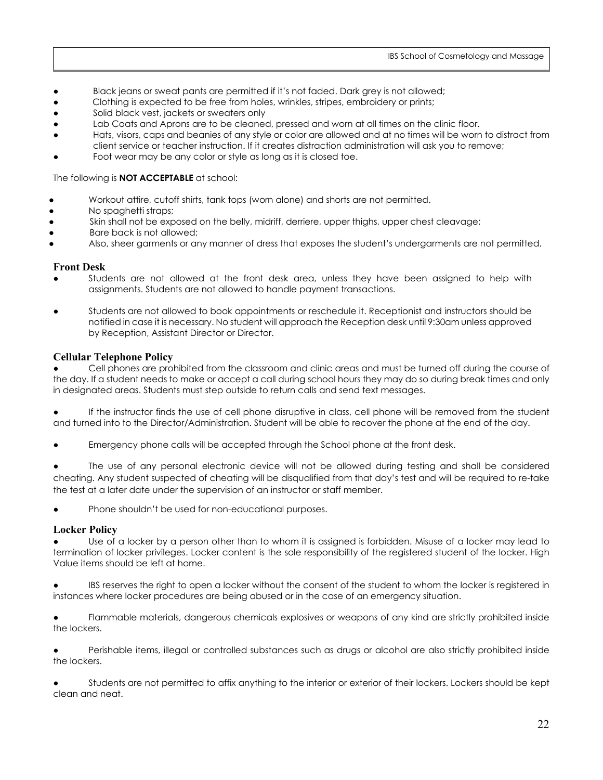- Black jeans or sweat pants are permitted if it's not faded. Dark grey is not allowed;
- Clothing is expected to be free from holes, wrinkles, stripes, embroidery or prints;
- Solid black vest, jackets or sweaters only
- Lab Coats and Aprons are to be cleaned, pressed and worn at all times on the clinic floor.
- Hats, visors, caps and beanies of any style or color are allowed and at no times will be worn to distract from client service or teacher instruction. If it creates distraction administration will ask you to remove;
- Foot wear may be any color or style as long as it is closed toe.

#### The following is **NOT ACCEPTABLE** at school:

- Workout attire, cutoff shirts, tank tops (worn alone) and shorts are not permitted.
- No spaghetti straps;
- Skin shall not be exposed on the belly, midriff, derriere, upper thighs, upper chest cleavage;
- Bare back is not allowed:
- Also, sheer garments or any manner of dress that exposes the student's undergarments are not permitted.

#### **Front Desk**

- Students are not allowed at the front desk area, unless they have been assigned to help with assignments. Students are not allowed to handle payment transactions.
- Students are not allowed to book appointments or reschedule it. Receptionist and instructors should be notified in case it is necessary. No student will approach the Reception desk until 9:30am unless approved by Reception, Assistant Director or Director.

#### **Cellular Telephone Policy**

Cell phones are prohibited from the classroom and clinic areas and must be turned off during the course of the day. If a student needs to make or accept a call during school hours they may do so during break times and only in designated areas. Students must step outside to return calls and send text messages.

If the instructor finds the use of cell phone disruptive in class, cell phone will be removed from the student and turned into to the Director/Administration. Student will be able to recover the phone at the end of the day.

- Emergency phone calls will be accepted through the School phone at the front desk.
- The use of any personal electronic device will not be allowed during testing and shall be considered cheating. Any student suspected of cheating will be disqualified from that day's test and will be required to re-take the test at a later date under the supervision of an instructor or staff member.
- Phone shouldn't be used for non-educational purposes.

## **Locker Policy**

Use of a locker by a person other than to whom it is assigned is forbidden. Misuse of a locker may lead to termination of locker privileges. Locker content is the sole responsibility of the registered student of the locker. High Value items should be left at home.

IBS reserves the right to open a locker without the consent of the student to whom the locker is registered in instances where locker procedures are being abused or in the case of an emergency situation.

Flammable materials, dangerous chemicals explosives or weapons of any kind are strictly prohibited inside the lockers.

Perishable items, illegal or controlled substances such as drugs or alcohol are also strictly prohibited inside the lockers.

Students are not permitted to affix anything to the interior or exterior of their lockers. Lockers should be kept clean and neat.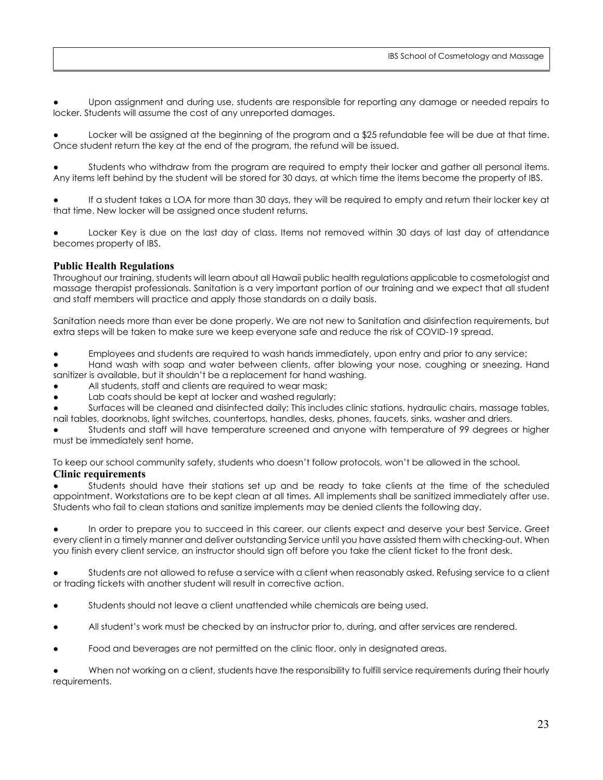Upon assignment and during use, students are responsible for reporting any damage or needed repairs to locker. Students will assume the cost of any unreported damages.

- Locker will be assigned at the beginning of the program and a \$25 refundable fee will be due at that time. Once student return the key at the end of the program, the refund will be issued.
- Students who withdraw from the program are required to empty their locker and gather all personal items. Any items left behind by the student will be stored for 30 days, at which time the items become the property of IBS.
- If a student takes a LOA for more than 30 days, they will be required to empty and return their locker key at that time. New locker will be assigned once student returns.
- Locker Key is due on the last day of class. Items not removed within 30 days of last day of attendance becomes property of IBS.

## **Public Health Regulations**

Throughout our training, students will learn about all Hawaii public health regulations applicable to cosmetologist and massage therapist professionals. Sanitation is a very important portion of our training and we expect that all student and staff members will practice and apply those standards on a daily basis.

Sanitation needs more than ever be done properly. We are not new to Sanitation and disinfection requirements, but extra steps will be taken to make sure we keep everyone safe and reduce the risk of COVID-19 spread.

- Employees and students are required to wash hands immediately, upon entry and prior to any service;
- Hand wash with soap and water between clients, after blowing your nose, coughing or sneezing. Hand sanitizer is available, but it shouldn't be a replacement for hand washing.
- All students, staff and clients are required to wear mask;
- Lab coats should be kept at locker and washed regularly;
- Surfaces will be cleaned and disinfected daily; This includes clinic stations, hydraulic chairs, massage tables, nail tables, doorknobs, light switches, countertops, handles, desks, phones, faucets, sinks, washer and driers.

Students and staff will have temperature screened and anyone with temperature of 99 degrees or higher must be immediately sent home.

To keep our school community safety, students who doesn't follow protocols, won't be allowed in the school.

#### **Clinic requirements**

Students should have their stations set up and be ready to take clients at the time of the scheduled appointment. Workstations are to be kept clean at all times. All implements shall be sanitized immediately after use. Students who fail to clean stations and sanitize implements may be denied clients the following day.

In order to prepare you to succeed in this career, our clients expect and deserve your best Service. Greet every client in a timely manner and deliver outstanding Service until you have assisted them with checking-out. When you finish every client service, an instructor should sign off before you take the client ticket to the front desk.

Students are not allowed to refuse a service with a client when reasonably asked. Refusing service to a client or trading tickets with another student will result in corrective action.

- Students should not leave a client unattended while chemicals are being used.
- All student's work must be checked by an instructor prior to, during, and after services are rendered.
- Food and beverages are not permitted on the clinic floor, only in designated areas.

When not working on a client, students have the responsibility to fulfill service requirements during their hourly requirements.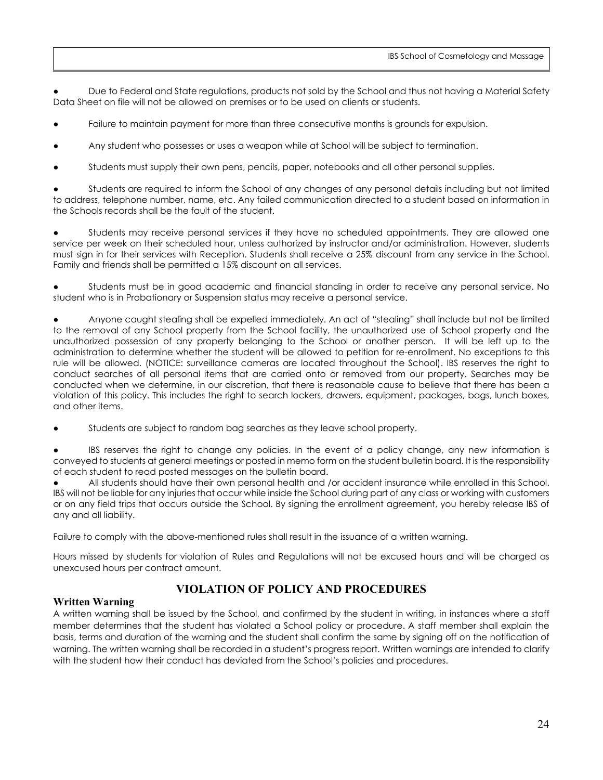Due to Federal and State regulations, products not sold by the School and thus not having a Material Safety Data Sheet on file will not be allowed on premises or to be used on clients or students.

- Failure to maintain payment for more than three consecutive months is grounds for expulsion.
- Any student who possesses or uses a weapon while at School will be subject to termination.
- Students must supply their own pens, pencils, paper, notebooks and all other personal supplies.

Students are required to inform the School of any changes of any personal details including but not limited to address, telephone number, name, etc. Any failed communication directed to a student based on information in the Schools records shall be the fault of the student.

Students may receive personal services if they have no scheduled appointments. They are allowed one service per week on their scheduled hour, unless authorized by instructor and/or administration. However, students must sign in for their services with Reception. Students shall receive a 25% discount from any service in the School. Family and friends shall be permitted a 15% discount on all services.

Students must be in good academic and financial standing in order to receive any personal service. No student who is in Probationary or Suspension status may receive a personal service.

Anyone caught stealing shall be expelled immediately. An act of "stealing" shall include but not be limited to the removal of any School property from the School facility, the unauthorized use of School property and the unauthorized possession of any property belonging to the School or another person. It will be left up to the administration to determine whether the student will be allowed to petition for re-enrollment. No exceptions to this rule will be allowed. (NOTICE: surveillance cameras are located throughout the School). IBS reserves the right to conduct searches of all personal items that are carried onto or removed from our property. Searches may be conducted when we determine, in our discretion, that there is reasonable cause to believe that there has been a violation of this policy. This includes the right to search lockers, drawers, equipment, packages, bags, lunch boxes, and other items.

Students are subject to random bag searches as they leave school property.

IBS reserves the right to change any policies. In the event of a policy change, any new information is conveyed to students at general meetings or posted in memo form on the student bulletin board. It is the responsibility of each student to read posted messages on the bulletin board.

All students should have their own personal health and /or accident insurance while enrolled in this School. IBS will not be liable for any injuries that occur while inside the School during part of any class or working with customers or on any field trips that occurs outside the School. By signing the enrollment agreement, you hereby release IBS of any and all liability.

Failure to comply with the above-mentioned rules shall result in the issuance of a written warning.

Hours missed by students for violation of Rules and Regulations will not be excused hours and will be charged as unexcused hours per contract amount.

## **VIOLATION OF POLICY AND PROCEDURES**

## <span id="page-23-0"></span>**Written Warning**

A written warning shall be issued by the School, and confirmed by the student in writing, in instances where a staff member determines that the student has violated a School policy or procedure. A staff member shall explain the basis, terms and duration of the warning and the student shall confirm the same by signing off on the notification of warning. The written warning shall be recorded in a student's progress report. Written warnings are intended to clarify with the student how their conduct has deviated from the School's policies and procedures.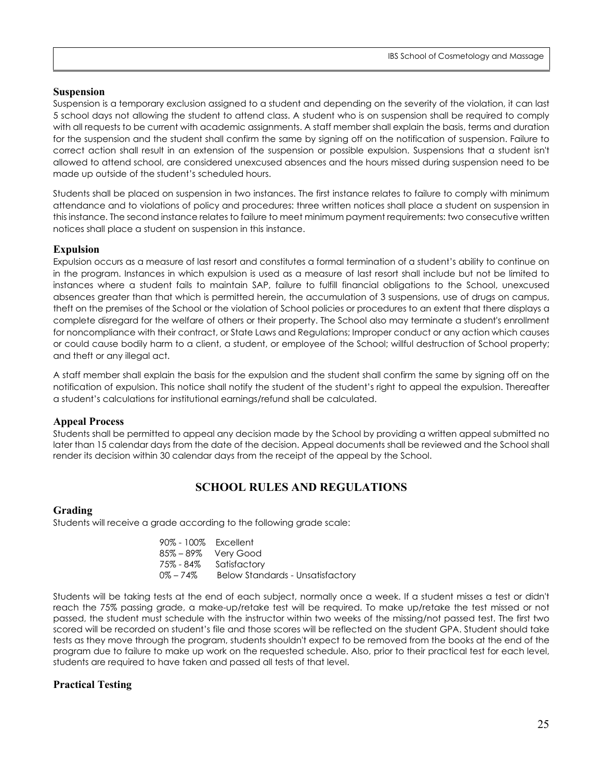#### **Suspension**

Suspension is a temporary exclusion assigned to a student and depending on the severity of the violation, it can last 5 school days not allowing the student to attend class. A student who is on suspension shall be required to comply with all requests to be current with academic assignments. A staff member shall explain the basis, terms and duration for the suspension and the student shall confirm the same by signing off on the notification of suspension. Failure to correct action shall result in an extension of the suspension or possible expulsion. Suspensions that a student isn't allowed to attend school, are considered unexcused absences and the hours missed during suspension need to be made up outside of the student's scheduled hours.

Students shall be placed on suspension in two instances. The first instance relates to failure to comply with minimum attendance and to violations of policy and procedures: three written notices shall place a student on suspension in this instance. The second instance relates to failure to meet minimum payment requirements: two consecutive written notices shall place a student on suspension in this instance.

#### **Expulsion**

Expulsion occurs as a measure of last resort and constitutes a formal termination of a student's ability to continue on in the program. Instances in which expulsion is used as a measure of last resort shall include but not be limited to instances where a student fails to maintain SAP, failure to fulfill financial obligations to the School, unexcused absences greater than that which is permitted herein, the accumulation of 3 suspensions, use of drugs on campus, theft on the premises of the School or the violation of School policies or procedures to an extent that there displays a complete disregard for the welfare of others or their property. The School also may terminate a student's enrollment for noncompliance with their contract, or State Laws and Regulations; Improper conduct or any action which causes or could cause bodily harm to a client, a student, or employee of the School; willful destruction of School property; and theft or any illegal act.

A staff member shall explain the basis for the expulsion and the student shall confirm the same by signing off on the notification of expulsion. This notice shall notify the student of the student's right to appeal the expulsion. Thereafter a student's calculations for institutional earnings/refund shall be calculated.

#### **Appeal Process**

Students shall be permitted to appeal any decision made by the School by providing a written appeal submitted no later than 15 calendar days from the date of the decision. Appeal documents shall be reviewed and the School shall render its decision within 30 calendar days from the receipt of the appeal by the School.

## **SCHOOL RULES AND REGULATIONS**

#### <span id="page-24-0"></span>**Grading**

Students will receive a grade according to the following grade scale:

| 90% - 100% Excellent |                                         |
|----------------------|-----------------------------------------|
|                      | 85% – 89% Very Good                     |
| 75% - 84%            | Satisfactory                            |
| $0\% - 74\%$         | <b>Below Standards - Unsatisfactory</b> |

Students will be taking tests at the end of each subject, normally once a week. If a student misses a test or didn't reach the 75% passing grade, a make-up/retake test will be required. To make up/retake the test missed or not passed, the student must schedule with the instructor within two weeks of the missing/not passed test. The first two scored will be recorded on student's file and those scores will be reflected on the student GPA. Student should take tests as they move through the program, students shouldn't expect to be removed from the books at the end of the program due to failure to make up work on the requested schedule. Also, prior to their practical test for each level, students are required to have taken and passed all tests of that level.

## **Practical Testing**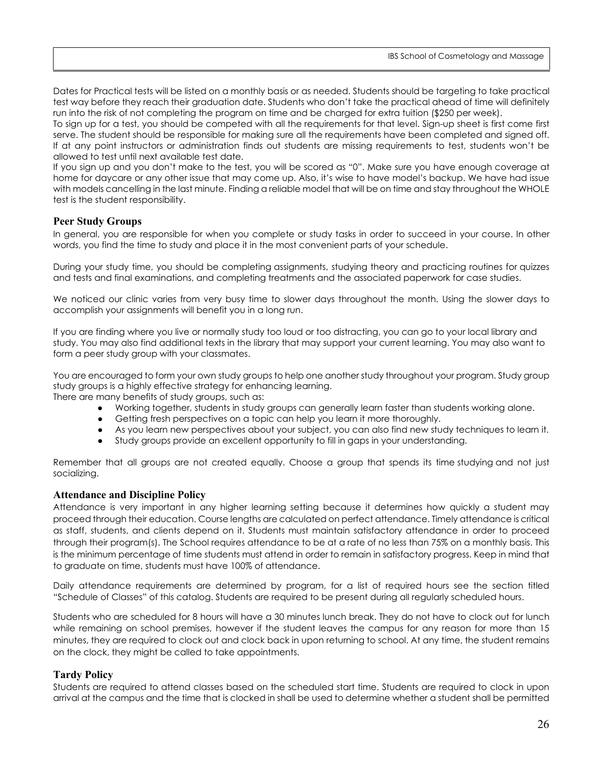Dates for Practical tests will be listed on a monthly basis or as needed. Students should be targeting to take practical test way before they reach their graduation date. Students who don't take the practical ahead of time will definitely run into the risk of not completing the program on time and be charged for extra tuition (\$250 per week).

To sign up for a test, you should be competed with all the requirements for that level. Sign-up sheet is first come first serve. The student should be responsible for making sure all the requirements have been completed and signed off. If at any point instructors or administration finds out students are missing requirements to test, students won't be allowed to test until next available test date.

If you sign up and you don't make to the test, you will be scored as "0". Make sure you have enough coverage at home for daycare or any other issue that may come up. Also, it's wise to have model's backup. We have had issue with models cancelling in the last minute. Finding a reliable model that will be on time and stay throughout the WHOLE test is the student responsibility.

#### **Peer Study Groups**

In general, you are responsible for when you complete or study tasks in order to succeed in your course. In other words, you find the time to study and place it in the most convenient parts of your schedule.

During your study time, you should be completing [assignments,](https://www.nasa.co.nz/students/assessments/assignments/) studying theory and practicing routines for [quizzes](https://www.nasa.co.nz/students/assessments/tests/)  [and tests](https://www.nasa.co.nz/students/assessments/tests/) and [final examinations,](https://www.nasa.co.nz/students/assessments/final-examinations/) and completing treatments and the associated paperwork for [case studies.](https://www.nasa.co.nz/students/assessments/case-studies/)

We noticed our clinic varies from very busy time to slower days throughout the month. Using the slower days to accomplish your assignments will benefit you in a long run.

If you are finding where you live or normally study too loud or too distracting, you can go to your local library and study. You may also find additional texts in the library that may support your current learning. You may also want to form a [peer study group](https://www.nasa.co.nz/students/during-your-course/learning-and-studying/#peer-study-groups) with your classmates.

You are encouraged to form your own study groups to help one another study throughout your program. Study group study groups is a highly effective strategy for enhancing learning.

There are many benefits of study groups, such as:

- Working together, students in [study](https://speedyprep.com/tag/study/) groups can generally learn faster than students working alone.
- Getting fresh perspectives on a topic can help you learn it more thoroughly.
- As you learn new perspectives about your subject, you can also find new [study](https://speedyprep.com/tag/study/) techniques to learn it.
- [Study](https://speedyprep.com/tag/study/) groups provide an excellent opportunity to fill in gaps in your understanding.

Remember that all groups are not created equally. Choose a group that spends its time studying and not just socializing.

#### **Attendance and Discipline Policy**

Attendance is very important in any higher learning setting because it determines how quickly a student may proceed through their education. Course lengths are calculated on perfect attendance. Timely attendance is critical as staff, students, and clients depend on it. Students must maintain satisfactory attendance in order to proceed through their program(s). The School requires attendance to be at a rate of no less than 75% on a monthly basis. This is the minimum percentage of time students must attend in order to remain in satisfactory progress. Keep in mind that to graduate on time, students must have 100% of attendance.

Daily attendance requirements are determined by program, for a list of required hours see the section titled "Schedule of Classes" of this catalog. Students are required to be present during all regularly scheduled hours.

Students who are scheduled for 8 hours will have a 30 minutes lunch break. They do not have to clock out for lunch while remaining on school premises, however if the student leaves the campus for any reason for more than 15 minutes, they are required to clock out and clock back in upon returning to school. At any time, the student remains on the clock, they might be called to take appointments.

## **Tardy Policy**

Students are required to attend classes based on the scheduled start time. Students are required to clock in upon arrival at the campus and the time that is clocked in shall be used to determine whether a student shall be permitted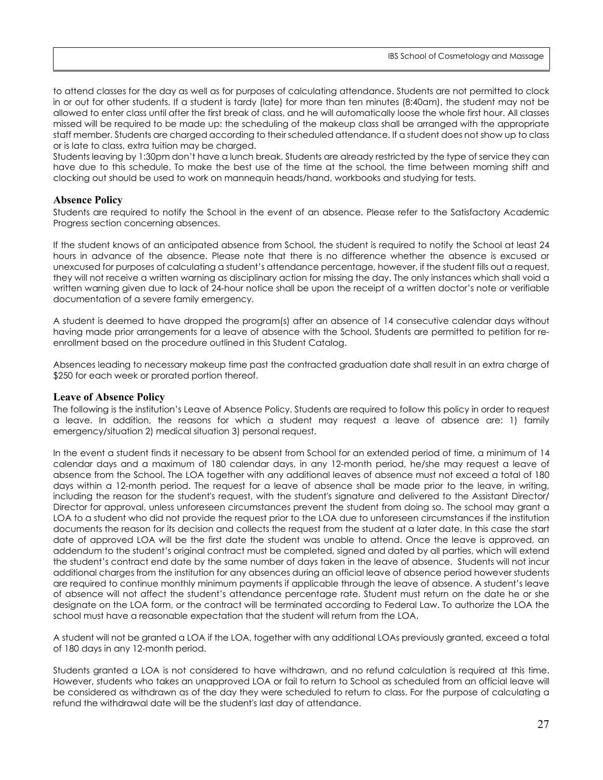to attend classes for the day as well as for purposes of calculating attendance. Students are not permitted to clock in or out for other students. If a student is tardy (late) for more than ten minutes (8:40am), the student may not be allowed to enter class until after the first break of class, and he will automatically loose the whole first hour. All classes missed will be required to be made up: the scheduling of the makeup class shall be arranged with the appropriate staff member. Students are charged according to their scheduled attendance. If a student does not show up to class or is late to class, extra tuition may be charged.

Students leaving by 1:30pm don't have a lunch break. Students are already restricted by the type of service they can have due to this schedule. To make the best use of the time at the school, the time between morning shift and clocking out should be used to work on mannequin heads/hand, workbooks and studying for tests.

#### **Absence Policy**

Students are required to notify the School in the event of an absence. Please refer to the Satisfactory Academic Progress section concerning absences.

If the student knows of an anticipated absence from School, the student is required to notify the School at least 24 hours in advance of the absence. Please note that there is no difference whether the absence is excused or unexcused for purposes of calculating a student's attendance percentage, however, if the student fills out a request, they will not receive a written warning as disciplinary action for missing the day. The only instances which shall void a written warning given due to lack of 24-hour notice shall be upon the receipt of a written doctor's note or verifiable documentation of a severe family emergency.

A student is deemed to have dropped the program(s) after an absence of 14 consecutive calendar days without having made prior arrangements for a leave of absence with the School. Students are permitted to petition for reenrollment based on the procedure outlined in this Student Catalog.

Absences leading to necessary makeup time past the contracted graduation date shall result in an extra charge of \$250 for each week or prorated portion thereof.

#### **Leave of Absence Policy**

The following is the institution's Leave of Absence Policy. Students are required to follow this policy in order to request a leave. In addition, the reasons for which a student may request a leave of absence are: 1) family emergency/situation 2) medical situation 3) personal request.

In the event a student finds it necessary to be absent from School for an extended period of time, a minimum of 14 calendar days and a maximum of 180 calendar days, in any 12-month period, he/she may request a leave of absence from the School. The LOA together with any additional leaves of absence must not exceed a total of 180 days within a 12-month period. The request for a leave of absence shall be made prior to the leave, in writing, including the reason for the student's request, with the student's signature and delivered to the Assistant Director/ Director for approval, unless unforeseen circumstances prevent the student from doing so. The school may grant a LOA to a student who did not provide the request prior to the LOA due to unforeseen circumstances if the institution documents the reason for its decision and collects the request from the student at a later date. In this case the start date of approved LOA will be the first date the student was unable to attend. Once the leave is approved, an addendum to the student's original contract must be completed, signed and dated by all parties, which will extend the student's contract end date by the same number of days taken in the leave of absence. Students will not incur additional charges from the institution for any absences during an official leave of absence period however students are required to continue monthly minimum payments if applicable through the leave of absence. A student's leave of absence will not affect the student's attendance percentage rate. Student must return on the date he or she designate on the LOA form, or the contract will be terminated according to Federal Law. To authorize the LOA the school must have a reasonable expectation that the student will return from the LOA.

A student will not be granted a LOA if the LOA, together with any additional LOAs previously granted, exceed a total of 180 days in any 12-month period.

Students granted a LOA is not considered to have withdrawn, and no refund calculation is required at this time. However, students who takes an unapproved LOA or fail to return to School as scheduled from an official leave will be considered as withdrawn as of the day they were scheduled to return to class. For the purpose of calculating a refund the withdrawal date will be the student's last day of attendance.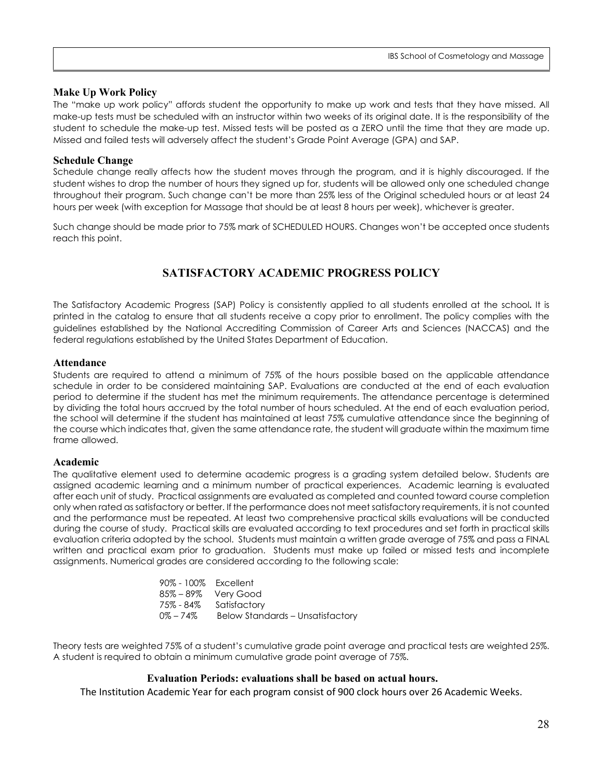#### **Make Up Work Policy**

The "make up work policy" affords student the opportunity to make up work and tests that they have missed. All make-up tests must be scheduled with an instructor within two weeks of its original date. It is the responsibility of the student to schedule the make-up test. Missed tests will be posted as a ZERO until the time that they are made up. Missed and failed tests will adversely affect the student's Grade Point Average (GPA) and SAP.

#### **Schedule Change**

Schedule change really affects how the student moves through the program, and it is highly discouraged. If the student wishes to drop the number of hours they signed up for, students will be allowed only one scheduled change throughout their program. Such change can't be more than 25% less of the Original scheduled hours or at least 24 hours per week (with exception for Massage that should be at least 8 hours per week), whichever is greater.

Such change should be made prior to 75% mark of SCHEDULED HOURS. Changes won't be accepted once students reach this point.

## **SATISFACTORY ACADEMIC PROGRESS POLICY**

<span id="page-27-0"></span>The Satisfactory Academic Progress (SAP) Policy is consistently applied to all students enrolled at the school**.** It is printed in the catalog to ensure that all students receive a copy prior to enrollment. The policy complies with the guidelines established by the National Accrediting Commission of Career Arts and Sciences (NACCAS) and the federal regulations established by the United States Department of Education.

#### **Attendance**

Students are required to attend a minimum of 75% of the hours possible based on the applicable attendance schedule in order to be considered maintaining SAP. Evaluations are conducted at the end of each evaluation period to determine if the student has met the minimum requirements. The attendance percentage is determined by dividing the total hours accrued by the total number of hours scheduled. At the end of each evaluation period, the school will determine if the student has maintained at least 75% cumulative attendance since the beginning of the course which indicates that, given the same attendance rate, the student will graduate within the maximum time frame allowed.

#### **Academic**

The qualitative element used to determine academic progress is a grading system detailed below. Students are assigned academic learning and a minimum number of practical experiences. Academic learning is evaluated after each unit of study. Practical assignments are evaluated as completed and counted toward course completion only when rated as satisfactory or better. If the performance does not meet satisfactory requirements, it is not counted and the performance must be repeated. At least two comprehensive practical skills evaluations will be conducted during the course of study. Practical skills are evaluated according to text procedures and set forth in practical skills evaluation criteria adopted by the school. Students must maintain a written grade average of 75% and pass a FINAL written and practical exam prior to graduation. Students must make up failed or missed tests and incomplete assignments. Numerical grades are considered according to the following scale:

> 90% - 100% Excellent 85% – 89% Very Good 75% - 84% Satisfactory 0% – 74% Below Standards – Unsatisfactory

Theory tests are weighted 75% of a student's cumulative grade point average and practical tests are weighted 25%. A student is required to obtain a minimum cumulative grade point average of 75%.

#### **Evaluation Periods: evaluations shall be based on actual hours.**

The Institution Academic Year for each program consist of 900 clock hours over 26 Academic Weeks.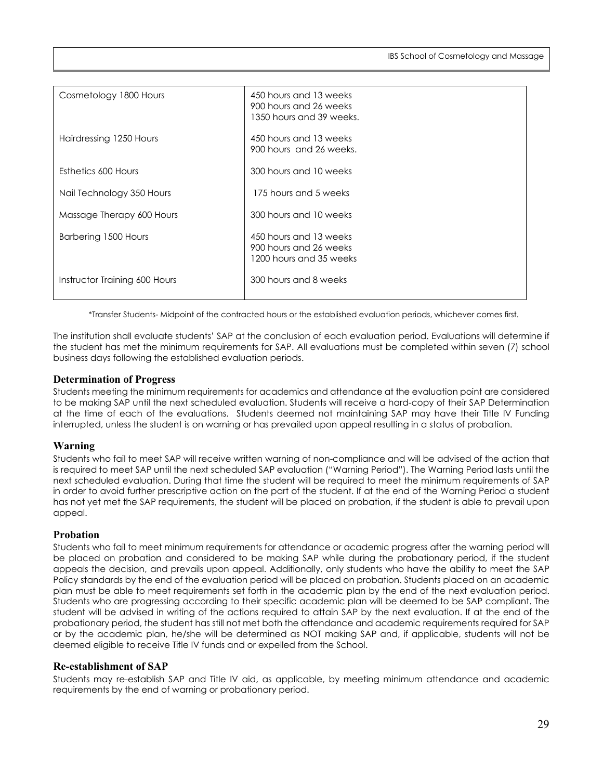| Cosmetology 1800 Hours        | 450 hours and 13 weeks<br>900 hours and 26 weeks<br>1350 hours and 39 weeks. |
|-------------------------------|------------------------------------------------------------------------------|
| Hairdressing 1250 Hours       | 450 hours and 13 weeks<br>900 hours and 26 weeks.                            |
| Esthetics 600 Hours           | 300 hours and 10 weeks                                                       |
| Nail Technology 350 Hours     | 175 hours and 5 weeks                                                        |
| Massage Therapy 600 Hours     | 300 hours and 10 weeks                                                       |
| Barbering 1500 Hours          | 450 hours and 13 weeks<br>900 hours and 26 weeks<br>1200 hours and 35 weeks  |
| Instructor Training 600 Hours | 300 hours and 8 weeks                                                        |

\*Transfer Students- Midpoint of the contracted hours or the established evaluation periods, whichever comes first.

The institution shall evaluate students' SAP at the conclusion of each evaluation period. Evaluations will determine if the student has met the minimum requirements for SAP. All evaluations must be completed within seven (7) school business days following the established evaluation periods.

#### **Determination of Progress**

Students meeting the minimum requirements for academics and attendance at the evaluation point are considered to be making SAP until the next scheduled evaluation. Students will receive a hard-copy of their SAP Determination at the time of each of the evaluations. Students deemed not maintaining SAP may have their Title IV Funding interrupted, unless the student is on warning or has prevailed upon appeal resulting in a status of probation.

## **Warning**

Students who fail to meet SAP will receive written warning of non-compliance and will be advised of the action that is required to meet SAP until the next scheduled SAP evaluation ("Warning Period"). The Warning Period lasts until the next scheduled evaluation. During that time the student will be required to meet the minimum requirements of SAP in order to avoid further prescriptive action on the part of the student. If at the end of the Warning Period a student has not yet met the SAP requirements, the student will be placed on probation, if the student is able to prevail upon appeal.

#### **Probation**

Students who fail to meet minimum requirements for attendance or academic progress after the warning period will be placed on probation and considered to be making SAP while during the probationary period, if the student appeals the decision, and prevails upon appeal. Additionally, only students who have the ability to meet the SAP Policy standards by the end of the evaluation period will be placed on probation. Students placed on an academic plan must be able to meet requirements set forth in the academic plan by the end of the next evaluation period. Students who are progressing according to their specific academic plan will be deemed to be SAP compliant. The student will be advised in writing of the actions required to attain SAP by the next evaluation. If at the end of the probationary period, the student has still not met both the attendance and academic requirements required for SAP or by the academic plan, he/she will be determined as NOT making SAP and, if applicable, students will not be deemed eligible to receive Title IV funds and or expelled from the School.

#### **Re-establishment of SAP**

Students may re-establish SAP and Title IV aid, as applicable, by meeting minimum attendance and academic requirements by the end of warning or probationary period.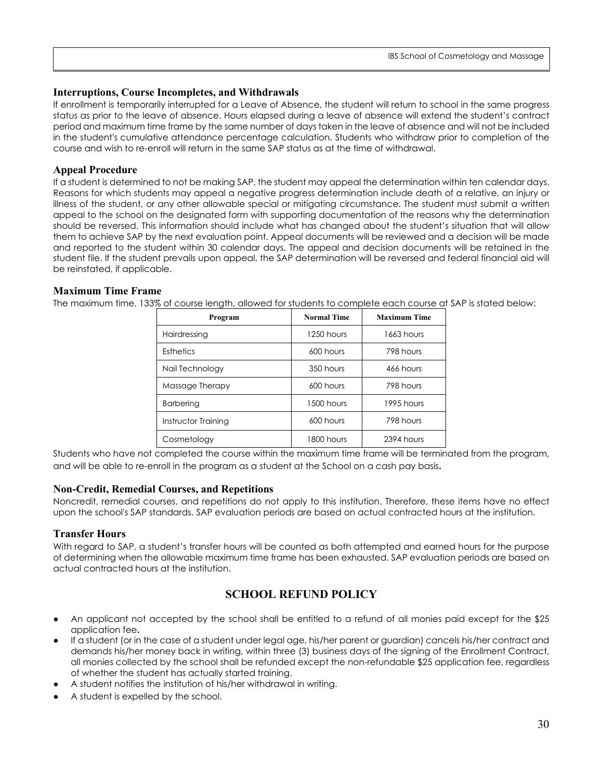## **Interruptions, Course Incompletes, and Withdrawals**

If enrollment is temporarily interrupted for a Leave of Absence, the student will return to school in the same progress status as prior to the leave of absence. Hours elapsed during a leave of absence will extend the student's contract period and maximum time frame by the same number of days taken in the leave of absence and will not be included in the student's cumulative attendance percentage calculation. Students who withdraw prior to completion of the course and wish to re-enroll will return in the same SAP status as at the time of withdrawal.

## **Appeal Procedure**

If a student is determined to not be making SAP, the student may appeal the determination within ten calendar days. Reasons for which students may appeal a negative progress determination include death of a relative, an injury or illness of the student, or any other allowable special or mitigating circumstance. The student must submit a written appeal to the school on the designated form with supporting documentation of the reasons why the determination should be reversed. This information should include what has changed about the student's situation that will allow them to achieve SAP by the next evaluation point. Appeal documents will be reviewed and a decision will be made and reported to the student within 30 calendar days. The appeal and decision documents will be retained in the student file. If the student prevails upon appeal, the SAP determination will be reversed and federal financial aid will be reinstated, if applicable.

## **Maximum Time Frame**

The maximum time, 133% of course length, allowed for students to complete each course at SAP is stated below:

| Program             | <b>Normal Time</b> | <b>Maximum Time</b> |  |
|---------------------|--------------------|---------------------|--|
| Hairdressing        | 1250 hours         | 1663 hours          |  |
| Esthetics           | 600 hours          | 798 hours           |  |
| Nail Technology     | 350 hours          | 466 hours           |  |
| Massage Therapy     | 600 hours          | 798 hours           |  |
| <b>Barbering</b>    | 1500 hours         | 1995 hours          |  |
| Instructor Training | 600 hours          | 798 hours           |  |
| Cosmetology         | 1800 hours         | 2394 hours          |  |

Students who have not completed the course within the maximum time frame will be terminated from the program, and will be able to re-enroll in the program as a student at the School on a cash pay basis**.** 

## **Non-Credit, Remedial Courses, and Repetitions**

Noncredit, remedial courses, and repetitions do not apply to this institution. Therefore, these items have no effect upon the school's SAP standards. SAP evaluation periods are based on actual contracted hours at the institution.

## **Transfer Hours**

With regard to SAP, a student's transfer hours will be counted as both attempted and earned hours for the purpose of determining when the allowable maximum time frame has been exhausted. SAP evaluation periods are based on actual contracted hours at the institution.

## **SCHOOL REFUND POLICY**

- <span id="page-29-0"></span>An applicant not accepted by the school shall be entitled to a refund of all monies paid except for the \$25 application fee**.**
- If a student (or in the case of a student under legal age, his/her parent or guardian) cancels his/her contract and demands his/her money back in writing, within three (3) business days of the signing of the Enrollment Contract, all monies collected by the school shall be refunded except the non-refundable \$25 application fee, regardless of whether the student has actually started training.
- A student notifies the institution of his/her withdrawal in writing.
- A student is expelled by the school.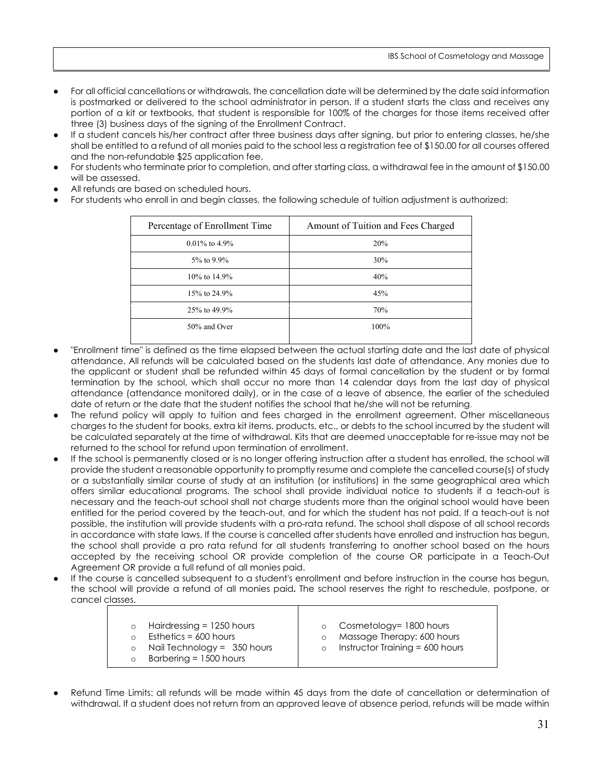- For all official cancellations or withdrawals, the cancellation date will be determined by the date said information is postmarked or delivered to the school administrator in person. If a student starts the class and receives any portion of a kit or textbooks, that student is responsible for 100% of the charges for those items received after three (3) business days of the signing of the Enrollment Contract.
- If a student cancels his/her contract after three business days after signing, but prior to entering classes, he/she shall be entitled to a refund of all monies paid to the school less a registration fee of \$150.00 for all courses offered and the non-refundable \$25 application fee.
- For students who terminate prior to completion, and after starting class, a withdrawal fee in the amount of \$150.00 will be assessed.
- All refunds are based on scheduled hours.
- For students who enroll in and begin classes, the following schedule of tuition adjustment is authorized:

| Percentage of Enrollment Time | Amount of Tuition and Fees Charged |  |
|-------------------------------|------------------------------------|--|
| $0.01\%$ to 4.9%              | 20%                                |  |
| 5% to 9.9%                    | 30%                                |  |
| 10% to 14.9%                  | 40%                                |  |
| 15% to 24.9%                  | 45%                                |  |
| 25% to 49.9%                  | 70%                                |  |
| 50% and Over                  | 100%                               |  |
|                               |                                    |  |

- "Enrollment time" is defined as the time elapsed between the actual starting date and the last date of physical attendance. All refunds will be calculated based on the students last date of attendance. Any monies due to the applicant or student shall be refunded within 45 days of formal cancellation by the student or by formal termination by the school, which shall occur no more than 14 calendar days from the last day of physical attendance (attendance monitored daily), or in the case of a leave of absence, the earlier of the scheduled date of return or the date that the student notifies the school that he/she will not be returning.
- The refund policy will apply to tuition and fees charged in the enrollment agreement. Other miscellaneous charges to the student for books, extra kit items, products, etc., or debts to the school incurred by the student will be calculated separately at the time of withdrawal. Kits that are deemed unacceptable for re-issue may not be returned to the school for refund upon termination of enrollment.
- If the school is permanently closed or is no longer offering instruction after a student has enrolled, the school will provide the student a reasonable opportunity to promptly resume and complete the cancelled course(s) of study or a substantially similar course of study at an institution (or institutions) in the same geographical area which offers similar educational programs. The school shall provide individual notice to students if a teach-out is necessary and the teach-out school shall not charge students more than the original school would have been entitled for the period covered by the teach-out, and for which the student has not paid. If a teach-out is not possible, the institution will provide students with a pro-rata refund. The school shall dispose of all school records in accordance with state laws. If the course is cancelled after students have enrolled and instruction has begun, the school shall provide a pro rata refund for all students transferring to another school based on the hours accepted by the receiving school OR provide completion of the course OR participate in a Teach-Out Agreement OR provide a full refund of all monies paid.
- If the course is cancelled subsequent to a student's enrollment and before instruction in the course has begun, the school will provide a refund of all monies paid**.** The school reserves the right to reschedule, postpone, or cancel classes.

| Hairdressing = 1250 hours<br>Esthetics = $600$ hours<br>Nail Technology = $350$ hours | o Cosmetology= 1800 hours<br>Massage Therapy: 600 hours |
|---------------------------------------------------------------------------------------|---------------------------------------------------------|
|                                                                                       | Instructor Training $= 600$ hours                       |
| Barbering = 1500 hours                                                                |                                                         |

Refund Time Limits: all refunds will be made within 45 days from the date of cancellation or determination of withdrawal. If a student does not return from an approved leave of absence period, refunds will be made within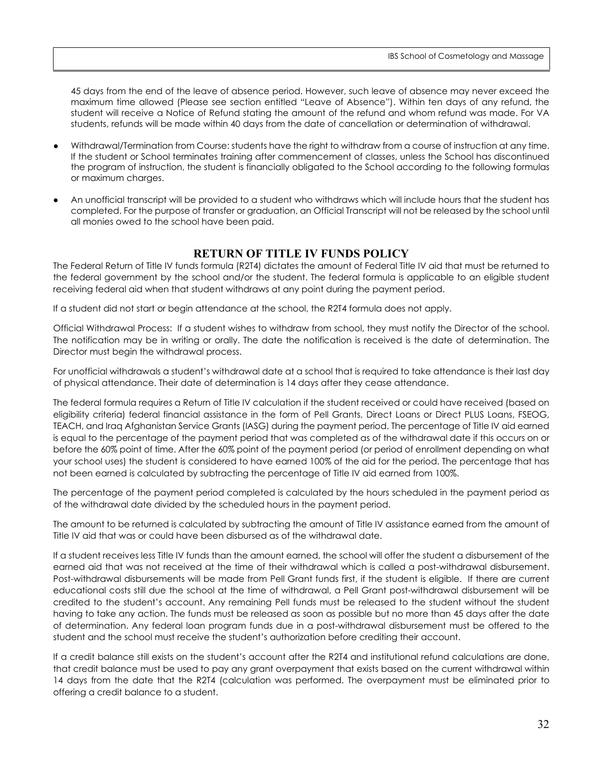45 days from the end of the leave of absence period. However, such leave of absence may never exceed the maximum time allowed (Please see section entitled "Leave of Absence"). Within ten days of any refund, the student will receive a Notice of Refund stating the amount of the refund and whom refund was made. For VA students, refunds will be made within 40 days from the date of cancellation or determination of withdrawal.

- Withdrawal/Termination from Course: students have the right to withdraw from a course of instruction at any time. If the student or School terminates training after commencement of classes, unless the School has discontinued the program of instruction, the student is financially obligated to the School according to the following formulas or maximum charges.
- An unofficial transcript will be provided to a student who withdraws which will include hours that the student has completed. For the purpose of transfer or graduation, an Official Transcript will not be released by the school until all monies owed to the school have been paid.

## **RETURN OF TITLE IV FUNDS POLICY**

<span id="page-31-0"></span>The Federal Return of Title IV funds formula (R2T4) dictates the amount of Federal Title IV aid that must be returned to the federal government by the school and/or the student. The federal formula is applicable to an eligible student receiving federal aid when that student withdraws at any point during the payment period.

If a student did not start or begin attendance at the school, the R2T4 formula does not apply.

Official Withdrawal Process: If a student wishes to withdraw from school, they must notify the Director of the school. The notification may be in writing or orally. The date the notification is received is the date of determination. The Director must begin the withdrawal process.

For unofficial withdrawals a student's withdrawal date at a school that is required to take attendance is their last day of physical attendance. Their date of determination is 14 days after they cease attendance.

The federal formula requires a Return of Title IV calculation if the student received or could have received (based on eligibility criteria) federal financial assistance in the form of Pell Grants, Direct Loans or Direct PLUS Loans, FSEOG, TEACH, and Iraq Afghanistan Service Grants (IASG) during the payment period. The percentage of Title IV aid earned is equal to the percentage of the payment period that was completed as of the withdrawal date if this occurs on or before the 60% point of time. After the 60% point of the payment period (or period of enrollment depending on what your school uses) the student is considered to have earned 100% of the aid for the period. The percentage that has not been earned is calculated by subtracting the percentage of Title IV aid earned from 100%.

The percentage of the payment period completed is calculated by the hours scheduled in the payment period as of the withdrawal date divided by the scheduled hours in the payment period.

The amount to be returned is calculated by subtracting the amount of Title IV assistance earned from the amount of Title IV aid that was or could have been disbursed as of the withdrawal date.

If a student receives less Title IV funds than the amount earned, the school will offer the student a disbursement of the earned aid that was not received at the time of their withdrawal which is called a post-withdrawal disbursement. Post-withdrawal disbursements will be made from Pell Grant funds first, if the student is eligible. If there are current educational costs still due the school at the time of withdrawal, a Pell Grant post-withdrawal disbursement will be credited to the student's account. Any remaining Pell funds must be released to the student without the student having to take any action. The funds must be released as soon as possible but no more than 45 days after the date of determination. Any federal loan program funds due in a post-withdrawal disbursement must be offered to the student and the school must receive the student's authorization before crediting their account.

If a credit balance still exists on the student's account after the R2T4 and institutional refund calculations are done, that credit balance must be used to pay any grant overpayment that exists based on the current withdrawal within 14 days from the date that the R2T4 (calculation was performed. The overpayment must be eliminated prior to offering a credit balance to a student.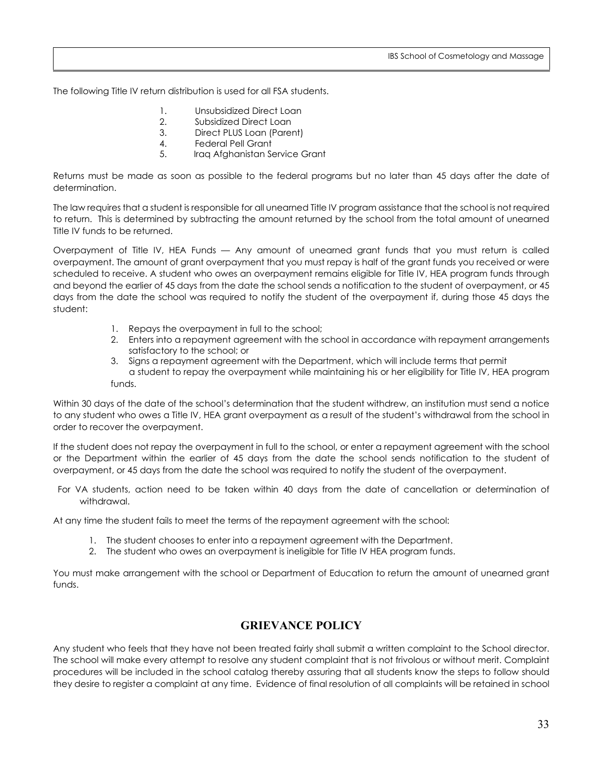The following Title IV return distribution is used for all FSA students.

- 1. Unsubsidized Direct Loan
- 2. Subsidized Direct Loan
- 3. Direct PLUS Loan (Parent)
- 4. Federal Pell Grant
- 5. Iraq Afghanistan Service Grant

Returns must be made as soon as possible to the federal programs but no later than 45 days after the date of determination.

The law requires that a student is responsible for all unearned Title IV program assistance that the school is not required to return. This is determined by subtracting the amount returned by the school from the total amount of unearned Title IV funds to be returned.

Overpayment of Title IV, HEA Funds — Any amount of unearned grant funds that you must return is called overpayment. The amount of grant overpayment that you must repay is half of the grant funds you received or were scheduled to receive. A student who owes an overpayment remains eligible for Title IV, HEA program funds through and beyond the earlier of 45 days from the date the school sends a notification to the student of overpayment, or 45 days from the date the school was required to notify the student of the overpayment if, during those 45 days the student:

- 1. Repays the overpayment in full to the school;
- 2. Enters into a repayment agreement with the school in accordance with repayment arrangements satisfactory to the school; or
- 3. Signs a repayment agreement with the Department, which will include terms that permit a student to repay the overpayment while maintaining his or her eligibility for Title IV, HEA program funds.

Within 30 days of the date of the school's determination that the student withdrew, an institution must send a notice to any student who owes a Title IV, HEA grant overpayment as a result of the student's withdrawal from the school in order to recover the overpayment.

If the student does not repay the overpayment in full to the school, or enter a repayment agreement with the school or the Department within the earlier of 45 days from the date the school sends notification to the student of overpayment, or 45 days from the date the school was required to notify the student of the overpayment.

For VA students, action need to be taken within 40 days from the date of cancellation or determination of withdrawal.

At any time the student fails to meet the terms of the repayment agreement with the school:

- 1. The student chooses to enter into a repayment agreement with the Department.
- 2. The student who owes an overpayment is ineligible for Title IV HEA program funds.

You must make arrangement with the school or Department of Education to return the amount of unearned grant funds.

## **GRIEVANCE POLICY**

<span id="page-32-0"></span>Any student who feels that they have not been treated fairly shall submit a written complaint to the School director. The school will make every attempt to resolve any student complaint that is not frivolous or without merit. Complaint procedures will be included in the school catalog thereby assuring that all students know the steps to follow should they desire to register a complaint at any time. Evidence of final resolution of all complaints will be retained in school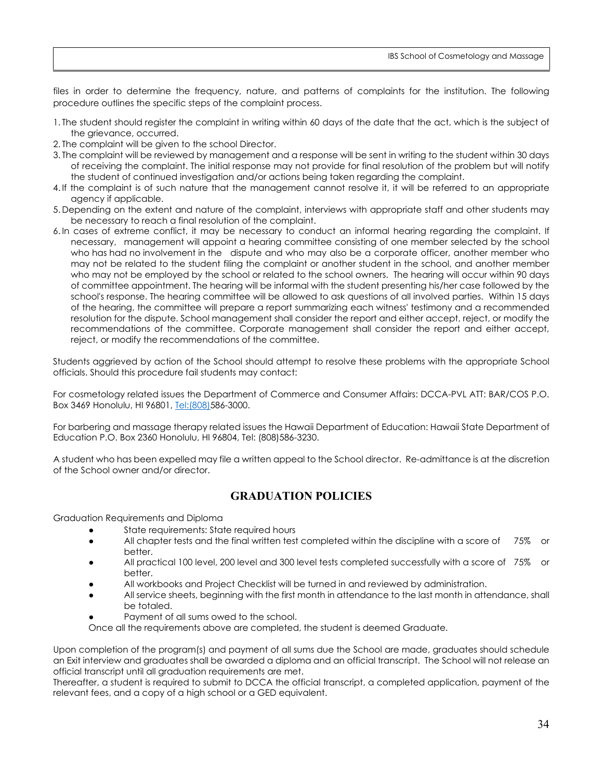files in order to determine the frequency, nature, and patterns of complaints for the institution. The following procedure outlines the specific steps of the complaint process.

- 1. The student should register the complaint in writing within 60 days of the date that the act, which is the subject of the grievance, occurred.
- 2. The complaint will be given to the school Director.
- 3. The complaint will be reviewed by management and a response will be sent in writing to the student within 30 days of receiving the complaint. The initial response may not provide for final resolution of the problem but will notify the student of continued investigation and/or actions being taken regarding the complaint.
- 4. If the complaint is of such nature that the management cannot resolve it, it will be referred to an appropriate agency if applicable.
- 5. Depending on the extent and nature of the complaint, interviews with appropriate staff and other students may be necessary to reach a final resolution of the complaint.
- 6. In cases of extreme conflict, it may be necessary to conduct an informal hearing regarding the complaint. If necessary, management will appoint a hearing committee consisting of one member selected by the school who has had no involvement in the dispute and who may also be a corporate officer, another member who may not be related to the student filing the complaint or another student in the school, and another member who may not be employed by the school or related to the school owners. The hearing will occur within 90 days of committee appointment. The hearing will be informal with the student presenting his/her case followed by the school's response. The hearing committee will be allowed to ask questions of all involved parties. Within 15 days of the hearing, the committee will prepare a report summarizing each witness' testimony and a recommended resolution for the dispute. School management shall consider the report and either accept, reject, or modify the recommendations of the committee. Corporate management shall consider the report and either accept, reject, or modify the recommendations of the committee.

Students aggrieved by action of the School should attempt to resolve these problems with the appropriate School officials. Should this procedure fail students may contact:

For cosmetology related issues the Department of Commerce and Consumer Affairs: DCCA-PVL ATT: BAR/COS P.O. Box 3469 Honolulu, HI 96801, [Tel:\(808\)5](tel:(808))86-3000.

For barbering and massage therapy related issues the Hawaii Department of Education: Hawaii State Department of Education P.O. Box 2360 Honolulu, HI 96804, Tel: (808)586-3230.

A student who has been expelled may file a written appeal to the School director. Re-admittance is at the discretion of the School owner and/or director.

## **GRADUATION POLICIES**

<span id="page-33-0"></span>Graduation Requirements and Diploma

- State requirements: State required hours
- All chapter tests and the final written test completed within the discipline with a score of 75% or better.
- All practical 100 level, 200 level and 300 level tests completed successfully with a score of 75% or better.
- All workbooks and Project Checklist will be turned in and reviewed by administration.
- All service sheets, beginning with the first month in attendance to the last month in attendance, shall be totaled.
- Payment of all sums owed to the school.
- Once all the requirements above are completed, the student is deemed Graduate.

Upon completion of the program(s) and payment of all sums due the School are made, graduates should schedule an Exit interview and graduates shall be awarded a diploma and an official transcript. The School will not release an official transcript until all graduation requirements are met.

Thereafter, a student is required to submit to DCCA the official transcript, a completed application, payment of the relevant fees, and a copy of a high school or a GED equivalent.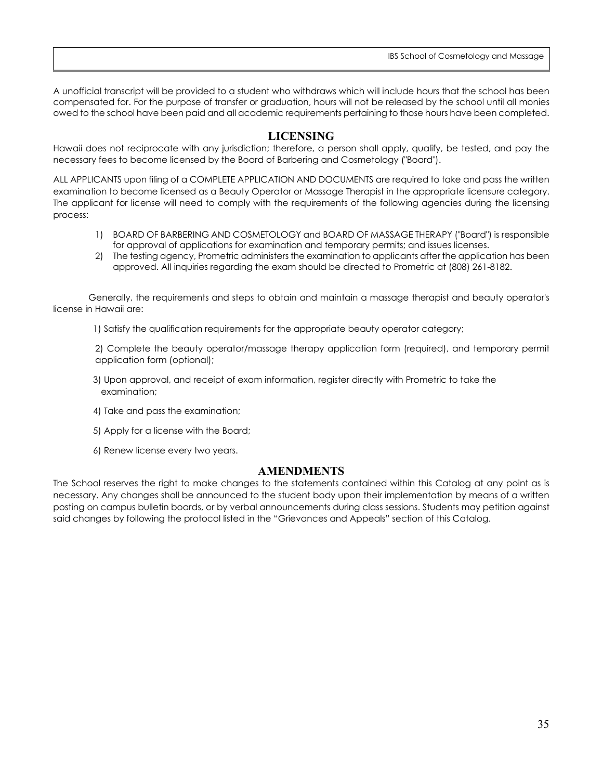IBS School of Cosmetology and Massage

A unofficial transcript will be provided to a student who withdraws which will include hours that the school has been compensated for. For the purpose of transfer or graduation, hours will not be released by the school until all monies owed to the school have been paid and all academic requirements pertaining to those hours have been completed.

## **LICENSING**

<span id="page-34-0"></span>Hawaii does not reciprocate with any jurisdiction; therefore, a person shall apply, qualify, be tested, and pay the necessary fees to become licensed by the Board of Barbering and Cosmetology ("Board").

ALL APPLICANTS upon filing of a COMPLETE APPLICATION AND DOCUMENTS are required to take and pass the written examination to become licensed as a Beauty Operator or Massage Therapist in the appropriate licensure category. The applicant for license will need to comply with the requirements of the following agencies during the licensing process:

- 1) BOARD OF BARBERING AND COSMETOLOGY and BOARD OF MASSAGE THERAPY ("Board") is responsible for approval of applications for examination and temporary permits; and issues licenses.
- 2) The testing agency, Prometric administers the examination to applicants after the application has been approved. All inquiries regarding the exam should be directed to Prometric at (808) 261-8182.

Generally, the requirements and steps to obtain and maintain a massage therapist and beauty operator's license in Hawaii are:

1) Satisfy the qualification requirements for the appropriate beauty operator category;

2) Complete the beauty operator/massage therapy application form (required), and temporary permit application form (optional);

- 3) Upon approval, and receipt of exam information, register directly with Prometric to take the examination;
- 4) Take and pass the examination;
- 5) Apply for a license with the Board;
- 6) Renew license every two years.

## **AMENDMENTS**

<span id="page-34-1"></span>The School reserves the right to make changes to the statements contained within this Catalog at any point as is necessary. Any changes shall be announced to the student body upon their implementation by means of a written posting on campus bulletin boards, or by verbal announcements during class sessions. Students may petition against said changes by following the protocol listed in the "Grievances and Appeals" section of this Catalog.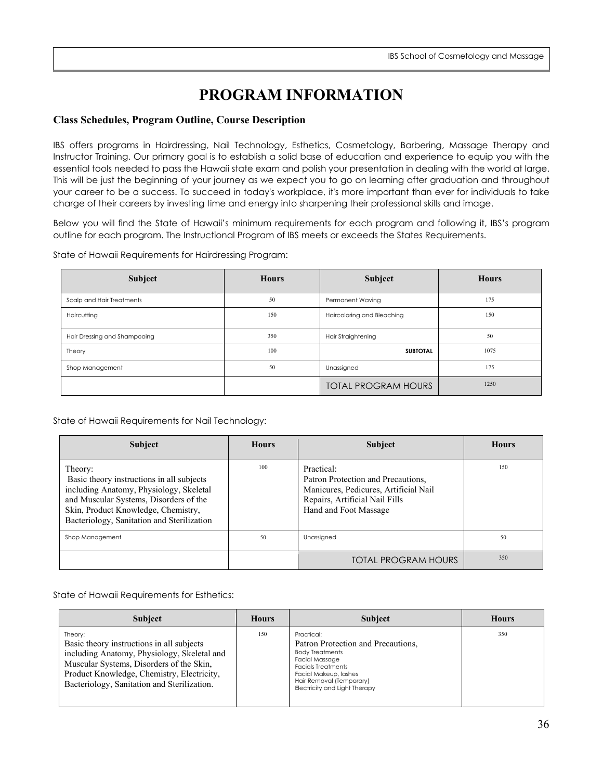## **PROGRAM INFORMATION**

## <span id="page-35-1"></span><span id="page-35-0"></span>**Class Schedules, Program Outline, Course Description**

IBS offers programs in Hairdressing, Nail Technology, Esthetics, Cosmetology, Barbering, Massage Therapy and Instructor Training. Our primary goal is to establish a solid base of education and experience to equip you with the essential tools needed to pass the Hawaii state exam and polish your presentation in dealing with the world at large. This will be just the beginning of your journey as we expect you to go on learning after graduation and throughout your career to be a success. To succeed in today's workplace, it's more important than ever for individuals to take charge of their careers by investing time and energy into sharpening their professional skills and image.

Below you will find the State of Hawaii's minimum requirements for each program and following it, IBS's program outline for each program. The Instructional Program of IBS meets or exceeds the States Requirements.

State of Hawaii Requirements for Hairdressing Program:

| Subject                      | <b>Hours</b> | Subject                    | <b>Hours</b> |
|------------------------------|--------------|----------------------------|--------------|
| Scalp and Hair Treatments    | 50           | <b>Permanent Waving</b>    | 175          |
| Haircutting                  | 150          | Haircoloring and Bleaching | 150          |
| Hair Dressing and Shampooing | 350          | Hair Straightening         | 50           |
| Theory                       | 100          | 1075<br><b>SUBTOTAL</b>    |              |
| Shop Management              | 50           | Unassigned                 | 175          |
|                              |              | <b>TOTAL PROGRAM HOURS</b> | 1250         |

State of Hawaii Requirements for Nail Technology:

| <b>Subject</b>                                                                                                                                                                                                                 | <b>Hours</b> | <b>Subject</b>                                                                                                                                       | <b>Hours</b> |
|--------------------------------------------------------------------------------------------------------------------------------------------------------------------------------------------------------------------------------|--------------|------------------------------------------------------------------------------------------------------------------------------------------------------|--------------|
| Theory:<br>Basic theory instructions in all subjects<br>including Anatomy, Physiology, Skeletal<br>and Muscular Systems, Disorders of the<br>Skin, Product Knowledge, Chemistry,<br>Bacteriology, Sanitation and Sterilization | 100          | Practical:<br>Patron Protection and Precautions,<br>Manicures, Pedicures, Artificial Nail<br>Repairs, Artificial Nail Fills<br>Hand and Foot Massage | 150          |
| Shop Management                                                                                                                                                                                                                | 50           | Unassigned                                                                                                                                           | 50           |
|                                                                                                                                                                                                                                |              | <b>TOTAL PROGRAM HOURS</b>                                                                                                                           | 350          |

State of Hawaii Requirements for Esthetics:

| <b>Subject</b>                                                                                                                                                                                                                               | <b>Hours</b> | <b>Subject</b>                                                                                                                                                                                                         | <b>Hours</b> |
|----------------------------------------------------------------------------------------------------------------------------------------------------------------------------------------------------------------------------------------------|--------------|------------------------------------------------------------------------------------------------------------------------------------------------------------------------------------------------------------------------|--------------|
| Theory:<br>Basic theory instructions in all subjects<br>including Anatomy, Physiology, Skeletal and<br>Muscular Systems, Disorders of the Skin,<br>Product Knowledge, Chemistry, Electricity,<br>Bacteriology, Sanitation and Sterilization. | 150          | Practical:<br>Patron Protection and Precautions,<br><b>Body Treatments</b><br><b>Facial Massage</b><br><b>Facials Treatments</b><br>Facial Makeup, lashes<br>Hair Removal (Temporary)<br>Electricity and Light Therapy | 350          |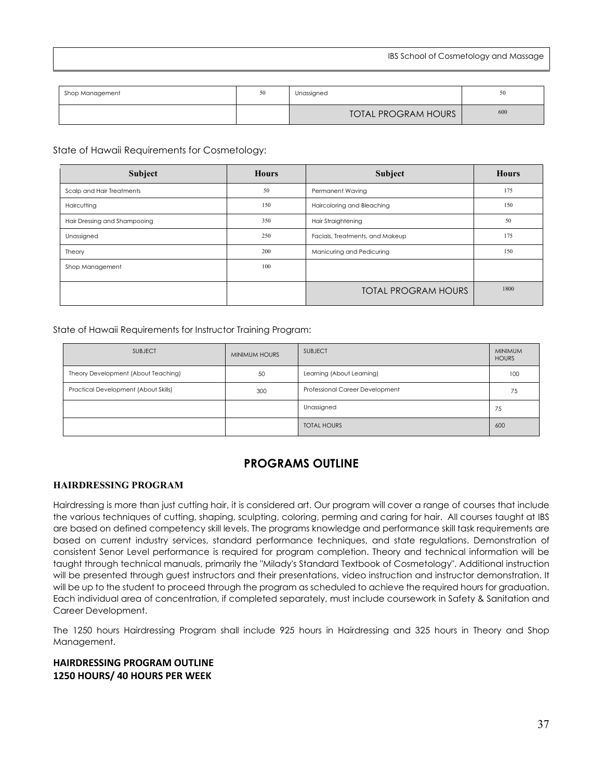| Shop Management | 50 | Unassigned                 | 50  |
|-----------------|----|----------------------------|-----|
|                 |    | <b>TOTAL PROGRAM HOURS</b> | 600 |

State of Hawaii Requirements for Cosmetology:

| Subject                      | <b>Hours</b> | Subject                         | <b>Hours</b> |
|------------------------------|--------------|---------------------------------|--------------|
| Scalp and Hair Treatments    | 50           | Permanent Waving                | 175          |
| Haircutting                  | 150          | Haircoloring and Bleaching      | 150          |
| Hair Dressing and Shampooing | 350          | Hair Straightening              | 50           |
| Unassigned                   | 250          | Facials, Treatments, and Makeup | 175          |
| Theory                       | 200          | Manicuring and Pedicuring       | 150          |
| Shop Management              | 100          |                                 |              |
|                              |              | <b>TOTAL PROGRAM HOURS</b>      | 1800         |

State of Hawaii Requirements for Instructor Training Program:

| <b>SUBJECT</b>                       | <b>MINIMUM HOURS</b> | <b>SUBJECT</b>                         | <b>MINIMUM</b><br><b>HOURS</b> |
|--------------------------------------|----------------------|----------------------------------------|--------------------------------|
| Theory Development (About Teaching)  | 50                   | Learning (About Learning)              | 100                            |
| Practical Development (About Skills) | 300                  | <b>Professional Career Development</b> | 75                             |
|                                      |                      | Unassigned                             | 75                             |
|                                      |                      | <b>TOTAL HOURS</b>                     | 600                            |

## **PROGRAMS OUTLINE**

#### **HAIRDRESSING PROGRAM**

Hairdressing is more than just cutting hair, it is considered art. Our program will cover a range of courses that include the various techniques of cutting, shaping, sculpting, coloring, perming and caring for hair. All courses taught at IBS are based on defined competency skill levels. The programs knowledge and performance skill task requirements are based on current industry services, standard performance techniques, and state regulations. Demonstration of consistent Senor Level performance is required for program completion. Theory and technical information will be taught through technical manuals, primarily the "Milady's Standard Textbook of Cosmetology". Additional instruction will be presented through guest instructors and their presentations, video instruction and instructor demonstration. It will be up to the student to proceed through the program as scheduled to achieve the required hours for graduation. Each individual area of concentration, if completed separately, must include coursework in Safety & Sanitation and Career Development.

The 1250 hours Hairdressing Program shall include 925 hours in Hairdressing and 325 hours in Theory and Shop Management.

## **HAIRDRESSING PROGRAM OUTLINE 1250 HOURS/ 40 HOURS PER WEEK**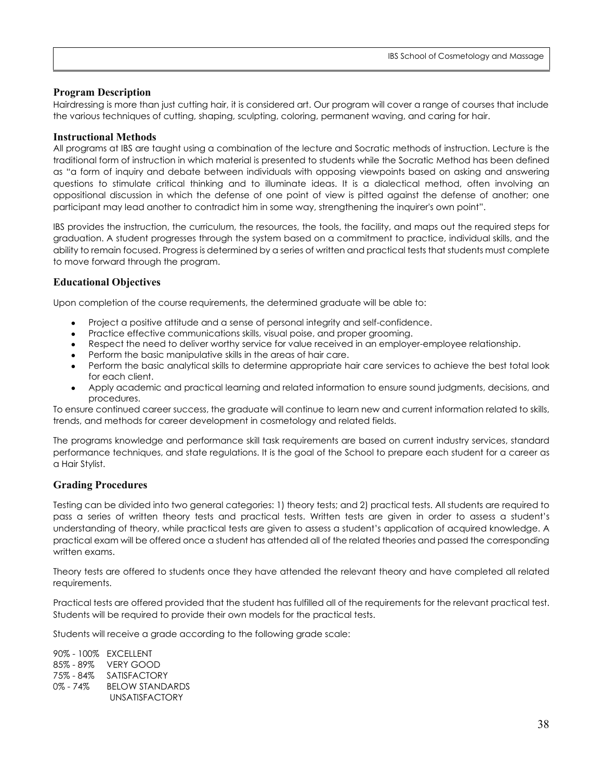## **Program Description**

Hairdressing is more than just cutting hair, it is considered art. Our program will cover a range of courses that include the various techniques of cutting, shaping, sculpting, coloring, permanent waving, and caring for hair.

### **Instructional Methods**

All programs at IBS are taught using a combination of the lecture and Socratic methods of instruction. Lecture is the traditional form of instruction in which material is presented to students while the Socratic Method has been defined as "a form of inquiry and debate between individuals with opposing viewpoints based on asking and answering questions to stimulate critical thinking and to illuminate ideas. It is a [dialectical](http://en.wikipedia.org/wiki/Dialectical) method, often involving an oppositional discussion in which the defense of one point of view is pitted against the defense of another; one participant may lead another to contradict him in some way, strengthening the inquirer's own point".

IBS provides the instruction, the curriculum, the resources, the tools, the facility, and maps out the required steps for graduation. A student progresses through the system based on a commitment to practice, individual skills, and the ability to remain focused. Progress is determined by a series of written and practical tests that students must complete to move forward through the program.

## **Educational Objectives**

Upon completion of the course requirements, the determined graduate will be able to:

- Project a positive attitude and a sense of personal integrity and self-confidence.
- Practice effective communications skills, visual poise, and proper grooming.
- Respect the need to deliver worthy service for value received in an employer-employee relationship.
- Perform the basic manipulative skills in the areas of hair care.
- Perform the basic analytical skills to determine appropriate hair care services to achieve the best total look for each client.
- Apply academic and practical learning and related information to ensure sound judgments, decisions, and procedures.

To ensure continued career success, the graduate will continue to learn new and current information related to skills, trends, and methods for career development in cosmetology and related fields.

The programs knowledge and performance skill task requirements are based on current industry services, standard performance techniques, and state regulations. It is the goal of the School to prepare each student for a career as a Hair Stylist.

## **Grading Procedures**

Testing can be divided into two general categories: 1) theory tests; and 2) practical tests. All students are required to pass a series of written theory tests and practical tests. Written tests are given in order to assess a student's understanding of theory, while practical tests are given to assess a student's application of acquired knowledge. A practical exam will be offered once a student has attended all of the related theories and passed the corresponding written exams.

Theory tests are offered to students once they have attended the relevant theory and have completed all related requirements.

Practical tests are offered provided that the student has fulfilled all of the requirements for the relevant practical test. Students will be required to provide their own models for the practical tests.

Students will receive a grade according to the following grade scale:

90% - 100% EXCELLENT 85% - 89% VERY GOOD 75% - 84% SATISFACTORY 0% - 74% BELOW STANDARDS UNSATISFACTORY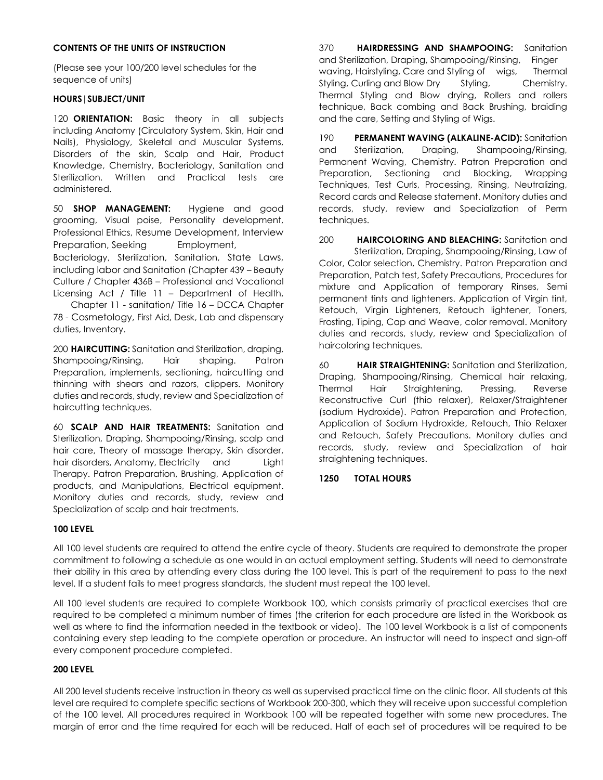#### **CONTENTS OF THE UNITS OF INSTRUCTION**

(Please see your 100/200 level schedules for the sequence of units)

#### **HOURS|SUBJECT/UNIT**

120 **ORIENTATION:** Basic theory in all subjects including Anatomy (Circulatory System, Skin, Hair and Nails), Physiology, Skeletal and Muscular Systems, Disorders of the skin, Scalp and Hair, Product Knowledge, Chemistry, Bacteriology, Sanitation and Sterilization. Written and Practical tests are administered.

50 **SHOP MANAGEMENT:** Hygiene and good grooming, Visual poise, Personality development, Professional Ethics, Resume Development, Interview Preparation, Seeking Employment, Bacteriology, Sterilization, Sanitation, State Laws, including labor and Sanitation (Chapter 439 – Beauty Culture / Chapter 436B – Professional and Vocational Licensing Act / Title 11 – Department of Health,

Chapter 11 - sanitation/ Title 16 – DCCA Chapter 78 - Cosmetology, First Aid, Desk, Lab and dispensary duties, Inventory.

200 **HAIRCUTTING:** Sanitation and Sterilization, draping, Shampooing/Rinsing, Hair shaping. Patron Preparation, implements, sectioning, haircutting and thinning with shears and razors, clippers. Monitory duties and records, study, review and Specialization of haircutting techniques.

60 **SCALP AND HAIR TREATMENTS:** Sanitation and Sterilization, Draping, Shampooing/Rinsing, scalp and hair care, Theory of massage therapy, Skin disorder, hair disorders, Anatomy, Electricity and Light Therapy. Patron Preparation, Brushing, Application of products, and Manipulations, Electrical equipment. Monitory duties and records, study, review and Specialization of scalp and hair treatments.

370 **HAIRDRESSING AND SHAMPOOING:** Sanitation and Sterilization, Draping, Shampooing/Rinsing, Finger waving, Hairstyling, Care and Styling of wigs, Thermal Styling, Curling and Blow Dry Styling, Chemistry, Thermal Styling and Blow drying, Rollers and rollers technique, Back combing and Back Brushing, braiding and the care, Setting and Styling of Wigs.

190 **PERMANENT WAVING (ALKALINE-ACID):** Sanitation and Sterilization, Draping, Shampooing/Rinsing, Permanent Waving, Chemistry. Patron Preparation and Preparation, Sectioning and Blocking, Wrapping Techniques, Test Curls, Processing, Rinsing, Neutralizing, Record cards and Release statement. Monitory duties and records, study, review and Specialization of Perm techniques.

200 **HAIRCOLORING AND BLEACHING:** Sanitation and Sterilization, Draping, Shampooing/Rinsing, Law of Color, Color selection, Chemistry. Patron Preparation and Preparation, Patch test, Safety Precautions, Procedures for mixture and Application of temporary Rinses, Semi permanent tints and lighteners. Application of Virgin tint, Retouch, Virgin Lighteners, Retouch lightener, Toners, Frosting, Tiping, Cap and Weave, color removal. Monitory duties and records, study, review and Specialization of haircoloring techniques.

60 **HAIR STRAIGHTENING:** Sanitation and Sterilization, Draping, Shampooing/Rinsing, Chemical hair relaxing, Thermal Hair Straightening, Pressing, Reverse Reconstructive Curl (thio relaxer), Relaxer/Straightener (sodium Hydroxide). Patron Preparation and Protection, Application of Sodium Hydroxide, Retouch, Thio Relaxer and Retouch, Safety Precautions. Monitory duties and records, study, review and Specialization of hair straightening techniques.

#### **1250 TOTAL HOURS**

#### **100 LEVEL**

All 100 level students are required to attend the entire cycle of theory. Students are required to demonstrate the proper commitment to following a schedule as one would in an actual employment setting. Students will need to demonstrate their ability in this area by attending every class during the 100 level. This is part of the requirement to pass to the next level. If a student fails to meet progress standards, the student must repeat the 100 level.

All 100 level students are required to complete Workbook 100, which consists primarily of practical exercises that are required to be completed a minimum number of times (the criterion for each procedure are listed in the Workbook as well as where to find the information needed in the textbook or video). The 100 level Workbook is a list of components containing every step leading to the complete operation or procedure. An instructor will need to inspect and sign-off every component procedure completed.

#### **200 LEVEL**

All 200 level students receive instruction in theory as well as supervised practical time on the clinic floor. All students at this level are required to complete specific sections of Workbook 200-300, which they will receive upon successful completion of the 100 level. All procedures required in Workbook 100 will be repeated together with some new procedures. The margin of error and the time required for each will be reduced. Half of each set of procedures will be required to be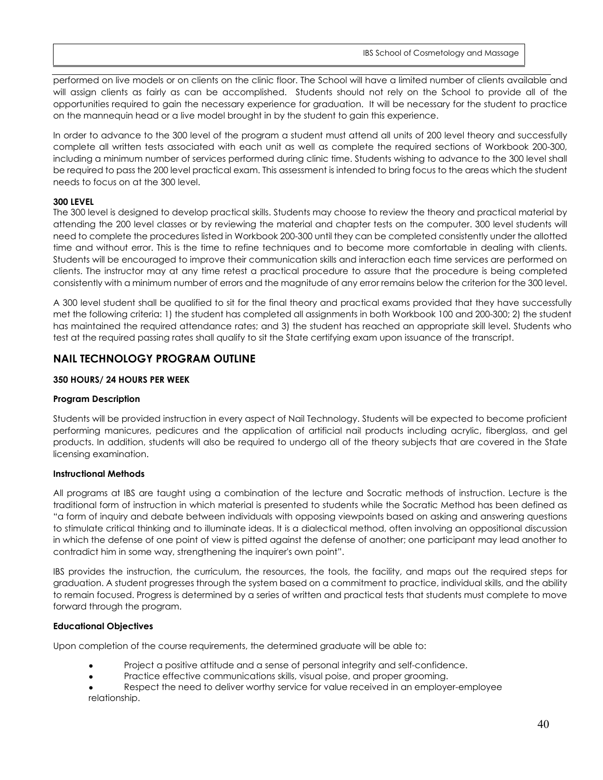performed on live models or on clients on the clinic floor. The School will have a limited number of clients available and will assign clients as fairly as can be accomplished. Students should not rely on the School to provide all of the opportunities required to gain the necessary experience for graduation. It will be necessary for the student to practice on the mannequin head or a live model brought in by the student to gain this experience.

In order to advance to the 300 level of the program a student must attend all units of 200 level theory and successfully complete all written tests associated with each unit as well as complete the required sections of Workbook 200-300, including a minimum number of services performed during clinic time. Students wishing to advance to the 300 level shall be required to pass the 200 level practical exam. This assessment is intended to bring focus to the areas which the student needs to focus on at the 300 level.

#### **300 LEVEL**

The 300 level is designed to develop practical skills. Students may choose to review the theory and practical material by attending the 200 level classes or by reviewing the material and chapter tests on the computer. 300 level students will need to complete the procedures listed in Workbook 200-300 until they can be completed consistently under the allotted time and without error. This is the time to refine techniques and to become more comfortable in dealing with clients. Students will be encouraged to improve their communication skills and interaction each time services are performed on clients. The instructor may at any time retest a practical procedure to assure that the procedure is being completed consistently with a minimum number of errors and the magnitude of any error remains below the criterion for the 300 level.

A 300 level student shall be qualified to sit for the final theory and practical exams provided that they have successfully met the following criteria: 1) the student has completed all assignments in both Workbook 100 and 200-300; 2) the student has maintained the required attendance rates; and 3) the student has reached an appropriate skill level. Students who test at the required passing rates shall qualify to sit the State certifying exam upon issuance of the transcript.

## **NAIL TECHNOLOGY PROGRAM OUTLINE**

#### **350 HOURS/ 24 HOURS PER WEEK**

#### **Program Description**

Students will be provided instruction in every aspect of Nail Technology. Students will be expected to become proficient performing manicures, pedicures and the application of artificial nail products including acrylic, fiberglass, and gel products. In addition, students will also be required to undergo all of the theory subjects that are covered in the State licensing examination.

#### **Instructional Methods**

All programs at IBS are taught using a combination of the lecture and Socratic methods of instruction. Lecture is the traditional form of instruction in which material is presented to students while the Socratic Method has been defined as "a form of inquiry and debate between individuals with opposing viewpoints based on asking and answering questions to stimulate critical thinking and to illuminate ideas. It is a [dialectical](http://en.wikipedia.org/wiki/Dialectical) method, often involving an oppositional discussion in which the defense of one point of view is pitted against the defense of another; one participant may lead another to contradict him in some way, strengthening the inquirer's own point".

IBS provides the instruction, the curriculum, the resources, the tools, the facility, and maps out the required steps for graduation. A student progresses through the system based on a commitment to practice, individual skills, and the ability to remain focused. Progress is determined by a series of written and practical tests that students must complete to move forward through the program.

#### **Educational Objectives**

Upon completion of the course requirements, the determined graduate will be able to:

- Project a positive attitude and a sense of personal integrity and self-confidence.
- Practice effective communications skills, visual poise, and proper grooming.
- Respect the need to deliver worthy service for value received in an employer-employee relationship.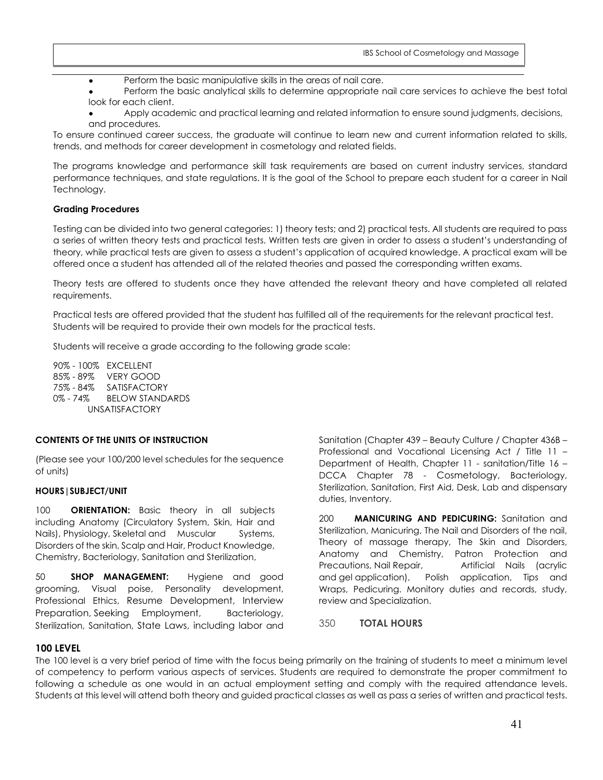Perform the basic manipulative skills in the areas of nail care.

Perform the basic analytical skills to determine appropriate nail care services to achieve the best total look for each client.

Apply academic and practical learning and related information to ensure sound judgments, decisions, and procedures.

To ensure continued career success, the graduate will continue to learn new and current information related to skills, trends, and methods for career development in cosmetology and related fields.

The programs knowledge and performance skill task requirements are based on current industry services, standard performance techniques, and state regulations. It is the goal of the School to prepare each student for a career in Nail Technology.

#### **Grading Procedures**

Testing can be divided into two general categories: 1) theory tests; and 2) practical tests. All students are required to pass a series of written theory tests and practical tests. Written tests are given in order to assess a student's understanding of theory, while practical tests are given to assess a student's application of acquired knowledge. A practical exam will be offered once a student has attended all of the related theories and passed the corresponding written exams.

Theory tests are offered to students once they have attended the relevant theory and have completed all related requirements.

Practical tests are offered provided that the student has fulfilled all of the requirements for the relevant practical test. Students will be required to provide their own models for the practical tests.

Students will receive a grade according to the following grade scale:

90% - 100% EXCELLENT 85% - 89% VERY GOOD 75% - 84% SATISFACTORY 0% - 74% BELOW STANDARDS UNSATISFACTORY

#### **CONTENTS OF THE UNITS OF INSTRUCTION**

(Please see your 100/200 level schedules for the sequence of units)

#### **HOURS|SUBJECT/UNIT**

100 **ORIENTATION:** Basic theory in all subjects including Anatomy (Circulatory System, Skin, Hair and Nails), Physiology, Skeletal and Muscular Systems, Disorders of the skin, Scalp and Hair, Product Knowledge, Chemistry, Bacteriology, Sanitation and Sterilization,

50 **SHOP MANAGEMENT:** Hygiene and good grooming, Visual poise, Personality development, Professional Ethics, Resume Development, Interview Preparation, Seeking Employment, Bacteriology, Sterilization, Sanitation, State Laws, including labor and

Sanitation (Chapter 439 – Beauty Culture / Chapter 436B – Professional and Vocational Licensing Act / Title 11 – Department of Health, Chapter 11 - sanitation/Title 16 – DCCA Chapter 78 - Cosmetology, Bacteriology, Sterilization, Sanitation, First Aid, Desk, Lab and dispensary duties, Inventory.

200 **MANICURING AND PEDICURING:** Sanitation and Sterilization, Manicuring, The Nail and Disorders of the nail, Theory of massage therapy, The Skin and Disorders, Anatomy and Chemistry, Patron Protection and Precautions, Nail Repair, Artificial Nails (acrylic and gel application), Polish application, Tips and Wraps, Pedicuring. Monitory duties and records, study, review and Specialization.

350 **TOTAL HOURS**

#### **100 LEVEL**

The 100 level is a very brief period of time with the focus being primarily on the training of students to meet a minimum level of competency to perform various aspects of services. Students are required to demonstrate the proper commitment to following a schedule as one would in an actual employment setting and comply with the required attendance levels. Students at this level will attend both theory and guided practical classes as well as pass a series of written and practical tests.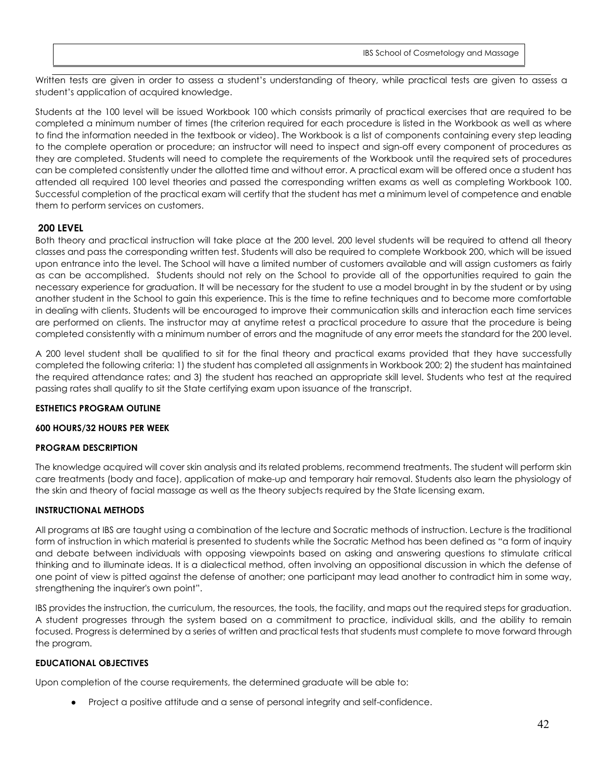Written tests are given in order to assess a student's understanding of theory, while practical tests are given to assess a student's application of acquired knowledge.

Students at the 100 level will be issued Workbook 100 which consists primarily of practical exercises that are required to be completed a minimum number of times (the criterion required for each procedure is listed in the Workbook as well as where to find the information needed in the textbook or video). The Workbook is a list of components containing every step leading to the complete operation or procedure; an instructor will need to inspect and sign-off every component of procedures as they are completed. Students will need to complete the requirements of the Workbook until the required sets of procedures can be completed consistently under the allotted time and without error. A practical exam will be offered once a student has attended all required 100 level theories and passed the corresponding written exams as well as completing Workbook 100. Successful completion of the practical exam will certify that the student has met a minimum level of competence and enable them to perform services on customers.

## **200 LEVEL**

Both theory and practical instruction will take place at the 200 level. 200 level students will be required to attend all theory classes and pass the corresponding written test. Students will also be required to complete Workbook 200, which will be issued upon entrance into the level. The School will have a limited number of customers available and will assign customers as fairly as can be accomplished. Students should not rely on the School to provide all of the opportunities required to gain the necessary experience for graduation. It will be necessary for the student to use a model brought in by the student or by using another student in the School to gain this experience. This is the time to refine techniques and to become more comfortable in dealing with clients. Students will be encouraged to improve their communication skills and interaction each time services are performed on clients. The instructor may at anytime retest a practical procedure to assure that the procedure is being completed consistently with a minimum number of errors and the magnitude of any error meets the standard for the 200 level.

A 200 level student shall be qualified to sit for the final theory and practical exams provided that they have successfully completed the following criteria: 1) the student has completed all assignments in Workbook 200; 2) the student has maintained the required attendance rates; and 3) the student has reached an appropriate skill level. Students who test at the required passing rates shall qualify to sit the State certifying exam upon issuance of the transcript.

## **ESTHETICS PROGRAM OUTLINE**

#### **600 HOURS/32 HOURS PER WEEK**

## **PROGRAM DESCRIPTION**

The knowledge acquired will cover skin analysis and its related problems, recommend treatments. The student will perform skin care treatments (body and face), application of make-up and temporary hair removal. Students also learn the physiology of the skin and theory of facial massage as well as the theory subjects required by the State licensing exam.

## **INSTRUCTIONAL METHODS**

All programs at IBS are taught using a combination of the lecture and Socratic methods of instruction. Lecture is the traditional form of instruction in which material is presented to students while the Socratic Method has been defined as "a form of inquiry and debate between individuals with opposing viewpoints based on asking and answering questions to stimulate critical thinking and to illuminate ideas. It is a [dialectical](http://en.wikipedia.org/wiki/Dialectical) method, often involving an oppositional discussion in which the defense of one point of view is pitted against the defense of another; one participant may lead another to contradict him in some way, strengthening the inquirer's own point".

IBS provides the instruction, the curriculum, the resources, the tools, the facility, and maps out the required steps for graduation. A student progresses through the system based on a commitment to practice, individual skills, and the ability to remain focused. Progress is determined by a series of written and practical tests that students must complete to move forward through the program.

#### **EDUCATIONAL OBJECTIVES**

Upon completion of the course requirements, the determined graduate will be able to:

● Project a positive attitude and a sense of personal integrity and self-confidence.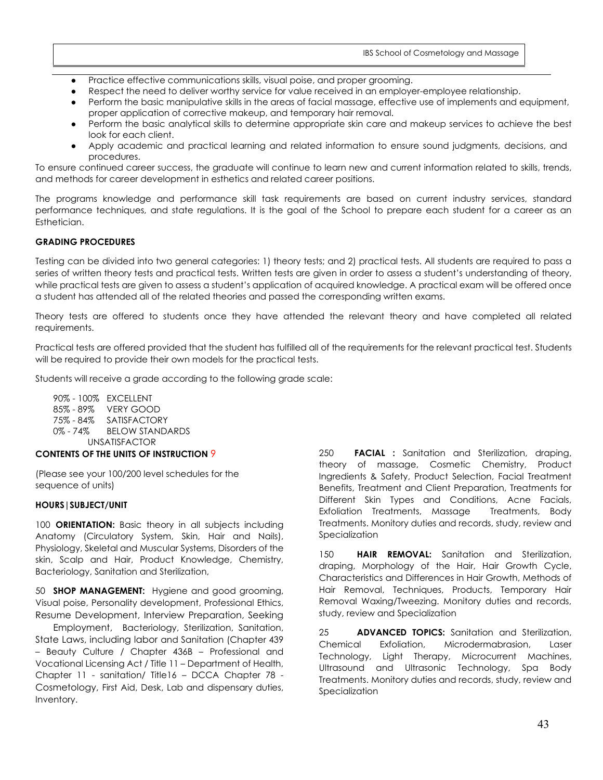- Practice effective communications skills, visual poise, and proper grooming.
- Respect the need to deliver worthy service for value received in an employer-employee relationship.
- Perform the basic manipulative skills in the areas of facial massage, effective use of implements and equipment, proper application of corrective makeup, and temporary hair removal.
- Perform the basic analytical skills to determine appropriate skin care and makeup services to achieve the best look for each client.
- Apply academic and practical learning and related information to ensure sound judgments, decisions, and procedures.

To ensure continued career success, the graduate will continue to learn new and current information related to skills, trends, and methods for career development in esthetics and related career positions.

The programs knowledge and performance skill task requirements are based on current industry services, standard performance techniques, and state regulations. It is the goal of the School to prepare each student for a career as an Esthetician.

#### **GRADING PROCEDURES**

Testing can be divided into two general categories: 1) theory tests; and 2) practical tests. All students are required to pass a series of written theory tests and practical tests. Written tests are given in order to assess a student's understanding of theory, while practical tests are given to assess a student's application of acquired knowledge. A practical exam will be offered once a student has attended all of the related theories and passed the corresponding written exams.

Theory tests are offered to students once they have attended the relevant theory and have completed all related requirements.

Practical tests are offered provided that the student has fulfilled all of the requirements for the relevant practical test. Students will be required to provide their own models for the practical tests.

Students will receive a grade according to the following grade scale:

90% - 100% EXCELLENT 85% - 89% VERY GOOD 75% - 84% SATISFACTORY 0% - 74% BELOW STANDARDS UNSATISFACTOR

#### **CONTENTS OF THE UNITS OF INSTRUCTION** 9

(Please see your 100/200 level schedules for the sequence of units)

#### **HOURS|SUBJECT/UNIT**

100 **ORIENTATION:** Basic theory in all subjects including Anatomy (Circulatory System, Skin, Hair and Nails), Physiology, Skeletal and Muscular Systems, Disorders of the skin, Scalp and Hair, Product Knowledge, Chemistry, Bacteriology, Sanitation and Sterilization,

50 **SHOP MANAGEMENT:** Hygiene and good grooming, Visual poise, Personality development, Professional Ethics, Resume Development, Interview Preparation, Seeking

Employment, Bacteriology, Sterilization, Sanitation, State Laws, including labor and Sanitation (Chapter 439 – Beauty Culture / Chapter 436B – Professional and Vocational Licensing Act / Title 11 – Department of Health, Chapter 11 - sanitation/ Title16 – DCCA Chapter 78 - Cosmetology, First Aid, Desk, Lab and dispensary duties, Inventory.

250 **FACIAL :** Sanitation and Sterilization, draping, theory of massage, Cosmetic Chemistry, Product Ingredients & Safety, Product Selection, Facial Treatment Benefits, Treatment and Client Preparation, Treatments for Different Skin Types and Conditions, Acne Facials, Exfoliation Treatments, Massage Treatments, Body Treatments. Monitory duties and records, study, review and **Specialization** 

150 **HAIR REMOVAL:** Sanitation and Sterilization, draping, Morphology of the Hair, Hair Growth Cycle, Characteristics and Differences in Hair Growth, Methods of Hair Removal, Techniques, Products, Temporary Hair Removal Waxing/Tweezing. Monitory duties and records, study, review and Specialization

25 **ADVANCED TOPICS:** Sanitation and Sterilization, Chemical Exfoliation, Microdermabrasion, Laser Technology, Light Therapy, Microcurrent Machines, Ultrasound and Ultrasonic Technology, Spa Body Treatments. Monitory duties and records, study, review and **Specialization**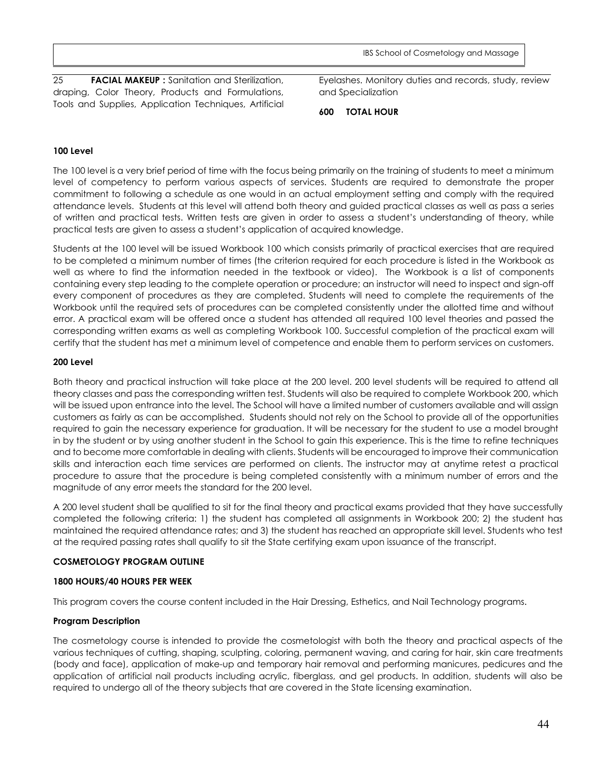25 **FACIAL MAKEUP :** Sanitation and Sterilization, draping, Color Theory, Products and Formulations, Tools and Supplies, Application Techniques, Artificial Eyelashes. Monitory duties and records, study, review and Specialization

**600 TOTAL HOUR**

#### **100 Level**

The 100 level is a very brief period of time with the focus being primarily on the training of students to meet a minimum level of competency to perform various aspects of services. Students are required to demonstrate the proper commitment to following a schedule as one would in an actual employment setting and comply with the required attendance levels. Students at this level will attend both theory and guided practical classes as well as pass a series of written and practical tests. Written tests are given in order to assess a student's understanding of theory, while practical tests are given to assess a student's application of acquired knowledge.

Students at the 100 level will be issued Workbook 100 which consists primarily of practical exercises that are required to be completed a minimum number of times (the criterion required for each procedure is listed in the Workbook as well as where to find the information needed in the textbook or video). The Workbook is a list of components containing every step leading to the complete operation or procedure; an instructor will need to inspect and sign-off every component of procedures as they are completed. Students will need to complete the requirements of the Workbook until the required sets of procedures can be completed consistently under the allotted time and without error. A practical exam will be offered once a student has attended all required 100 level theories and passed the corresponding written exams as well as completing Workbook 100. Successful completion of the practical exam will certify that the student has met a minimum level of competence and enable them to perform services on customers.

#### **200 Level**

Both theory and practical instruction will take place at the 200 level. 200 level students will be required to attend all theory classes and pass the corresponding written test. Students will also be required to complete Workbook 200, which will be issued upon entrance into the level. The School will have a limited number of customers available and will assign customers as fairly as can be accomplished. Students should not rely on the School to provide all of the opportunities required to gain the necessary experience for graduation. It will be necessary for the student to use a model brought in by the student or by using another student in the School to gain this experience. This is the time to refine techniques and to become more comfortable in dealing with clients. Students will be encouraged to improve their communication skills and interaction each time services are performed on clients. The instructor may at anytime retest a practical procedure to assure that the procedure is being completed consistently with a minimum number of errors and the magnitude of any error meets the standard for the 200 level.

A 200 level student shall be qualified to sit for the final theory and practical exams provided that they have successfully completed the following criteria: 1) the student has completed all assignments in Workbook 200; 2) the student has maintained the required attendance rates; and 3) the student has reached an appropriate skill level. Students who test at the required passing rates shall qualify to sit the State certifying exam upon issuance of the transcript.

#### **COSMETOLOGY PROGRAM OUTLINE**

#### **1800 HOURS/40 HOURS PER WEEK**

This program covers the course content included in the Hair Dressing, Esthetics, and Nail Technology programs.

## **Program Description**

The cosmetology course is intended to provide the cosmetologist with both the theory and practical aspects of the various techniques of cutting, shaping, sculpting, coloring, permanent waving, and caring for hair, skin care treatments (body and face), application of make-up and temporary hair removal and performing manicures, pedicures and the application of artificial nail products including acrylic, fiberglass, and gel products. In addition, students will also be required to undergo all of the theory subjects that are covered in the State licensing examination.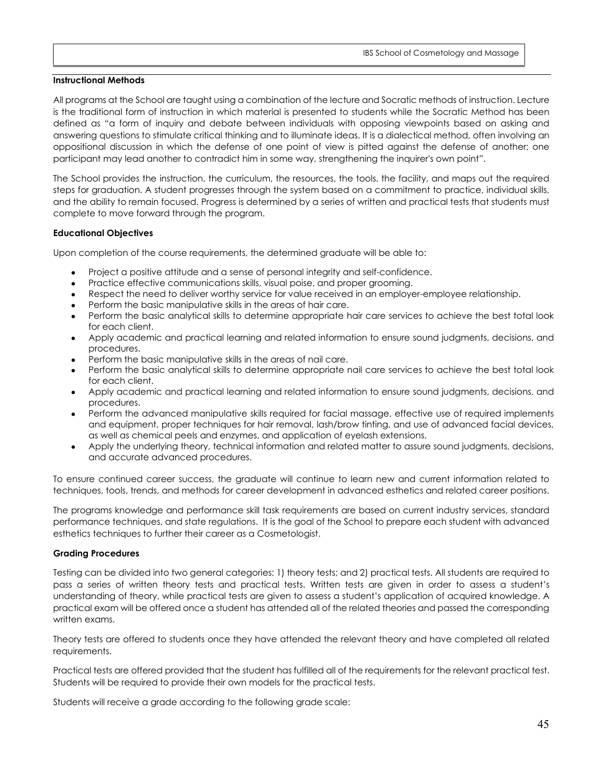#### **Instructional Methods**

All programs at the School are taught using a combination of the lecture and Socratic methods of instruction. Lecture is the traditional form of instruction in which material is presented to students while the Socratic Method has been defined as "a form of inquiry and debate between individuals with opposing viewpoints based on asking and answering questions to stimulate critical thinking and to illuminate ideas. It is a [dialectical](http://en.wikipedia.org/wiki/Dialectical) method, often involving an oppositional discussion in which the defense of one point of view is pitted against the defense of another; one participant may lead another to contradict him in some way, strengthening the inquirer's own point".

The School provides the instruction, the curriculum, the resources, the tools, the facility, and maps out the required steps for graduation. A student progresses through the system based on a commitment to practice, individual skills, and the ability to remain focused. Progress is determined by a series of written and practical tests that students must complete to move forward through the program.

#### **Educational Objectives**

Upon completion of the course requirements, the determined graduate will be able to:

- Project a positive attitude and a sense of personal integrity and self-confidence.
- Practice effective communications skills, visual poise, and proper grooming.
- Respect the need to deliver worthy service for value received in an employer-employee relationship.
- Perform the basic manipulative skills in the areas of hair care.
- Perform the basic analytical skills to determine appropriate hair care services to achieve the best total look for each client.
- Apply academic and practical learning and related information to ensure sound judgments, decisions, and procedures.
- Perform the basic manipulative skills in the areas of nail care.
- Perform the basic analytical skills to determine appropriate nail care services to achieve the best total look for each client.
- Apply academic and practical learning and related information to ensure sound judgments, decisions, and procedures.
- Perform the advanced manipulative skills required for facial massage, effective use of required implements and equipment, proper techniques for hair removal, lash/brow tinting, and use of advanced facial devices, as well as chemical peels and enzymes, and application of eyelash extensions.
- Apply the underlying theory, technical information and related matter to assure sound judgments, decisions, and accurate advanced procedures.

To ensure continued career success, the graduate will continue to learn new and current information related to techniques, tools, trends, and methods for career development in advanced esthetics and related career positions.

The programs knowledge and performance skill task requirements are based on current industry services, standard performance techniques, and state regulations. It is the goal of the School to prepare each student with advanced esthetics techniques to further their career as a Cosmetologist.

#### **Grading Procedures**

Testing can be divided into two general categories: 1) theory tests; and 2) practical tests. All students are required to pass a series of written theory tests and practical tests. Written tests are given in order to assess a student's understanding of theory, while practical tests are given to assess a student's application of acquired knowledge. A practical exam will be offered once a student has attended all of the related theories and passed the corresponding written exams.

Theory tests are offered to students once they have attended the relevant theory and have completed all related requirements.

Practical tests are offered provided that the student has fulfilled all of the requirements for the relevant practical test. Students will be required to provide their own models for the practical tests.

Students will receive a grade according to the following grade scale: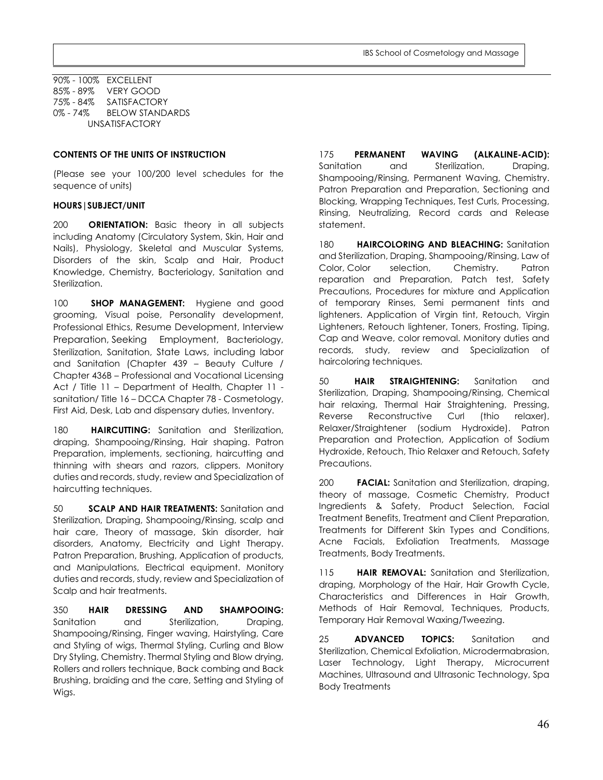90% - 100% EXCELLENT 85% - 89% VERY GOOD 75% - 84% SATISFACTORY BELOW STANDARDS UNSATISFACTORY

#### **CONTENTS OF THE UNITS OF INSTRUCTION**

(Please see your 100/200 level schedules for the sequence of units)

#### **HOURS|SUBJECT/UNIT**

200 **ORIENTATION:** Basic theory in all subjects including Anatomy (Circulatory System, Skin, Hair and Nails), Physiology, Skeletal and Muscular Systems, Disorders of the skin, Scalp and Hair, Product Knowledge, Chemistry, Bacteriology, Sanitation and Sterilization.

100 **SHOP MANAGEMENT:** Hygiene and good grooming, Visual poise, Personality development, Professional Ethics, Resume Development, Interview Preparation, Seeking Employment, Bacteriology, Sterilization, Sanitation, State Laws, including labor and Sanitation (Chapter 439 – Beauty Culture / Chapter 436B – Professional and Vocational Licensing Act / Title 11 – Department of Health, Chapter 11 sanitation/ Title 16 – DCCA Chapter 78 - Cosmetology, First Aid, Desk, Lab and dispensary duties, Inventory.

180 **HAIRCUTTING:** Sanitation and Sterilization, draping, Shampooing/Rinsing, Hair shaping. Patron Preparation, implements, sectioning, haircutting and thinning with shears and razors, clippers. Monitory duties and records, study, review and Specialization of haircutting techniques.

50 **SCALP AND HAIR TREATMENTS:** Sanitation and Sterilization, Draping, Shampooing/Rinsing, scalp and hair care, Theory of massage, Skin disorder, hair disorders, Anatomy, Electricity and Light Therapy. Patron Preparation, Brushing, Application of products, and Manipulations, Electrical equipment. Monitory duties and records, study, review and Specialization of Scalp and hair treatments.

350 **HAIR DRESSING AND SHAMPOOING:**  Sanitation and Sterilization, Draping, Shampooing/Rinsing, Finger waving, Hairstyling, Care and Styling of wigs, Thermal Styling, Curling and Blow Dry Styling, Chemistry. Thermal Styling and Blow drying, Rollers and rollers technique, Back combing and Back Brushing, braiding and the care, Setting and Styling of Wigs.

175 **PERMANENT WAVING (ALKALINE-ACID):**  Sanitation and Sterilization, Draping, Shampooing/Rinsing, Permanent Waving, Chemistry. Patron Preparation and Preparation, Sectioning and Blocking, Wrapping Techniques, Test Curls, Processing, Rinsing, Neutralizing, Record cards and Release statement.

180 **HAIRCOLORING AND BLEACHING:** Sanitation and Sterilization, Draping, Shampooing/Rinsing, Law of Color, Color selection, Chemistry. Patron reparation and Preparation, Patch test, Safety Precautions, Procedures for mixture and Application of temporary Rinses, Semi permanent tints and lighteners. Application of Virgin tint, Retouch, Virgin Lighteners, Retouch lightener, Toners, Frosting, Tiping, Cap and Weave, color removal. Monitory duties and records, study, review and Specialization of haircoloring techniques.

50 **HAIR STRAIGHTENING:** Sanitation and Sterilization, Draping, Shampooing/Rinsing, Chemical hair relaxing, Thermal Hair Straightening, Pressing, Reverse Reconstructive Curl (thio relaxer), Relaxer/Straightener (sodium Hydroxide). Patron Preparation and Protection, Application of Sodium Hydroxide, Retouch, Thio Relaxer and Retouch, Safety Precautions.

200 **FACIAL:** Sanitation and Sterilization, draping, theory of massage, Cosmetic Chemistry, Product Ingredients & Safety, Product Selection, Facial Treatment Benefits, Treatment and Client Preparation, Treatments for Different Skin Types and Conditions, Acne Facials, Exfoliation Treatments, Massage Treatments, Body Treatments.

115 **HAIR REMOVAL:** Sanitation and Sterilization, draping, Morphology of the Hair, Hair Growth Cycle, Characteristics and Differences in Hair Growth, Methods of Hair Removal, Techniques, Products, Temporary Hair Removal Waxing/Tweezing.

25 **ADVANCED TOPICS:** Sanitation and Sterilization, Chemical Exfoliation, Microdermabrasion, Laser Technology, Light Therapy, Microcurrent Machines, Ultrasound and Ultrasonic Technology, Spa Body Treatments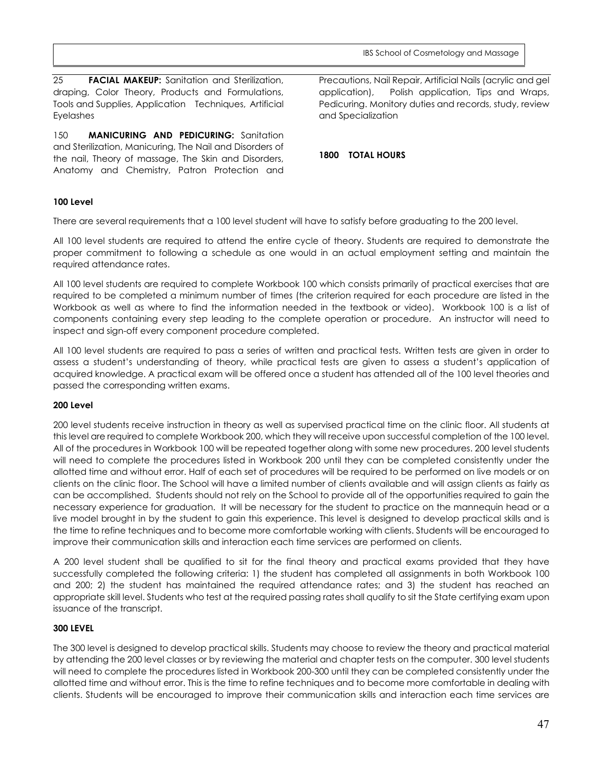25 **FACIAL MAKEUP:** Sanitation and Sterilization, draping, Color Theory, Products and Formulations, Tools and Supplies, Application Techniques, Artificial Eyelashes

150 **MANICURING AND PEDICURING:** Sanitation and Sterilization, Manicuring, The Nail and Disorders of the nail, Theory of massage, The Skin and Disorders, Anatomy and Chemistry, Patron Protection and Precautions, Nail Repair, Artificial Nails (acrylic and gel application), Polish application, Tips and Wraps, Pedicuring. Monitory duties and records, study, review and Specialization

#### **1800 TOTAL HOURS**

#### **100 Level**

There are several requirements that a 100 level student will have to satisfy before graduating to the 200 level.

All 100 level students are required to attend the entire cycle of theory. Students are required to demonstrate the proper commitment to following a schedule as one would in an actual employment setting and maintain the required attendance rates.

All 100 level students are required to complete Workbook 100 which consists primarily of practical exercises that are required to be completed a minimum number of times (the criterion required for each procedure are listed in the Workbook as well as where to find the information needed in the textbook or video). Workbook 100 is a list of components containing every step leading to the complete operation or procedure. An instructor will need to inspect and sign-off every component procedure completed.

All 100 level students are required to pass a series of written and practical tests. Written tests are given in order to assess a student's understanding of theory, while practical tests are given to assess a student's application of acquired knowledge. A practical exam will be offered once a student has attended all of the 100 level theories and passed the corresponding written exams.

#### **200 Level**

200 level students receive instruction in theory as well as supervised practical time on the clinic floor. All students at this level are required to complete Workbook 200, which they will receive upon successful completion of the 100 level. All of the procedures in Workbook 100 will be repeated together along with some new procedures. 200 level students will need to complete the procedures listed in Workbook 200 until they can be completed consistently under the allotted time and without error. Half of each set of procedures will be required to be performed on live models or on clients on the clinic floor. The School will have a limited number of clients available and will assign clients as fairly as can be accomplished. Students should not rely on the School to provide all of the opportunities required to gain the necessary experience for graduation. It will be necessary for the student to practice on the mannequin head or a live model brought in by the student to gain this experience. This level is designed to develop practical skills and is the time to refine techniques and to become more comfortable working with clients. Students will be encouraged to improve their communication skills and interaction each time services are performed on clients.

A 200 level student shall be qualified to sit for the final theory and practical exams provided that they have successfully completed the following criteria: 1) the student has completed all assignments in both Workbook 100 and 200; 2) the student has maintained the required attendance rates; and 3) the student has reached an appropriate skill level. Students who test at the required passing rates shall qualify to sit the State certifying exam upon issuance of the transcript.

#### **300 LEVEL**

The 300 level is designed to develop practical skills. Students may choose to review the theory and practical material by attending the 200 level classes or by reviewing the material and chapter tests on the computer. 300 level students will need to complete the procedures listed in Workbook 200-300 until they can be completed consistently under the allotted time and without error. This is the time to refine techniques and to become more comfortable in dealing with clients. Students will be encouraged to improve their communication skills and interaction each time services are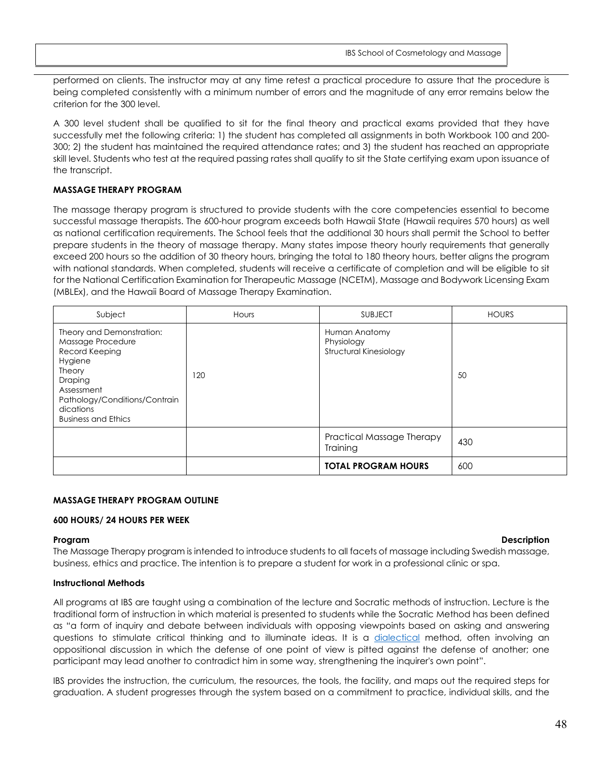performed on clients. The instructor may at any time retest a practical procedure to assure that the procedure is being completed consistently with a minimum number of errors and the magnitude of any error remains below the criterion for the 300 level.

A 300 level student shall be qualified to sit for the final theory and practical exams provided that they have successfully met the following criteria: 1) the student has completed all assignments in both Workbook 100 and 200- 300; 2) the student has maintained the required attendance rates; and 3) the student has reached an appropriate skill level. Students who test at the required passing rates shall qualify to sit the State certifying exam upon issuance of the transcript.

#### **MASSAGE THERAPY PROGRAM**

The massage therapy program is structured to provide students with the core competencies essential to become successful massage therapists. The 600-hour program exceeds both Hawaii State (Hawaii requires 570 hours) as well as national certification requirements. The School feels that the additional 30 hours shall permit the School to better prepare students in the theory of massage therapy. Many states impose theory hourly requirements that generally exceed 200 hours so the addition of 30 theory hours, bringing the total to 180 theory hours, better aligns the program with national standards. When completed, students will receive a certificate of completion and will be eligible to sit for the National Certification Examination for Therapeutic Massage (NCETM), Massage and Bodywork Licensing Exam (MBLEx), and the Hawaii Board of Massage Therapy Examination.

| Subject                                                                                                                                                                                           | Hours | <b>SUBJECT</b>                                        | <b>HOURS</b> |
|---------------------------------------------------------------------------------------------------------------------------------------------------------------------------------------------------|-------|-------------------------------------------------------|--------------|
| Theory and Demonstration:<br>Massage Procedure<br>Record Keeping<br>Hygiene<br><b>Theory</b><br>Draping<br>Assessment<br>Pathology/Conditions/Contrain<br>dications<br><b>Business and Ethics</b> | 120   | Human Anatomy<br>Physiology<br>Structural Kinesiology | 50           |
|                                                                                                                                                                                                   |       | Practical Massage Therapy<br>Training                 | 430          |
|                                                                                                                                                                                                   |       | <b>TOTAL PROGRAM HOURS</b>                            | 600          |

#### **MASSAGE THERAPY PROGRAM OUTLINE**

#### **600 HOURS/ 24 HOURS PER WEEK**

#### **Program Description**

The Massage Therapy program is intended to introduce students to all facets of massage including Swedish massage, business, ethics and practice. The intention is to prepare a student for work in a professional clinic or spa.

#### **Instructional Methods**

All programs at IBS are taught using a combination of the lecture and Socratic methods of instruction. Lecture is the traditional form of instruction in which material is presented to students while the Socratic Method has been defined as "a form of inquiry and debate between individuals with opposing viewpoints based on asking and answering questions to stimulate critical thinking and to illuminate ideas. It is a [dialectical](http://en.wikipedia.org/wiki/Dialectical) method, often involving an oppositional discussion in which the defense of one point of view is pitted against the defense of another; one participant may lead another to contradict him in some way, strengthening the inquirer's own point".

IBS provides the instruction, the curriculum, the resources, the tools, the facility, and maps out the required steps for graduation. A student progresses through the system based on a commitment to practice, individual skills, and the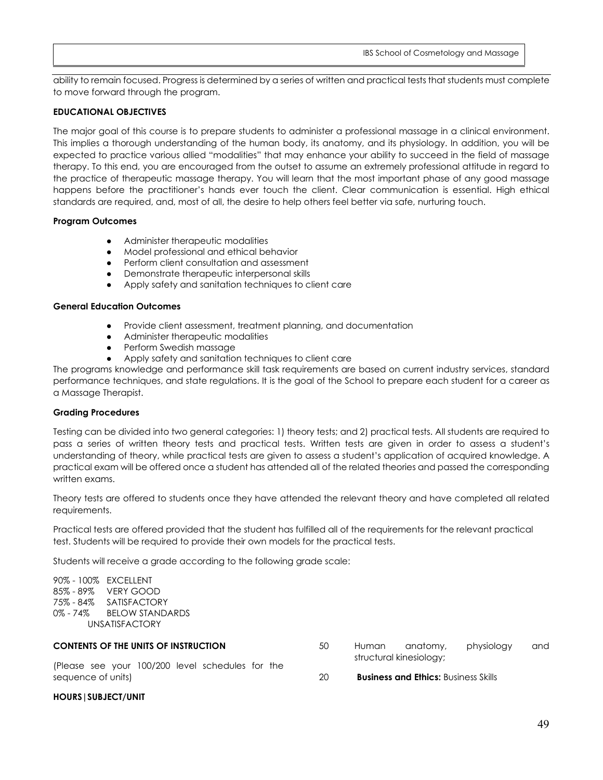ability to remain focused. Progress is determined by a series of written and practical tests that students must complete to move forward through the program.

#### **EDUCATIONAL OBJECTIVES**

The major goal of this course is to prepare students to administer a professional massage in a clinical environment. This implies a thorough understanding of the human body, its anatomy, and its physiology. In addition, you will be expected to practice various allied "modalities" that may enhance your ability to succeed in the field of massage therapy. To this end, you are encouraged from the outset to assume an extremely professional attitude in regard to the practice of therapeutic massage therapy. You will learn that the most important phase of any good massage happens before the practitioner's hands ever touch the client. Clear communication is essential. High ethical standards are required, and, most of all, the desire to help others feel better via safe, nurturing touch.

#### **Program Outcomes**

- Administer therapeutic modalities
- Model professional and ethical behavior
- Perform client consultation and assessment
- **Demonstrate therapeutic interpersonal skills**
- Apply safety and sanitation techniques to client care

#### **General Education Outcomes**

- Provide client assessment, treatment planning, and documentation
- Administer therapeutic modalities
- Perform Swedish massage
- Apply safety and sanitation techniques to client care

The programs knowledge and performance skill task requirements are based on current industry services, standard performance techniques, and state regulations. It is the goal of the School to prepare each student for a career as a Massage Therapist.

#### **Grading Procedures**

Testing can be divided into two general categories: 1) theory tests; and 2) practical tests. All students are required to pass a series of written theory tests and practical tests. Written tests are given in order to assess a student's understanding of theory, while practical tests are given to assess a student's application of acquired knowledge. A practical exam will be offered once a student has attended all of the related theories and passed the corresponding written exams.

Theory tests are offered to students once they have attended the relevant theory and have completed all related requirements.

Practical tests are offered provided that the student has fulfilled all of the requirements for the relevant practical test. Students will be required to provide their own models for the practical tests.

Students will receive a grade according to the following grade scale:

90% - 100% EXCELLENT 85% - 89% VERY GOOD 75% - 84% SATISFACTORY 0% - 74% BELOW STANDARDS UNSATISFACTORY

#### **CONTENTS OF THE UNITS OF INSTRUCTION**

(Please see your 100/200 level schedules for the sequence of units)

- 50 Human anatomy, physiology and structural kinesiology;
- 20 **Business and Ethics:** Business Skills

#### **HOURS|SUBJECT/UNIT**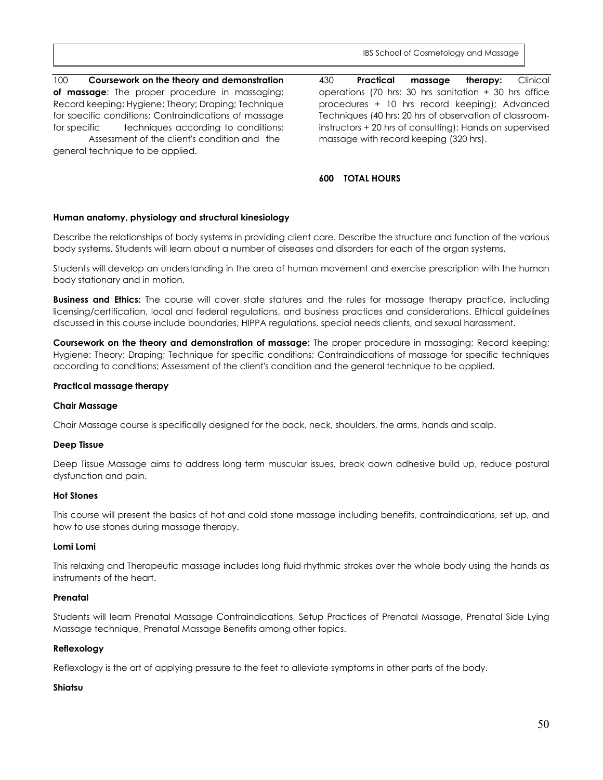430 **Practical massage therapy:** Clinical operations (70 hrs: 30 hrs sanitation + 30 hrs office

#### 100 **Coursework on the theory and demonstration of massage**: The proper procedure in massaging; Record keeping; Hygiene; Theory; Draping; Technique for specific conditions; Contraindications of massage for specific techniques according to conditions; Assessment of the client's condition and the

general technique to be applied.

procedures + 10 hrs record keeping); Advanced Techniques (40 hrs: 20 hrs of observation of classroominstructors + 20 hrs of consulting); Hands on supervised massage with record keeping (320 hrs).

#### **600 TOTAL HOURS**

#### **Human anatomy, physiology and structural kinesiology**

Describe the relationships of body systems in providing client care. Describe the structure and function of the various body systems. Students will learn about a number of diseases and disorders for each of the organ systems.

Students will develop an understanding in the area of human movement and exercise prescription with the human body stationary and in motion.

**Business and Ethics:** The course will cover state statures and the rules for massage therapy practice, including licensing/certification, local and federal regulations, and business practices and considerations. Ethical guidelines discussed in this course include boundaries, HIPPA regulations, special needs clients, and sexual harassment.

**Coursework on the theory and demonstration of massage:** The proper procedure in massaging; Record keeping; Hygiene; Theory; Draping; Technique for specific conditions; Contraindications of massage for specific techniques according to conditions; Assessment of the client's condition and the general technique to be applied.

#### **Practical massage therapy**

#### **Chair Massage**

Chair Massage course is specifically designed for the back, neck, shoulders, the arms, hands and scalp.

#### **Deep Tissue**

Deep Tissue Massage aims to address long term muscular issues, break down adhesive build up, reduce postural dysfunction and pain.

#### **Hot Stones**

This course will present the basics of hot and cold stone massage including benefits, contraindications, set up, and how to use stones during massage therapy.

#### **Lomi Lomi**

This relaxing and Therapeutic massage includes long fluid rhythmic strokes over the whole body using the hands as instruments of the heart.

#### **Prenatal**

Students will learn Prenatal Massage Contraindications, Setup Practices of Prenatal Massage, Prenatal Side Lying Massage technique, Prenatal Massage Benefits among other topics.

#### **Reflexology**

Reflexology is the art of applying pressure to the feet to alleviate symptoms in other parts of the body.

#### **Shiatsu**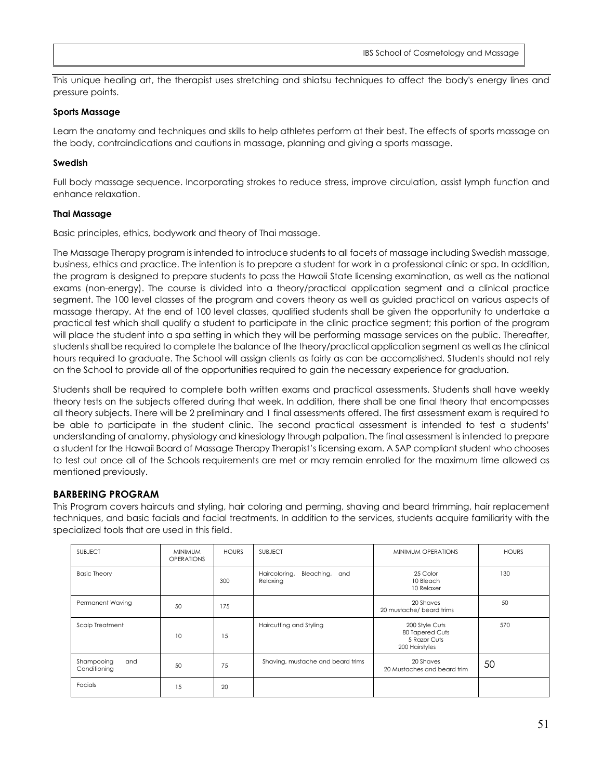This unique healing art, the therapist uses stretching and shiatsu techniques to affect the body's energy lines and pressure points.

#### **Sports Massage**

Learn the anatomy and techniques and skills to help athletes perform at their best. The effects of sports massage on the body, contraindications and cautions in massage, planning and giving a sports massage.

#### **Swedish**

Full body massage sequence. Incorporating strokes to reduce stress, improve circulation, assist lymph function and enhance relaxation.

#### **Thai Massage**

Basic principles, ethics, bodywork and theory of Thai massage.

The Massage Therapy program is intended to introduce students to all facets of massage including Swedish massage, business, ethics and practice. The intention is to prepare a student for work in a professional clinic or spa. In addition, the program is designed to prepare students to pass the Hawaii State licensing examination, as well as the national exams (non-energy). The course is divided into a theory/practical application segment and a clinical practice segment. The 100 level classes of the program and covers theory as well as guided practical on various aspects of massage therapy. At the end of 100 level classes, qualified students shall be given the opportunity to undertake a practical test which shall qualify a student to participate in the clinic practice segment; this portion of the program will place the student into a spa setting in which they will be performing massage services on the public. Thereafter, students shall be required to complete the balance of the theory/practical application segment as well as the clinical hours required to graduate. The School will assign clients as fairly as can be accomplished. Students should not rely on the School to provide all of the opportunities required to gain the necessary experience for graduation.

Students shall be required to complete both written exams and practical assessments. Students shall have weekly theory tests on the subjects offered during that week. In addition, there shall be one final theory that encompasses all theory subjects. There will be 2 preliminary and 1 final assessments offered. The first assessment exam is required to be able to participate in the student clinic. The second practical assessment is intended to test a students' understanding of anatomy, physiology and kinesiology through palpation. The final assessment is intended to prepare a student for the Hawaii Board of Massage Therapy Therapist's licensing exam. A SAP compliant student who chooses to test out once all of the Schools requirements are met or may remain enrolled for the maximum time allowed as mentioned previously.

#### **BARBERING PROGRAM**

This Program covers haircuts and styling, hair coloring and perming, shaving and beard trimming, hair replacement techniques, and basic facials and facial treatments. In addition to the services, students acquire familiarity with the specialized tools that are used in this field.

| <b>SUBJECT</b>                    | <b>MINIMUM</b><br><b>OPERATIONS</b> | <b>HOURS</b> | <b>SUBJECT</b>                              | MINIMUM OPERATIONS                                                  | <b>HOURS</b> |
|-----------------------------------|-------------------------------------|--------------|---------------------------------------------|---------------------------------------------------------------------|--------------|
| <b>Basic Theory</b>               |                                     | 300          | Haircoloring,<br>Bleaching, and<br>Relaxing | 25 Color<br>10 Bleach<br>10 Relaxer                                 | 130          |
| Permanent Waving                  | 50                                  | 175          |                                             | 20 Shaves<br>20 mustache/ beard trims                               | 50           |
| Scalp Treatment                   | 10                                  | 15           | Haircutting and Styling                     | 200 Style Cuts<br>80 Tapered Cuts<br>5 Razor Cuts<br>200 Hairstyles | 570          |
| Shampooing<br>and<br>Conditioning | 50                                  | 75           | Shaving, mustache and beard trims           | 20 Shaves<br>20 Mustaches and beard trim                            | 50           |
| Facials                           | 15                                  | 20           |                                             |                                                                     |              |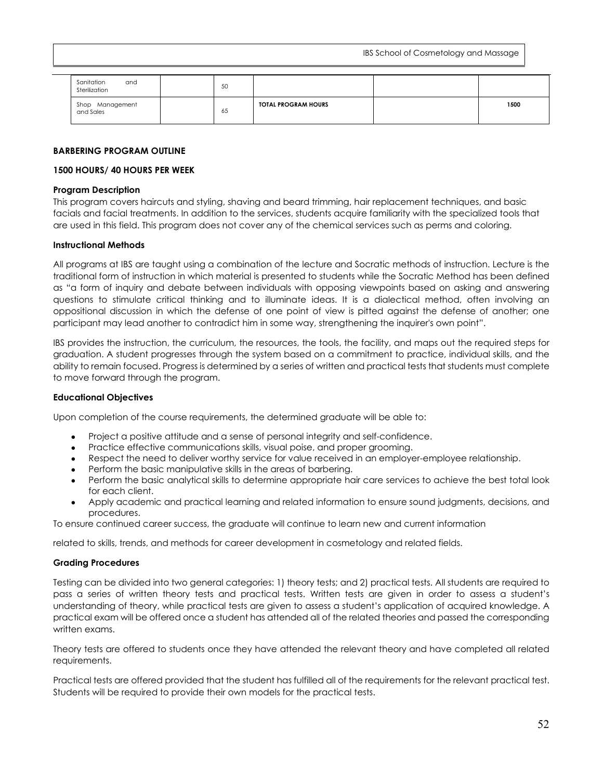| Sanitation<br>and<br>Sterilization | 50               |                            |      |
|------------------------------------|------------------|----------------------------|------|
| Shop Management<br>and Sales       | $\epsilon$<br>65 | <b>TOTAL PROGRAM HOURS</b> | 1500 |

#### **BARBERING PROGRAM OUTLINE**

#### **1500 HOURS/ 40 HOURS PER WEEK**

#### **Program Description**

This program covers haircuts and styling, shaving and beard trimming, hair replacement techniques, and basic facials and facial treatments. In addition to the services, students acquire familiarity with the specialized tools that are used in this field. This program does not cover any of the chemical services such as perms and coloring.

#### **Instructional Methods**

All programs at IBS are taught using a combination of the lecture and Socratic methods of instruction. Lecture is the traditional form of instruction in which material is presented to students while the Socratic Method has been defined as "a form of inquiry and debate between individuals with opposing viewpoints based on asking and answering questions to stimulate critical thinking and to illuminate ideas. It is a [dialectical](http://en.wikipedia.org/wiki/Dialectical) method, often involving an oppositional discussion in which the defense of one point of view is pitted against the defense of another; one participant may lead another to contradict him in some way, strengthening the inquirer's own point".

IBS provides the instruction, the curriculum, the resources, the tools, the facility, and maps out the required steps for graduation. A student progresses through the system based on a commitment to practice, individual skills, and the ability to remain focused. Progress is determined by a series of written and practical tests that students must complete to move forward through the program.

#### **Educational Objectives**

Upon completion of the course requirements, the determined graduate will be able to:

- Project a positive attitude and a sense of personal integrity and self-confidence.
- Practice effective communications skills, visual poise, and proper grooming.
- Respect the need to deliver worthy service for value received in an employer-employee relationship.
- Perform the basic manipulative skills in the areas of barbering.
- Perform the basic analytical skills to determine appropriate hair care services to achieve the best total look for each client.
- Apply academic and practical learning and related information to ensure sound judgments, decisions, and procedures.

To ensure continued career success, the graduate will continue to learn new and current information

related to skills, trends, and methods for career development in cosmetology and related fields.

#### **Grading Procedures**

Testing can be divided into two general categories: 1) theory tests; and 2) practical tests. All students are required to pass a series of written theory tests and practical tests. Written tests are given in order to assess a student's understanding of theory, while practical tests are given to assess a student's application of acquired knowledge. A practical exam will be offered once a student has attended all of the related theories and passed the corresponding written exams.

Theory tests are offered to students once they have attended the relevant theory and have completed all related requirements.

Practical tests are offered provided that the student has fulfilled all of the requirements for the relevant practical test. Students will be required to provide their own models for the practical tests.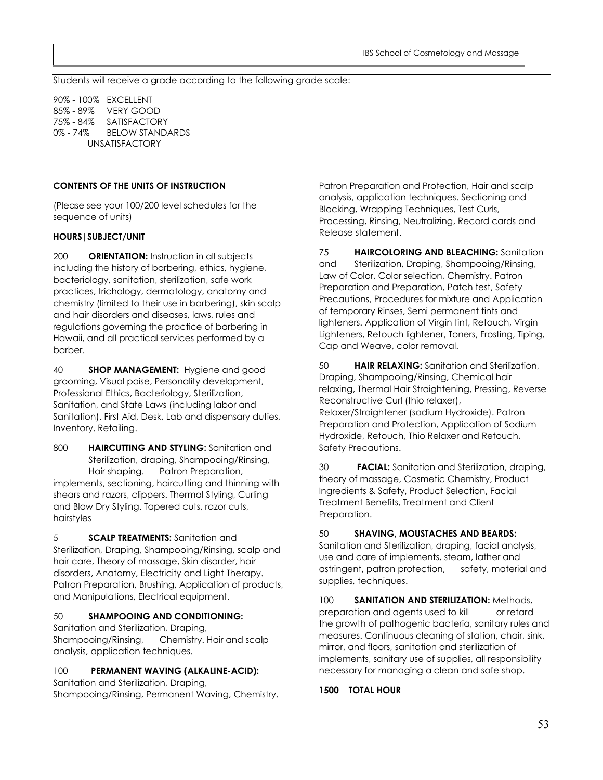Students will receive a grade according to the following grade scale:

90% - 100% EXCELLENT 85% - 89% VERY GOOD 75% - 84% SATISFACTORY 0% - 74% BELOW STANDARDS UNSATISFACTORY

#### **CONTENTS OF THE UNITS OF INSTRUCTION**

(Please see your 100/200 level schedules for the sequence of units)

#### **HOURS|SUBJECT/UNIT**

200 **ORIENTATION:** Instruction in all subjects including the history of barbering, ethics, hygiene, bacteriology, sanitation, sterilization, safe work practices, trichology, dermatology, anatomy and chemistry (limited to their use in barbering), skin scalp and hair disorders and diseases, laws, rules and regulations governing the practice of barbering in Hawaii, and all practical services performed by a barber.

40 **SHOP MANAGEMENT:** Hygiene and good grooming, Visual poise, Personality development, Professional Ethics, Bacteriology, Sterilization, Sanitation, and State Laws (including labor and Sanitation). First Aid, Desk, Lab and dispensary duties, Inventory. Retailing.

800 **HAIRCUTTING AND STYLING:** Sanitation and Sterilization, draping, Shampooing/Rinsing, Hair shaping. Patron Preparation, implements, sectioning, haircutting and thinning with shears and razors, clippers. Thermal Styling, Curling and Blow Dry Styling. Tapered cuts, razor cuts, hairstyles

5 **SCALP TREATMENTS:** Sanitation and Sterilization, Draping, Shampooing/Rinsing, scalp and hair care, Theory of massage, Skin disorder, hair disorders, Anatomy, Electricity and Light Therapy. Patron Preparation, Brushing, Application of products, and Manipulations, Electrical equipment.

#### 50 **SHAMPOOING AND CONDITIONING:**

Sanitation and Sterilization, Draping, Shampooing/Rinsing, Chemistry. Hair and scalp analysis, application techniques.

### 100 **PERMANENT WAVING (ALKALINE-ACID):**

Sanitation and Sterilization, Draping, Shampooing/Rinsing, Permanent Waving, Chemistry.

Patron Preparation and Protection, Hair and scalp analysis, application techniques. Sectioning and Blocking, Wrapping Techniques, Test Curls, Processing, Rinsing, Neutralizing, Record cards and Release statement.

75 **HAIRCOLORING AND BLEACHING:** Sanitation and Sterilization, Draping, Shampooing/Rinsing, Law of Color, Color selection, Chemistry. Patron Preparation and Preparation, Patch test, Safety Precautions, Procedures for mixture and Application of temporary Rinses, Semi permanent tints and lighteners. Application of Virgin tint, Retouch, Virgin Lighteners, Retouch lightener, Toners, Frosting, Tiping, Cap and Weave, color removal.

50 **HAIR RELAXING:** Sanitation and Sterilization, Draping, Shampooing/Rinsing, Chemical hair relaxing, Thermal Hair Straightening, Pressing, Reverse Reconstructive Curl (thio relaxer), Relaxer/Straightener (sodium Hydroxide). Patron Preparation and Protection, Application of Sodium Hydroxide, Retouch, Thio Relaxer and Retouch, Safety Precautions.

30 **FACIAL:** Sanitation and Sterilization, draping, theory of massage, Cosmetic Chemistry, Product Ingredients & Safety, Product Selection, Facial Treatment Benefits, Treatment and Client Preparation.

#### 50 **SHAVING, MOUSTACHES AND BEARDS:**

Sanitation and Sterilization, draping, facial analysis, use and care of implements, steam, lather and astringent, patron protection, safety, material and supplies, techniques.

100 **SANITATION AND STERILIZATION:** Methods, preparation and agents used to kill or retard the growth of pathogenic bacteria, sanitary rules and measures. Continuous cleaning of station, chair, sink, mirror, and floors, sanitation and sterilization of implements, sanitary use of supplies, all responsibility necessary for managing a clean and safe shop.

#### **1500 TOTAL HOUR**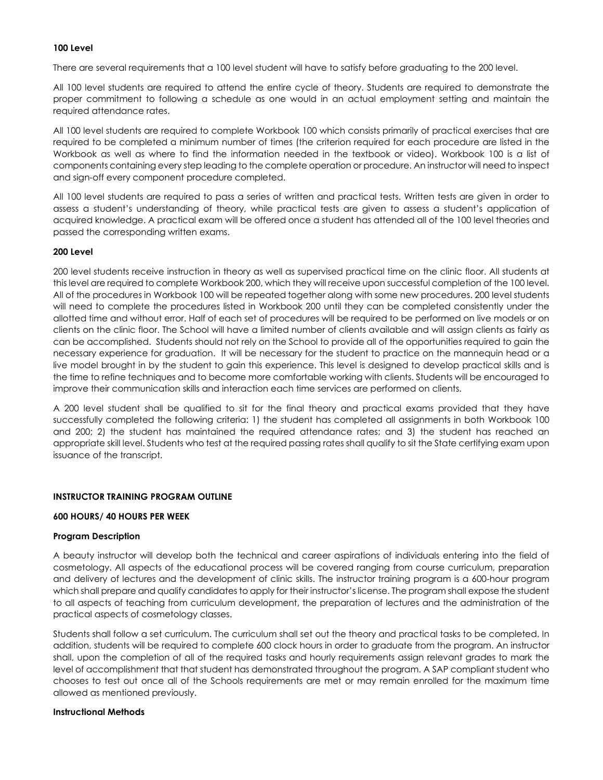#### **100 Level**

There are several requirements that a 100 level student will have to satisfy before graduating to the 200 level.

All 100 level students are required to attend the entire cycle of theory. Students are required to demonstrate the proper commitment to following a schedule as one would in an actual employment setting and maintain the required attendance rates.

All 100 level students are required to complete Workbook 100 which consists primarily of practical exercises that are required to be completed a minimum number of times (the criterion required for each procedure are listed in the Workbook as well as where to find the information needed in the textbook or video). Workbook 100 is a list of components containing every step leading to the complete operation or procedure. An instructor will need to inspect and sign-off every component procedure completed.

All 100 level students are required to pass a series of written and practical tests. Written tests are given in order to assess a student's understanding of theory, while practical tests are given to assess a student's application of acquired knowledge. A practical exam will be offered once a student has attended all of the 100 level theories and passed the corresponding written exams.

#### **200 Level**

200 level students receive instruction in theory as well as supervised practical time on the clinic floor. All students at this level are required to complete Workbook 200, which they will receive upon successful completion of the 100 level. All of the procedures in Workbook 100 will be repeated together along with some new procedures. 200 level students will need to complete the procedures listed in Workbook 200 until they can be completed consistently under the allotted time and without error. Half of each set of procedures will be required to be performed on live models or on clients on the clinic floor. The School will have a limited number of clients available and will assign clients as fairly as can be accomplished. Students should not rely on the School to provide all of the opportunities required to gain the necessary experience for graduation. It will be necessary for the student to practice on the mannequin head or a live model brought in by the student to gain this experience. This level is designed to develop practical skills and is the time to refine techniques and to become more comfortable working with clients. Students will be encouraged to improve their communication skills and interaction each time services are performed on clients.

A 200 level student shall be qualified to sit for the final theory and practical exams provided that they have successfully completed the following criteria: 1) the student has completed all assignments in both Workbook 100 and 200; 2) the student has maintained the required attendance rates; and 3) the student has reached an appropriate skill level. Students who test at the required passing rates shall qualify to sit the State certifying exam upon issuance of the transcript.

#### **INSTRUCTOR TRAINING PROGRAM OUTLINE**

#### **600 HOURS/ 40 HOURS PER WEEK**

#### **Program Description**

A beauty instructor will develop both the technical and career aspirations of individuals entering into the field of cosmetology. All aspects of the educational process will be covered ranging from course curriculum, preparation and delivery of lectures and the development of clinic skills. The instructor training program is a 600-hour program which shall prepare and qualify candidates to apply for their instructor's license. The program shall expose the student to all aspects of teaching from curriculum development, the preparation of lectures and the administration of the practical aspects of cosmetology classes.

Students shall follow a set curriculum. The curriculum shall set out the theory and practical tasks to be completed. In addition, students will be required to complete 600 clock hours in order to graduate from the program. An instructor shall, upon the completion of all of the required tasks and hourly requirements assign relevant grades to mark the level of accomplishment that that student has demonstrated throughout the program. A SAP compliant student who chooses to test out once all of the Schools requirements are met or may remain enrolled for the maximum time allowed as mentioned previously.

#### **Instructional Methods**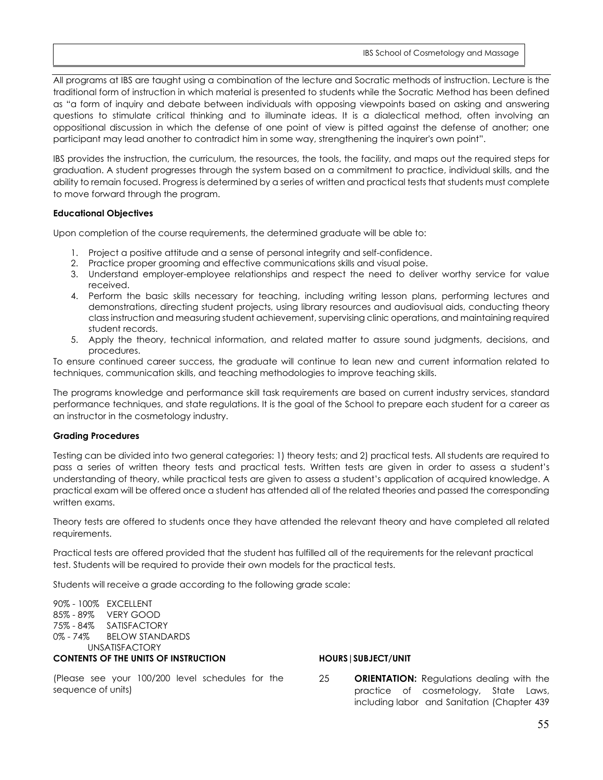All programs at IBS are taught using a combination of the lecture and Socratic methods of instruction. Lecture is the traditional form of instruction in which material is presented to students while the Socratic Method has been defined as "a form of inquiry and debate between individuals with opposing viewpoints based on asking and answering questions to stimulate critical thinking and to illuminate ideas. It is a [dialectical](http://en.wikipedia.org/wiki/Dialectical) method, often involving an oppositional discussion in which the defense of one point of view is pitted against the defense of another; one participant may lead another to contradict him in some way, strengthening the inquirer's own point".

IBS provides the instruction, the curriculum, the resources, the tools, the facility, and maps out the required steps for graduation. A student progresses through the system based on a commitment to practice, individual skills, and the ability to remain focused. Progress is determined by a series of written and practical tests that students must complete to move forward through the program.

#### **Educational Objectives**

Upon completion of the course requirements, the determined graduate will be able to:

- 1. Project a positive attitude and a sense of personal integrity and self-confidence.
- 2. Practice proper grooming and effective communications skills and visual poise.
- 3. Understand employer-employee relationships and respect the need to deliver worthy service for value received.
- 4. Perform the basic skills necessary for teaching, including writing lesson plans, performing lectures and demonstrations, directing student projects, using library resources and audiovisual aids, conducting theory class instruction and measuring student achievement, supervising clinic operations, and maintaining required student records.
- 5. Apply the theory, technical information, and related matter to assure sound judgments, decisions, and procedures.

To ensure continued career success, the graduate will continue to lean new and current information related to techniques, communication skills, and teaching methodologies to improve teaching skills.

The programs knowledge and performance skill task requirements are based on current industry services, standard performance techniques, and state regulations. It is the goal of the School to prepare each student for a career as an instructor in the cosmetology industry.

#### **Grading Procedures**

Testing can be divided into two general categories: 1) theory tests; and 2) practical tests. All students are required to pass a series of written theory tests and practical tests. Written tests are given in order to assess a student's understanding of theory, while practical tests are given to assess a student's application of acquired knowledge. A practical exam will be offered once a student has attended all of the related theories and passed the corresponding written exams.

Theory tests are offered to students once they have attended the relevant theory and have completed all related requirements.

Practical tests are offered provided that the student has fulfilled all of the requirements for the relevant practical test. Students will be required to provide their own models for the practical tests.

Students will receive a grade according to the following grade scale:

90% - 100% EXCELLENT 85% - 89% VERY GOOD 75% - 84% SATISFACTORY 0% - 74% BELOW STANDARDS UNSATISFACTORY **CONTENTS OF THE UNITS OF INSTRUCTION** 

(Please see your 100/200 level schedules for the sequence of units)

#### **HOURS|SUBJECT/UNIT**

25 **ORIENTATION:** Regulations dealing with the practice of cosmetology, State Laws, including labor and Sanitation (Chapter 439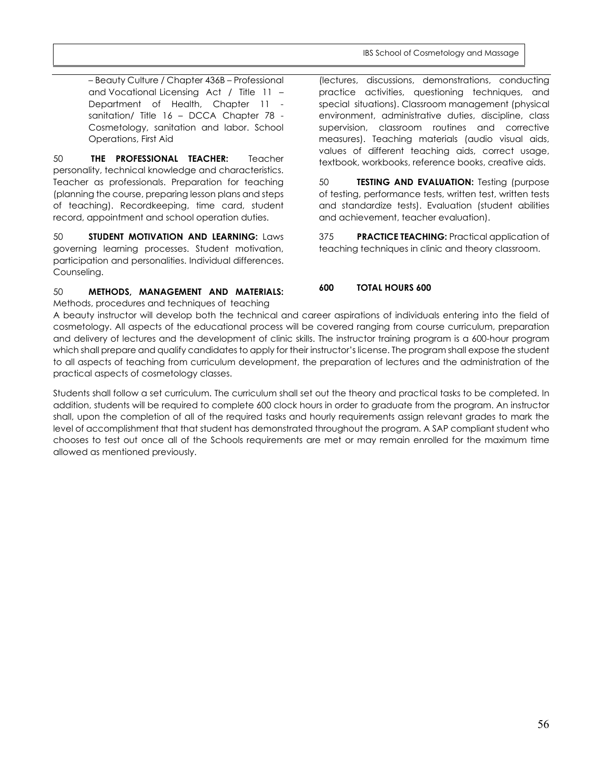– Beauty Culture / Chapter 436B – Professional and Vocational Licensing Act / Title 11 – Department of Health, Chapter 11 sanitation/ Title 16 – DCCA Chapter 78 - Cosmetology, sanitation and labor. School Operations, First Aid

50 **THE PROFESSIONAL TEACHER:** Teacher personality, technical knowledge and characteristics. Teacher as professionals. Preparation for teaching (planning the course, preparing lesson plans and steps of teaching). Recordkeeping, time card, student record, appointment and school operation duties.

50 **STUDENT MOTIVATION AND LEARNING:** Laws governing learning processes. Student motivation, participation and personalities. Individual differences. Counseling.

50 **METHODS, MANAGEMENT AND MATERIALS:**  Methods, procedures and techniques of teaching

(lectures, discussions, demonstrations, conducting practice activities, questioning techniques, and special situations). Classroom management (physical environment, administrative duties, discipline, class supervision, classroom routines and corrective measures). Teaching materials (audio visual aids, values of different teaching aids, correct usage, textbook, workbooks, reference books, creative aids.

50 **TESTING AND EVALUATION:** Testing (purpose of testing, performance tests, written test, written tests and standardize tests). Evaluation (student abilities and achievement, teacher evaluation).

375 **PRACTICE TEACHING:** Practical application of teaching techniques in clinic and theory classroom.

## **600 TOTAL HOURS 600**

A beauty instructor will develop both the technical and career aspirations of individuals entering into the field of cosmetology. All aspects of the educational process will be covered ranging from course curriculum, preparation and delivery of lectures and the development of clinic skills. The instructor training program is a 600-hour program which shall prepare and qualify candidates to apply for their instructor's license. The program shall expose the student to all aspects of teaching from curriculum development, the preparation of lectures and the administration of the practical aspects of cosmetology classes.

Students shall follow a set curriculum. The curriculum shall set out the theory and practical tasks to be completed. In addition, students will be required to complete 600 clock hours in order to graduate from the program. An instructor shall, upon the completion of all of the required tasks and hourly requirements assign relevant grades to mark the level of accomplishment that that student has demonstrated throughout the program. A SAP compliant student who chooses to test out once all of the Schools requirements are met or may remain enrolled for the maximum time allowed as mentioned previously.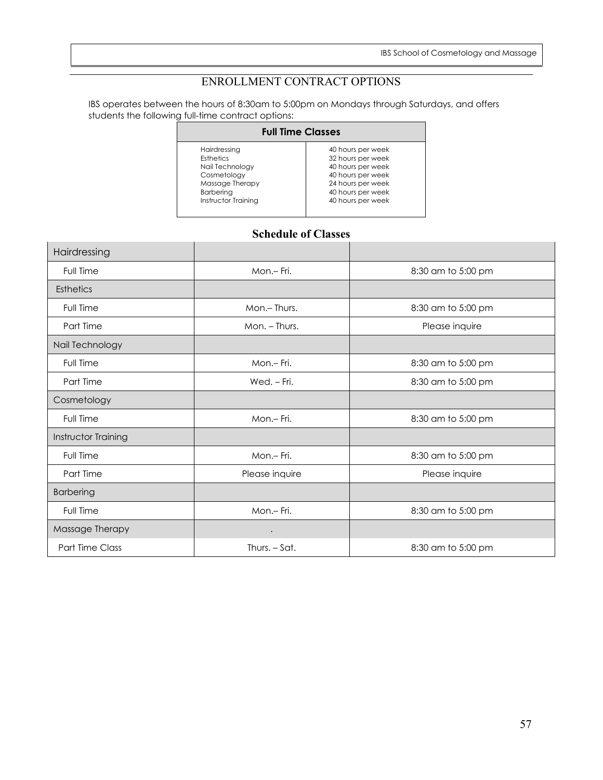## ENROLLMENT CONTRACT OPTIONS

<span id="page-56-0"></span>IBS operates between the hours of 8:30am to 5:00pm on Mondays through Saturdays, and offers students the following full-time contract options:

| <b>Full Time Classes</b> |                   |  |  |  |
|--------------------------|-------------------|--|--|--|
| Hairdressing             | 40 hours per week |  |  |  |
| Esthetics                | 32 hours per week |  |  |  |
| Nail Technology          | 40 hours per week |  |  |  |
| Cosmetology              | 40 hours per week |  |  |  |
| Massage Therapy          | 24 hours per week |  |  |  |
| Barbering                | 40 hours per week |  |  |  |
| Instructor Training      | 40 hours per week |  |  |  |

## **Schedule of Classes**

<span id="page-56-1"></span>

| Hairdressing        |                |                    |
|---------------------|----------------|--------------------|
| Full Time           | Mon.- Fri.     | 8:30 am to 5:00 pm |
| <b>Esthetics</b>    |                |                    |
| Full Time           | Mon.-Thurs.    | 8:30 am to 5:00 pm |
| Part Time           | Mon. - Thurs.  | Please inquire     |
| Nail Technology     |                |                    |
| Full Time           | Mon.- Fri.     | 8:30 am to 5:00 pm |
| Part Time           | Wed. - Fri.    | 8:30 am to 5:00 pm |
| Cosmetology         |                |                    |
| Full Time           | Mon.- Fri.     | 8:30 am to 5:00 pm |
| Instructor Training |                |                    |
| Full Time           | Mon.-Fri.      | 8:30 am to 5:00 pm |
| Part Time           | Please inquire | Please inquire     |
| <b>Barbering</b>    |                |                    |
| Full Time           | Mon.- Fri.     | 8:30 am to 5:00 pm |
| Massage Therapy     |                |                    |
| Part Time Class     | Thurs. - Sat.  | 8:30 am to 5:00 pm |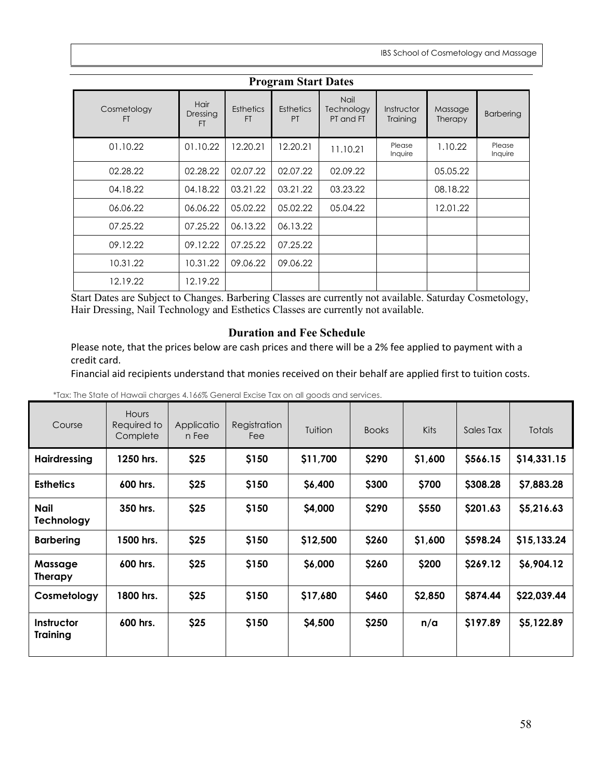<span id="page-57-0"></span>

| <b>Program Start Dates</b> |                        |                               |                               |                                        |                        |                    |                   |
|----------------------------|------------------------|-------------------------------|-------------------------------|----------------------------------------|------------------------|--------------------|-------------------|
| Cosmetology<br>FT          | Hair<br>Dressing<br>FT | <b>Esthetics</b><br><b>FT</b> | <b>Esthetics</b><br><b>PT</b> | <b>Nail</b><br>Technology<br>PT and FT | Instructor<br>Training | Massage<br>Therapy | <b>Barbering</b>  |
| 01.10.22                   | 01.10.22               | 12.20.21                      | 12.20.21                      | 11.10.21                               | Please<br>Inquire      | 1.10.22            | Please<br>Inquire |
| 02.28.22                   | 02.28.22               | 02.07.22                      | 02.07.22                      | 02.09.22                               |                        | 05.05.22           |                   |
| 04.18.22                   | 04.18.22               | 03.21.22                      | 03.21.22                      | 03.23.22                               |                        | 08.18.22           |                   |
| 06.06.22                   | 06.06.22               | 05.02.22                      | 05.02.22                      | 05.04.22                               |                        | 12.01.22           |                   |
| 07.25.22                   | 07.25.22               | 06.13.22                      | 06.13.22                      |                                        |                        |                    |                   |
| 09.12.22                   | 09.12.22               | 07.25.22                      | 07.25.22                      |                                        |                        |                    |                   |
| 10.31.22                   | 10.31.22               | 09.06.22                      | 09.06.22                      |                                        |                        |                    |                   |
| 12.19.22                   | 12.19.22               |                               |                               |                                        |                        |                    |                   |

Start Dates are Subject to Changes. Barbering Classes are currently not available. Saturday Cosmetology, Hair Dressing, Nail Technology and Esthetics Classes are currently not available.

## **Duration and Fee Schedule**

Please note, that the prices below are cash prices and there will be a 2% fee applied to payment with a credit card.

Financial aid recipients understand that monies received on their behalf are applied first to tuition costs.

\*Tax: The State of Hawaii charges 4.166% General Excise Tax on all goods and services.

| Course                        | <b>Hours</b><br>Required to<br>Complete | Applicatio<br>n Fee | Registration<br>Fee | Tuition  | <b>Books</b> | <b>Kits</b> | Sales Tax | <b>Totals</b> |
|-------------------------------|-----------------------------------------|---------------------|---------------------|----------|--------------|-------------|-----------|---------------|
| <b>Hairdressing</b>           | 1250 hrs.                               | \$25                | \$150               | \$11,700 | \$290        | \$1,600     | \$566.15  | \$14,331.15   |
| <b>Esthetics</b>              | 600 hrs.                                | \$25                | \$150               | \$6,400  | \$300        | \$700       | \$308.28  | \$7,883.28    |
| <b>Nail</b><br>Technology     | 350 hrs.                                | \$25                | \$150               | \$4,000  | \$290        | \$550       | \$201.63  | \$5,216.63    |
| <b>Barbering</b>              | 1500 hrs.                               | \$25                | \$150               | \$12,500 | \$260        | \$1,600     | \$598.24  | \$15,133.24   |
| Massage<br><b>Therapy</b>     | 600 hrs.                                | \$25                | \$150               | \$6,000  | \$260        | \$200       | \$269.12  | \$6,904.12    |
| Cosmetology                   | 1800 hrs.                               | \$25                | \$150               | \$17,680 | \$460        | \$2,850     | \$874.44  | \$22,039.44   |
| Instructor<br><b>Training</b> | 600 hrs.                                | \$25                | \$150               | \$4,500  | \$250        | n/a         | \$197.89  | \$5,122.89    |